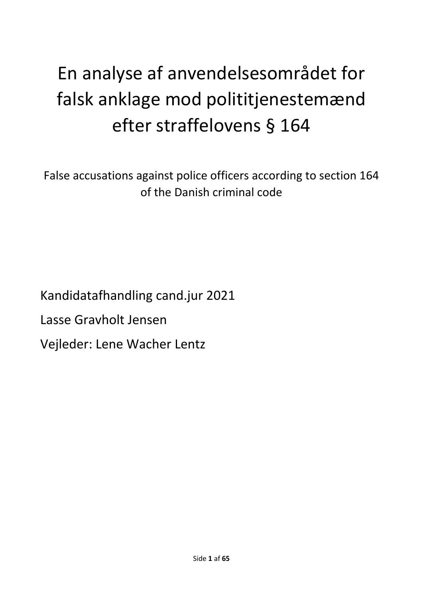# En analyse af anvendelsesområdet for falsk anklage mod polititjenestemænd efter straffelovens § 164

False accusations against police officers according to section 164 of the Danish criminal code

Kandidatafhandling cand.jur 2021

Lasse Gravholt Jensen

Vejleder: Lene Wacher Lentz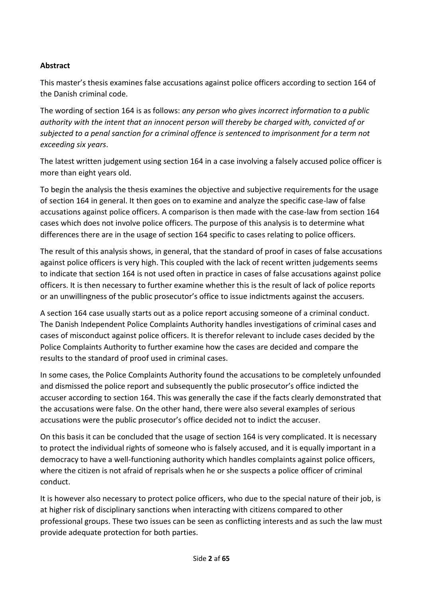#### **Abstract**

This master's thesis examines false accusations against police officers according to section 164 of the Danish criminal code.

The wording of section 164 is as follows: *any person who gives incorrect information to a public authority with the intent that an innocent person will thereby be charged with, convicted of or subjected to a penal sanction for a criminal offence is sentenced to imprisonment for a term not exceeding six years*.

The latest written judgement using section 164 in a case involving a falsely accused police officer is more than eight years old.

To begin the analysis the thesis examines the objective and subjective requirements for the usage of section 164 in general. It then goes on to examine and analyze the specific case-law of false accusations against police officers. A comparison is then made with the case-law from section 164 cases which does not involve police officers. The purpose of this analysis is to determine what differences there are in the usage of section 164 specific to cases relating to police officers.

The result of this analysis shows, in general, that the standard of proof in cases of false accusations against police officers is very high. This coupled with the lack of recent written judgements seems to indicate that section 164 is not used often in practice in cases of false accusations against police officers. It is then necessary to further examine whether this is the result of lack of police reports or an unwillingness of the public prosecutor's office to issue indictments against the accusers.

A section 164 case usually starts out as a police report accusing someone of a criminal conduct. The Danish Independent Police Complaints Authority handles investigations of criminal cases and cases of misconduct against police officers. It is therefor relevant to include cases decided by the Police Complaints Authority to further examine how the cases are decided and compare the results to the standard of proof used in criminal cases.

In some cases, the Police Complaints Authority found the accusations to be completely unfounded and dismissed the police report and subsequently the public prosecutor's office indicted the accuser according to section 164. This was generally the case if the facts clearly demonstrated that the accusations were false. On the other hand, there were also several examples of serious accusations were the public prosecutor's office decided not to indict the accuser.

On this basis it can be concluded that the usage of section 164 is very complicated. It is necessary to protect the individual rights of someone who is falsely accused, and it is equally important in a democracy to have a well-functioning authority which handles complaints against police officers, where the citizen is not afraid of reprisals when he or she suspects a police officer of criminal conduct.

It is however also necessary to protect police officers, who due to the special nature of their job, is at higher risk of disciplinary sanctions when interacting with citizens compared to other professional groups. These two issues can be seen as conflicting interests and as such the law must provide adequate protection for both parties.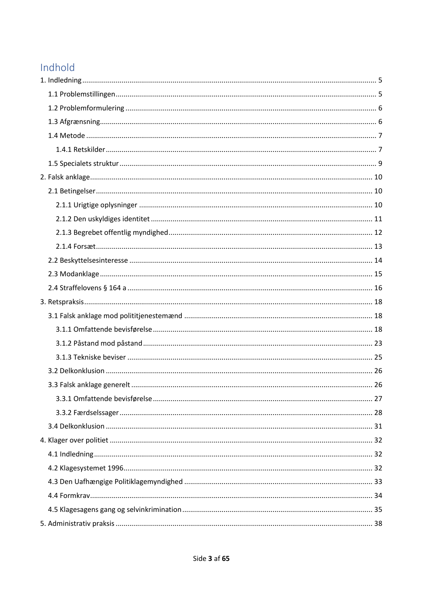# Indhold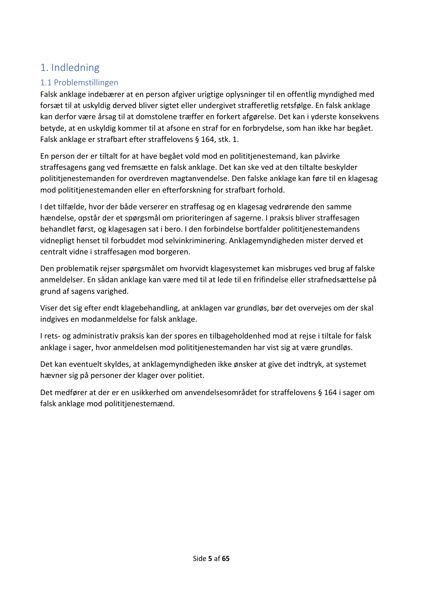# <span id="page-4-0"></span>1. Indledning

# <span id="page-4-1"></span>1.1 Problemstillingen

Falsk anklage indebærer at en person afgiver urigtige oplysninger til en offentlig myndighed med forsæt til at uskyldig derved bliver sigtet eller undergivet strafferetlig retsfølge. En falsk anklage kan derfor være årsag til at domstolene træffer en forkert afgørelse. Det kan i yderste konsekvens betyde, at en uskyldig kommer til at afsone en straf for en forbrydelse, som han ikke har begået. Falsk anklage er strafbart efter straffelovens § 164, stk. 1.

En person der er tiltalt for at have begået vold mod en polititjenestemand, kan påvirke straffesagens gang ved fremsætte en falsk anklage. Det kan ske ved at den tiltalte beskylder polititjenestemanden for overdreven magtanvendelse. Den falske anklage kan føre til en klagesag mod polititjenestemanden eller en efterforskning for strafbart forhold.

I det tilfælde, hvor der både verserer en straffesag og en klagesag vedrørende den samme hændelse, opstår der et spørgsmål om prioriteringen af sagerne. I praksis bliver straffesagen behandlet først, og klagesagen sat i bero. I den forbindelse bortfalder polititjenestemandens vidnepligt henset til forbuddet mod selvinkriminering. Anklagemyndigheden mister derved et centralt vidne i straffesagen mod borgeren.

Den problematik rejser spørgsmålet om hvorvidt klagesystemet kan misbruges ved brug af falske anmeldelser. En sådan anklage kan være med til at lede til en frifindelse eller strafnedsættelse på grund af sagens varighed.

Viser det sig efter endt klagebehandling, at anklagen var grundløs, bør det overvejes om der skal indgives en modanmeldelse for falsk anklage.

I rets- og administrativ praksis kan der spores en tilbageholdenhed mod at rejse i tiltale for falsk anklage i sager, hvor anmeldelsen mod polititjenestemanden har vist sig at være grundløs.

Det kan eventuelt skyldes, at anklagemyndigheden ikke ønsker at give det indtryk, at systemet hævner sig på personer der klager over politiet.

Det medfører at der er en usikkerhed om anvendelsesområdet for straffelovens § 164 i sager om falsk anklage mod polititjenestemænd.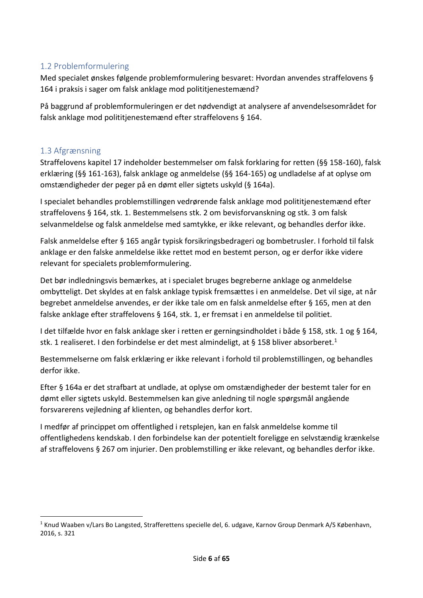#### <span id="page-5-0"></span>1.2 Problemformulering

Med specialet ønskes følgende problemformulering besvaret: Hvordan anvendes straffelovens § 164 i praksis i sager om falsk anklage mod polititjenestemænd?

På baggrund af problemformuleringen er det nødvendigt at analysere af anvendelsesområdet for falsk anklage mod polititjenestemænd efter straffelovens § 164.

#### <span id="page-5-1"></span>1.3 Afgrænsning

Straffelovens kapitel 17 indeholder bestemmelser om falsk forklaring for retten (§§ 158-160), falsk erklæring (§§ 161-163), falsk anklage og anmeldelse (§§ 164-165) og undladelse af at oplyse om omstændigheder der peger på en dømt eller sigtets uskyld (§ 164a).

I specialet behandles problemstillingen vedrørende falsk anklage mod polititjenestemænd efter straffelovens § 164, stk. 1. Bestemmelsens stk. 2 om bevisforvanskning og stk. 3 om falsk selvanmeldelse og falsk anmeldelse med samtykke, er ikke relevant, og behandles derfor ikke.

Falsk anmeldelse efter § 165 angår typisk forsikringsbedrageri og bombetrusler. I forhold til falsk anklage er den falske anmeldelse ikke rettet mod en bestemt person, og er derfor ikke videre relevant for specialets problemformulering.

Det bør indledningsvis bemærkes, at i specialet bruges begreberne anklage og anmeldelse ombytteligt. Det skyldes at en falsk anklage typisk fremsættes i en anmeldelse. Det vil sige, at når begrebet anmeldelse anvendes, er der ikke tale om en falsk anmeldelse efter § 165, men at den falske anklage efter straffelovens § 164, stk. 1, er fremsat i en anmeldelse til politiet.

I det tilfælde hvor en falsk anklage sker i retten er gerningsindholdet i både § 158, stk. 1 og § 164, stk. 1 realiseret. I den forbindelse er det mest almindeligt, at § 158 bliver absorberet.<sup>1</sup>

Bestemmelserne om falsk erklæring er ikke relevant i forhold til problemstillingen, og behandles derfor ikke.

Efter § 164a er det strafbart at undlade, at oplyse om omstændigheder der bestemt taler for en dømt eller sigtets uskyld. Bestemmelsen kan give anledning til nogle spørgsmål angående forsvarerens vejledning af klienten, og behandles derfor kort.

I medfør af princippet om offentlighed i retsplejen, kan en falsk anmeldelse komme til offentlighedens kendskab. I den forbindelse kan der potentielt foreligge en selvstændig krænkelse af straffelovens § 267 om injurier. Den problemstilling er ikke relevant, og behandles derfor ikke.

<sup>1</sup> Knud Waaben v/Lars Bo Langsted, Strafferettens specielle del, 6. udgave, Karnov Group Denmark A/S København, 2016, s. 321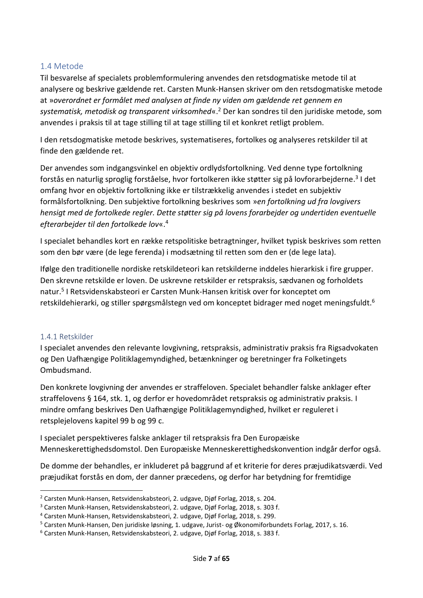#### <span id="page-6-0"></span>1.4 Metode

Til besvarelse af specialets problemformulering anvendes den retsdogmatiske metode til at analysere og beskrive gældende ret. Carsten Munk-Hansen skriver om den retsdogmatiske metode at »*overordnet er formålet med analysen at finde ny viden om gældende ret gennem en systematisk, metodisk og transparent virksomhed*«. <sup>2</sup> Der kan sondres til den juridiske metode, som anvendes i praksis til at tage stilling til at tage stilling til et konkret retligt problem.

I den retsdogmatiske metode beskrives, systematiseres, fortolkes og analyseres retskilder til at finde den gældende ret.

Der anvendes som indgangsvinkel en objektiv ordlydsfortolkning. Ved denne type fortolkning forstås en naturlig sproglig forståelse, hvor fortolkeren ikke støtter sig på lovforarbejderne.<sup>3</sup> I det omfang hvor en objektiv fortolkning ikke er tilstrækkelig anvendes i stedet en subjektiv formålsfortolkning. Den subjektive fortolkning beskrives som »*en fortolkning ud fra lovgivers hensigt med de fortolkede regler. Dette støtter sig på lovens forarbejder og undertiden eventuelle efterarbejder til den fortolkede lov*«. 4

I specialet behandles kort en række retspolitiske betragtninger, hvilket typisk beskrives som retten som den bør være (de lege ferenda) i modsætning til retten som den er (de lege lata).

Ifølge den traditionelle nordiske retskildeteori kan retskilderne inddeles hierarkisk i fire grupper. Den skrevne retskilde er loven. De uskrevne retskilder er retspraksis, sædvanen og forholdets natur.<sup>5</sup> I Retsvidenskabsteori er Carsten Munk-Hansen kritisk over for konceptet om retskildehierarki, og stiller spørgsmålstegn ved om konceptet bidrager med noget meningsfuldt.<sup>6</sup>

#### <span id="page-6-1"></span>1.4.1 Retskilder

I specialet anvendes den relevante lovgivning, retspraksis, administrativ praksis fra Rigsadvokaten og Den Uafhængige Politiklagemyndighed, betænkninger og beretninger fra Folketingets Ombudsmand.

Den konkrete lovgivning der anvendes er straffeloven. Specialet behandler falske anklager efter straffelovens § 164, stk. 1, og derfor er hovedområdet retspraksis og administrativ praksis. I mindre omfang beskrives Den Uafhængige Politiklagemyndighed, hvilket er reguleret i retsplejelovens kapitel 99 b og 99 c.

I specialet perspektiveres falske anklager til retspraksis fra Den Europæiske Menneskerettighedsdomstol. Den Europæiske Menneskerettighedskonvention indgår derfor også.

De domme der behandles, er inkluderet på baggrund af et kriterie for deres præjudikatsværdi. Ved præjudikat forstås en dom, der danner præcedens, og derfor har betydning for fremtidige

<sup>2</sup> Carsten Munk-Hansen, Retsvidenskabsteori, 2. udgave, Djøf Forlag, 2018, s. 204.

<sup>3</sup> Carsten Munk-Hansen, Retsvidenskabsteori, 2. udgave, Djøf Forlag, 2018, s. 303 f.

<sup>4</sup> Carsten Munk-Hansen, Retsvidenskabsteori, 2. udgave, Djøf Forlag, 2018, s. 299.

<sup>5</sup> Carsten Munk-Hansen, Den juridiske løsning, 1. udgave, Jurist- og Økonomiforbundets Forlag, 2017, s. 16.

<sup>6</sup> Carsten Munk-Hansen, Retsvidenskabsteori, 2. udgave, Djøf Forlag, 2018, s. 383 f.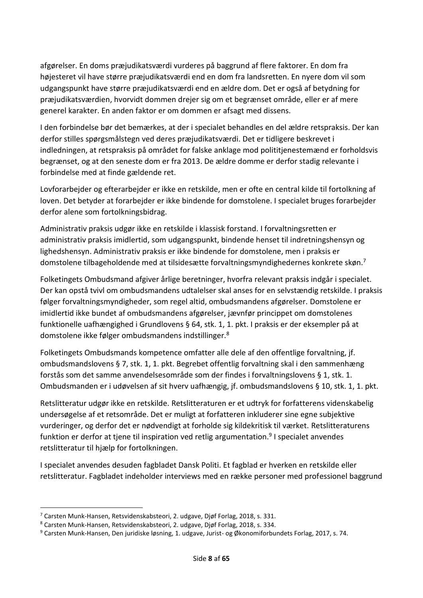afgørelser. En doms præjudikatsværdi vurderes på baggrund af flere faktorer. En dom fra højesteret vil have større præjudikatsværdi end en dom fra landsretten. En nyere dom vil som udgangspunkt have større præjudikatsværdi end en ældre dom. Det er også af betydning for præjudikatsværdien, hvorvidt dommen drejer sig om et begrænset område, eller er af mere generel karakter. En anden faktor er om dommen er afsagt med dissens.

I den forbindelse bør det bemærkes, at der i specialet behandles en del ældre retspraksis. Der kan derfor stilles spørgsmålstegn ved deres præjudikatsværdi. Det er tidligere beskrevet i indledningen, at retspraksis på området for falske anklage mod polititjenestemænd er forholdsvis begrænset, og at den seneste dom er fra 2013. De ældre domme er derfor stadig relevante i forbindelse med at finde gældende ret.

Lovforarbejder og efterarbejder er ikke en retskilde, men er ofte en central kilde til fortolkning af loven. Det betyder at forarbejder er ikke bindende for domstolene. I specialet bruges forarbejder derfor alene som fortolkningsbidrag.

Administrativ praksis udgør ikke en retskilde i klassisk forstand. I forvaltningsretten er administrativ praksis imidlertid, som udgangspunkt, bindende henset til indretningshensyn og lighedshensyn. Administrativ praksis er ikke bindende for domstolene, men i praksis er domstolene tilbageholdende med at tilsidesætte forvaltningsmyndighedernes konkrete skøn.<sup>7</sup>

Folketingets Ombudsmand afgiver årlige beretninger, hvorfra relevant praksis indgår i specialet. Der kan opstå tvivl om ombudsmandens udtalelser skal anses for en selvstændig retskilde. I praksis følger forvaltningsmyndigheder, som regel altid, ombudsmandens afgørelser. Domstolene er imidlertid ikke bundet af ombudsmandens afgørelser, jævnfør princippet om domstolenes funktionelle uafhængighed i Grundlovens § 64, stk. 1, 1. pkt. I praksis er der eksempler på at domstolene ikke følger ombudsmandens indstillinger.<sup>8</sup>

Folketingets Ombudsmands kompetence omfatter alle dele af den offentlige forvaltning, jf. ombudsmandslovens § 7, stk. 1, 1. pkt. Begrebet offentlig forvaltning skal i den sammenhæng forstås som det samme anvendelsesområde som der findes i forvaltningslovens § 1, stk. 1. Ombudsmanden er i udøvelsen af sit hverv uafhængig, jf. ombudsmandslovens § 10, stk. 1, 1. pkt.

Retslitteratur udgør ikke en retskilde. Retslitteraturen er et udtryk for forfatterens videnskabelig undersøgelse af et retsområde. Det er muligt at forfatteren inkluderer sine egne subjektive vurderinger, og derfor det er nødvendigt at forholde sig kildekritisk til værket. Retslitteraturens funktion er derfor at tjene til inspiration ved retlig argumentation.<sup>9</sup> I specialet anvendes retslitteratur til hjælp for fortolkningen.

I specialet anvendes desuden fagbladet Dansk Politi. Et fagblad er hverken en retskilde eller retslitteratur. Fagbladet indeholder interviews med en række personer med professionel baggrund

<sup>7</sup> Carsten Munk-Hansen, Retsvidenskabsteori, 2. udgave, Djøf Forlag, 2018, s. 331.

<sup>8</sup> Carsten Munk-Hansen, Retsvidenskabsteori, 2. udgave, Djøf Forlag, 2018, s. 334.

<sup>9</sup> Carsten Munk-Hansen, Den juridiske løsning, 1. udgave, Jurist- og Økonomiforbundets Forlag, 2017, s. 74.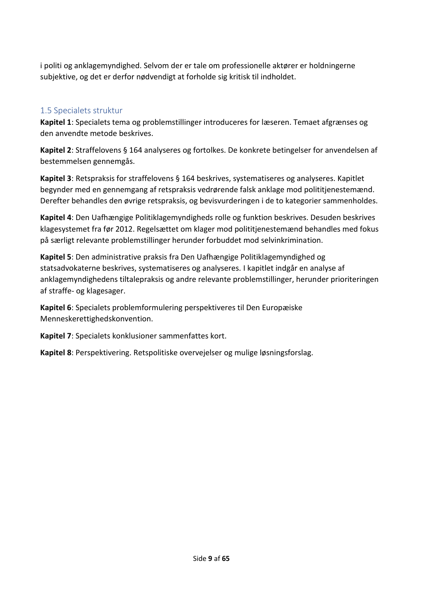i politi og anklagemyndighed. Selvom der er tale om professionelle aktører er holdningerne subjektive, og det er derfor nødvendigt at forholde sig kritisk til indholdet.

### <span id="page-8-0"></span>1.5 Specialets struktur

**Kapitel 1**: Specialets tema og problemstillinger introduceres for læseren. Temaet afgrænses og den anvendte metode beskrives.

**Kapitel 2**: Straffelovens § 164 analyseres og fortolkes. De konkrete betingelser for anvendelsen af bestemmelsen gennemgås.

**Kapitel 3**: Retspraksis for straffelovens § 164 beskrives, systematiseres og analyseres. Kapitlet begynder med en gennemgang af retspraksis vedrørende falsk anklage mod polititjenestemænd. Derefter behandles den øvrige retspraksis, og bevisvurderingen i de to kategorier sammenholdes.

**Kapitel 4**: Den Uafhængige Politiklagemyndigheds rolle og funktion beskrives. Desuden beskrives klagesystemet fra før 2012. Regelsættet om klager mod polititjenestemænd behandles med fokus på særligt relevante problemstillinger herunder forbuddet mod selvinkrimination.

**Kapitel 5**: Den administrative praksis fra Den Uafhængige Politiklagemyndighed og statsadvokaterne beskrives, systematiseres og analyseres. I kapitlet indgår en analyse af anklagemyndighedens tiltalepraksis og andre relevante problemstillinger, herunder prioriteringen af straffe- og klagesager.

**Kapitel 6**: Specialets problemformulering perspektiveres til Den Europæiske Menneskerettighedskonvention.

**Kapitel 7**: Specialets konklusioner sammenfattes kort.

**Kapitel 8**: Perspektivering. Retspolitiske overvejelser og mulige løsningsforslag.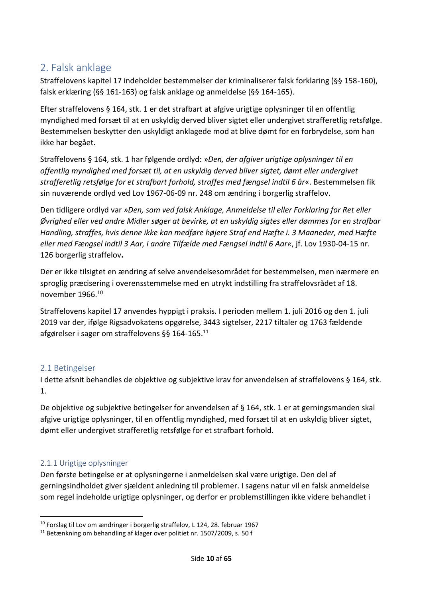# <span id="page-9-0"></span>2. Falsk anklage

Straffelovens kapitel 17 indeholder bestemmelser der kriminaliserer falsk forklaring (§§ 158-160), falsk erklæring (§§ 161-163) og falsk anklage og anmeldelse (§§ 164-165).

Efter straffelovens § 164, stk. 1 er det strafbart at afgive urigtige oplysninger til en offentlig myndighed med forsæt til at en uskyldig derved bliver sigtet eller undergivet strafferetlig retsfølge. Bestemmelsen beskytter den uskyldigt anklagede mod at blive dømt for en forbrydelse, som han ikke har begået.

Straffelovens § 164, stk. 1 har følgende ordlyd: »*Den, der afgiver urigtige oplysninger til en offentlig myndighed med forsæt til, at en uskyldig derved bliver sigtet, dømt eller undergivet strafferetlig retsfølge for et strafbart forhold, straffes med fængsel indtil 6 år*«. Bestemmelsen fik sin nuværende ordlyd ved Lov 1967-06-09 nr. 248 om ændring i borgerlig straffelov.

Den tidligere ordlyd var *»Den, som ved falsk Anklage, Anmeldelse til eller Forklaring for Ret eller Øvrighed eller ved andre Midler søger at bevirke, at en uskyldig sigtes eller dømmes for en strafbar Handling, straffes, hvis denne ikke kan medføre højere Straf end Hæfte i. 3 Maaneder, med Hæfte eller med Fængsel indtil 3 Aar, i andre Tilfælde med Fængsel indtil 6 Aar«*, jf. Lov 1930-04-15 nr. 126 borgerlig straffelov**.**

Der er ikke tilsigtet en ændring af selve anvendelsesområdet for bestemmelsen, men nærmere en sproglig præcisering i overensstemmelse med en utrykt indstilling fra straffelovsrådet af 18. november 1966.<sup>10</sup>

Straffelovens kapitel 17 anvendes hyppigt i praksis. I perioden mellem 1. juli 2016 og den 1. juli 2019 var der, ifølge Rigsadvokatens opgørelse, 3443 sigtelser, 2217 tiltaler og 1763 fældende afgørelser i sager om straffelovens §§ 164-165.<sup>11</sup>

# <span id="page-9-1"></span>2.1 Betingelser

I dette afsnit behandles de objektive og subjektive krav for anvendelsen af straffelovens § 164, stk. 1.

De objektive og subjektive betingelser for anvendelsen af § 164, stk. 1 er at gerningsmanden skal afgive urigtige oplysninger, til en offentlig myndighed, med forsæt til at en uskyldig bliver sigtet, dømt eller undergivet strafferetlig retsfølge for et strafbart forhold.

# <span id="page-9-2"></span>2.1.1 Urigtige oplysninger

Den første betingelse er at oplysningerne i anmeldelsen skal være urigtige. Den del af gerningsindholdet giver sjældent anledning til problemer. I sagens natur vil en falsk anmeldelse som regel indeholde urigtige oplysninger, og derfor er problemstillingen ikke videre behandlet i

<sup>10</sup> Forslag til Lov om ændringer i borgerlig straffelov, L 124, 28. februar 1967

<sup>11</sup> Betænkning om behandling af klager over politiet nr. 1507/2009, s. 50 f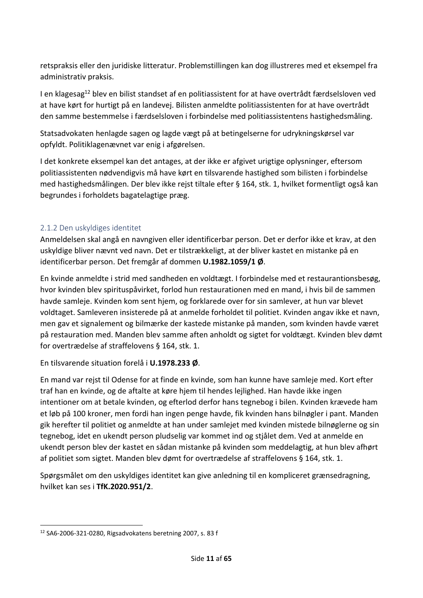retspraksis eller den juridiske litteratur. Problemstillingen kan dog illustreres med et eksempel fra administrativ praksis.

I en klagesag<sup>12</sup> blev en bilist standset af en politiassistent for at have overtrådt færdselsloven ved at have kørt for hurtigt på en landevej. Bilisten anmeldte politiassistenten for at have overtrådt den samme bestemmelse i færdselsloven i forbindelse med politiassistentens hastighedsmåling.

Statsadvokaten henlagde sagen og lagde vægt på at betingelserne for udrykningskørsel var opfyldt. Politiklagenævnet var enig i afgørelsen.

I det konkrete eksempel kan det antages, at der ikke er afgivet urigtige oplysninger, eftersom politiassistenten nødvendigvis må have kørt en tilsvarende hastighed som bilisten i forbindelse med hastighedsmålingen. Der blev ikke rejst tiltale efter § 164, stk. 1, hvilket formentligt også kan begrundes i forholdets bagatelagtige præg.

#### <span id="page-10-0"></span>2.1.2 Den uskyldiges identitet

Anmeldelsen skal angå en navngiven eller identificerbar person. Det er derfor ikke et krav, at den uskyldige bliver nævnt ved navn. Det er tilstrækkeligt, at der bliver kastet en mistanke på en identificerbar person. Det fremgår af dommen **U.1982.1059/1 Ø**.

En kvinde anmeldte i strid med sandheden en voldtægt. I forbindelse med et restaurantionsbesøg, hvor kvinden blev spirituspåvirket, forlod hun restaurationen med en mand, i hvis bil de sammen havde samleje. Kvinden kom sent hjem, og forklarede over for sin samlever, at hun var blevet voldtaget. Samleveren insisterede på at anmelde forholdet til politiet. Kvinden angav ikke et navn, men gav et signalement og bilmærke der kastede mistanke på manden, som kvinden havde været på restauration med. Manden blev samme aften anholdt og sigtet for voldtægt. Kvinden blev dømt for overtrædelse af straffelovens § 164, stk. 1.

En tilsvarende situation forelå i **U.1978.233 Ø**.

En mand var rejst til Odense for at finde en kvinde, som han kunne have samleje med. Kort efter traf han en kvinde, og de aftalte at køre hjem til hendes lejlighed. Han havde ikke ingen intentioner om at betale kvinden, og efterlod derfor hans tegnebog i bilen. Kvinden krævede ham et løb på 100 kroner, men fordi han ingen penge havde, fik kvinden hans bilnøgler i pant. Manden gik herefter til politiet og anmeldte at han under samlejet med kvinden mistede bilnøglerne og sin tegnebog, idet en ukendt person pludselig var kommet ind og stjålet dem. Ved at anmelde en ukendt person blev der kastet en sådan mistanke på kvinden som meddelagtig, at hun blev afhørt af politiet som sigtet. Manden blev dømt for overtrædelse af straffelovens § 164, stk. 1.

Spørgsmålet om den uskyldiges identitet kan give anledning til en kompliceret grænsedragning, hvilket kan ses i **TfK.2020.951/2**.

<sup>12</sup> SA6-2006-321-0280, Rigsadvokatens beretning 2007, s. 83 f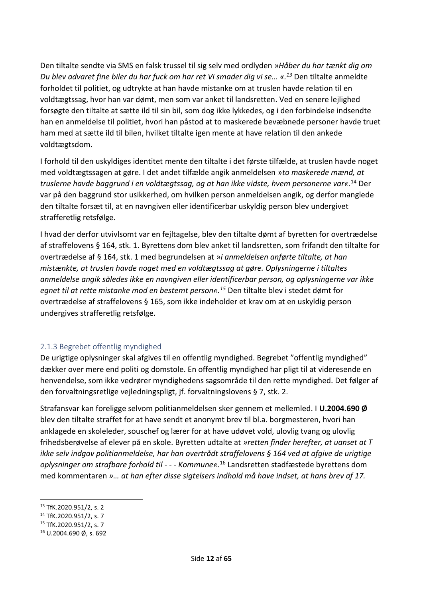Den tiltalte sendte via SMS en falsk trussel til sig selv med ordlyden »*Håber du har tænkt dig om Du blev advaret fine biler du har fuck om har ret Vi smader dig vi se… «.<sup>13</sup>* Den tiltalte anmeldte forholdet til politiet, og udtrykte at han havde mistanke om at truslen havde relation til en voldtægtssag, hvor han var dømt, men som var anket til landsretten. Ved en senere lejlighed forsøgte den tiltalte at sætte ild til sin bil, som dog ikke lykkedes, og i den forbindelse indsendte han en anmeldelse til politiet, hvori han påstod at to maskerede bevæbnede personer havde truet ham med at sætte ild til bilen, hvilket tiltalte igen mente at have relation til den ankede voldtægtsdom.

I forhold til den uskyldiges identitet mente den tiltalte i det første tilfælde, at truslen havde noget med voldtægtssagen at gøre. I det andet tilfælde angik anmeldelsen »*to maskerede mænd, at truslerne havde baggrund i en voldtægtssag, og at han ikke vidste, hvem personerne var«.*<sup>14</sup> Der var på den baggrund stor usikkerhed, om hvilken person anmeldelsen angik, og derfor manglede den tiltalte forsæt til, at en navngiven eller identificerbar uskyldig person blev undergivet strafferetlig retsfølge.

I hvad der derfor utvivlsomt var en fejltagelse, blev den tiltalte dømt af byretten for overtrædelse af straffelovens § 164, stk. 1. Byrettens dom blev anket til landsretten, som frifandt den tiltalte for overtrædelse af § 164, stk. 1 med begrundelsen at »*i anmeldelsen anførte tiltalte, at han mistænkte, at truslen havde noget med en voldtægtssag at gøre. Oplysningerne i tiltaltes anmeldelse angik således ikke en navngiven eller identificerbar person, og oplysningerne var ikke egnet til at rette mistanke mod en bestemt person«.<sup>15</sup>* Den tiltalte blev i stedet dømt for overtrædelse af straffelovens § 165, som ikke indeholder et krav om at en uskyldig person undergives strafferetlig retsfølge.

#### <span id="page-11-0"></span>2.1.3 Begrebet offentlig myndighed

De urigtige oplysninger skal afgives til en offentlig myndighed. Begrebet "offentlig myndighed" dækker over mere end politi og domstole. En offentlig myndighed har pligt til at videresende en henvendelse, som ikke vedrører myndighedens sagsområde til den rette myndighed. Det følger af den forvaltningsretlige vejledningspligt, jf. forvaltningslovens § 7, stk. 2.

Strafansvar kan foreligge selvom politianmeldelsen sker gennem et mellemled. I **U.2004.690 Ø** blev den tiltalte straffet for at have sendt et anonymt brev til bl.a. borgmesteren, hvori han anklagede en skoleleder, souschef og lærer for at have udøvet vold, ulovlig tvang og ulovlig frihedsberøvelse af elever på en skole. Byretten udtalte at *»retten finder herefter, at uanset at T ikke selv indgav politianmeldelse, har han overtrådt straffelovens § 164 ved at afgive de urigtige oplysninger om strafbare forhold til - - - Kommune«.*<sup>16</sup> Landsretten stadfæstede byrettens dom med kommentaren *»… at han efter disse sigtelsers indhold må have indset, at hans brev af 17.* 

<sup>13</sup> TfK.2020.951/2, s. 2

<sup>14</sup> TfK.2020.951/2, s. 7

<sup>15</sup> TfK.2020.951/2, s. 7

<sup>16</sup> U.2004.690 Ø, s. 692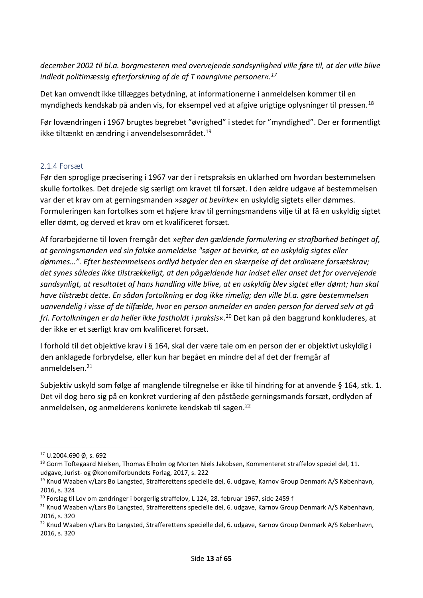*december 2002 til bl.a. borgmesteren med overvejende sandsynlighed ville føre til, at der ville blive indledt politimæssig efterforskning af de af T navngivne personer«.<sup>17</sup>*

Det kan omvendt ikke tillægges betydning, at informationerne i anmeldelsen kommer til en myndigheds kendskab på anden vis, for eksempel ved at afgive urigtige oplysninger til pressen.<sup>18</sup>

Før lovændringen i 1967 brugtes begrebet "øvrighed" i stedet for "myndighed". Der er formentligt ikke tiltænkt en ændring i anvendelsesområdet.<sup>19</sup>

#### <span id="page-12-0"></span>2.1.4 Forsæt

Før den sproglige præcisering i 1967 var der i retspraksis en uklarhed om hvordan bestemmelsen skulle fortolkes. Det drejede sig særligt om kravet til forsæt. I den ældre udgave af bestemmelsen var der et krav om at gerningsmanden »*søger at bevirke*« en uskyldig sigtets eller dømmes. Formuleringen kan fortolkes som et højere krav til gerningsmandens vilje til at få en uskyldig sigtet eller dømt, og derved et krav om et kvalificeret forsæt.

Af forarbejderne til loven fremgår det »*efter den gældende formulering er strafbarhed betinget af, at gerningsmanden ved sin falske anmeldelse "søger at bevirke, at en uskyldig sigtes eller dømmes…". Efter bestemmelsens ordlyd betyder den en skærpelse af det ordinære forsætskrav; det synes således ikke tilstrækkeligt, at den pågældende har indset eller anset det for overvejende sandsynligt, at resultatet af hans handling ville blive, at en uskyldig blev sigtet eller dømt; han skal have tilstræbt dette. En sådan fortolkning er dog ikke rimelig; den ville bl.a. gøre bestemmelsen uanvendelig i visse af de tilfælde, hvor en person anmelder en anden person for derved selv at gå fri. Fortolkningen er da heller ikke fastholdt i praksis*«.<sup>20</sup> Det kan på den baggrund konkluderes, at der ikke er et særligt krav om kvalificeret forsæt.

I forhold til det objektive krav i § 164, skal der være tale om en person der er objektivt uskyldig i den anklagede forbrydelse, eller kun har begået en mindre del af det der fremgår af anmeldelsen.<sup>21</sup>

Subjektiv uskyld som følge af manglende tilregnelse er ikke til hindring for at anvende § 164, stk. 1. Det vil dog bero sig på en konkret vurdering af den påståede gerningsmands forsæt, ordlyden af anmeldelsen, og anmelderens konkrete kendskab til sagen.<sup>22</sup>

<sup>17</sup> U.2004.690 Ø, s. 692

<sup>&</sup>lt;sup>18</sup> Gorm Toftegaard Nielsen, Thomas Elholm og Morten Niels Jakobsen, Kommenteret straffelov speciel del, 11. udgave, Jurist- og Økonomiforbundets Forlag, 2017, s. 222

<sup>19</sup> Knud Waaben v/Lars Bo Langsted, Strafferettens specielle del, 6. udgave, Karnov Group Denmark A/S København, 2016, s. 324

<sup>&</sup>lt;sup>20</sup> Forslag til Lov om ændringer i borgerlig straffelov, L 124, 28. februar 1967, side 2459 f

<sup>&</sup>lt;sup>21</sup> Knud Waaben v/Lars Bo Langsted, Strafferettens specielle del, 6. udgave, Karnov Group Denmark A/S København, 2016, s. 320

<sup>&</sup>lt;sup>22</sup> Knud Waaben v/Lars Bo Langsted, Strafferettens specielle del, 6. udgave, Karnov Group Denmark A/S København, 2016, s. 320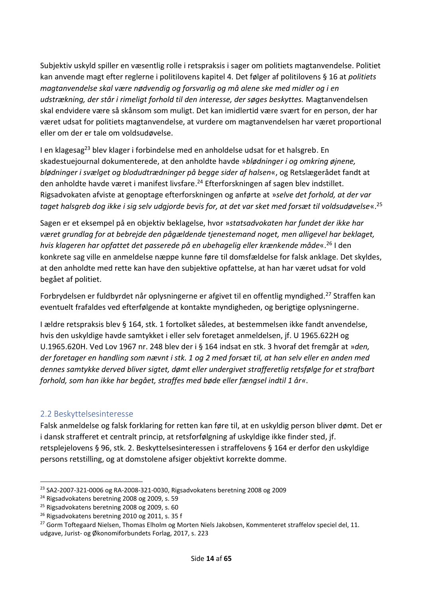Subjektiv uskyld spiller en væsentlig rolle i retspraksis i sager om politiets magtanvendelse. Politiet kan anvende magt efter reglerne i politilovens kapitel 4. Det følger af politilovens § 16 at *politiets magtanvendelse skal være nødvendig og forsvarlig og må alene ske med midler og i en udstrækning, der står i rimeligt forhold til den interesse, der søges beskyttes.* Magtanvendelsen skal endvidere være så skånsom som muligt. Det kan imidlertid være svært for en person, der har været udsat for politiets magtanvendelse, at vurdere om magtanvendelsen har været proportional eller om der er tale om voldsudøvelse.

I en klagesag<sup>23</sup> blev klager i forbindelse med en anholdelse udsat for et halsgreb. En skadestuejournal dokumenterede, at den anholdte havde »*blødninger i og omkring øjnene, blødninger i svælget og blodudtrædninger på begge sider af halsen*«, og Retslægerådet fandt at den anholdte havde været i manifest livsfare. <sup>24</sup> Efterforskningen af sagen blev indstillet. Rigsadvokaten afviste at genoptage efterforskningen og anførte at »*selve det forhold, at der var taget halsgreb dog ikke i sig selv udgjorde bevis for, at det var sket med forsæt til voldsudøvelse*«. 25

Sagen er et eksempel på en objektiv beklagelse, hvor »*statsadvokaten har fundet der ikke har været grundlag for at bebrejde den pågældende tjenestemand noget, men alligevel har beklaget, hvis klageren har opfattet det passerede på en ubehagelig eller krænkende måde*«. <sup>26</sup> I den konkrete sag ville en anmeldelse næppe kunne føre til domsfældelse for falsk anklage. Det skyldes, at den anholdte med rette kan have den subjektive opfattelse, at han har været udsat for vold begået af politiet.

Forbrydelsen er fuldbyrdet når oplysningerne er afgivet til en offentlig myndighed.<sup>27</sup> Straffen kan eventuelt frafaldes ved efterfølgende at kontakte myndigheden, og berigtige oplysningerne.

I ældre retspraksis blev § 164, stk. 1 fortolket således, at bestemmelsen ikke fandt anvendelse, hvis den uskyldige havde samtykket i eller selv foretaget anmeldelsen, jf. U 1965.622H og U.1965.620H. Ved Lov 1967 nr. 248 blev der i § 164 indsat en stk. 3 hvoraf det fremgår at »*den, der foretager en handling som nævnt i stk. 1 og 2 med forsæt til, at han selv eller en anden med dennes samtykke derved bliver sigtet, dømt eller undergivet strafferetlig retsfølge for et strafbart forhold, som han ikke har begået, straffes med bøde eller fængsel indtil 1 år«*.

#### <span id="page-13-0"></span>2.2 Beskyttelsesinteresse

Falsk anmeldelse og falsk forklaring for retten kan føre til, at en uskyldig person bliver dømt. Det er i dansk strafferet et centralt princip, at retsforfølgning af uskyldige ikke finder sted, jf. retsplejelovens § 96, stk. 2. Beskyttelsesinteressen i straffelovens § 164 er derfor den uskyldige persons retstilling, og at domstolene afsiger objektivt korrekte domme.

<sup>23</sup> SA2-2007-321-0006 og RA-2008-321-0030, Rigsadvokatens beretning 2008 og 2009

<sup>24</sup> Rigsadvokatens beretning 2008 og 2009, s. 59

<sup>25</sup> Rigsadvokatens beretning 2008 og 2009, s. 60

<sup>26</sup> Rigsadvokatens beretning 2010 og 2011, s. 35 f

<sup>&</sup>lt;sup>27</sup> Gorm Toftegaard Nielsen, Thomas Elholm og Morten Niels Jakobsen, Kommenteret straffelov speciel del, 11. udgave, Jurist- og Økonomiforbundets Forlag, 2017, s. 223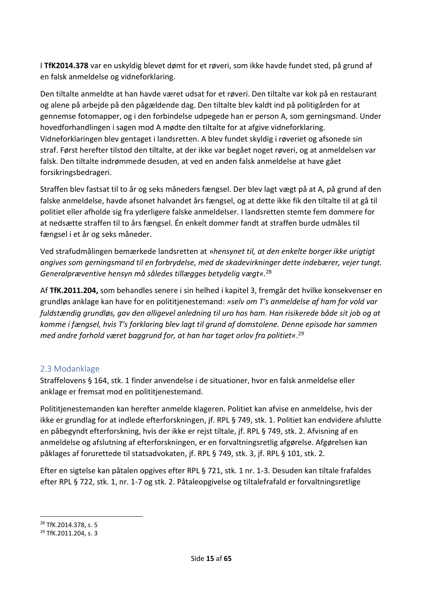I **TfK2014.378** var en uskyldig blevet dømt for et røveri, som ikke havde fundet sted, på grund af en falsk anmeldelse og vidneforklaring.

Den tiltalte anmeldte at han havde været udsat for et røveri. Den tiltalte var kok på en restaurant og alene på arbejde på den pågældende dag. Den tiltalte blev kaldt ind på politigården for at gennemse fotomapper, og i den forbindelse udpegede han er person A, som gerningsmand. Under hovedforhandlingen i sagen mod A mødte den tiltalte for at afgive vidneforklaring. Vidneforklaringen blev gentaget i landsretten. A blev fundet skyldig i røveriet og afsonede sin straf. Først herefter tilstod den tiltalte, at der ikke var begået noget røveri, og at anmeldelsen var falsk. Den tiltalte indrømmede desuden, at ved en anden falsk anmeldelse at have gået forsikringsbedrageri.

Straffen blev fastsat til to år og seks måneders fængsel. Der blev lagt vægt på at A, på grund af den falske anmeldelse, havde afsonet halvandet års fængsel, og at dette ikke fik den tiltalte til at gå til politiet eller afholde sig fra yderligere falske anmeldelser. I landsretten stemte fem dommere for at nedsætte straffen til to års fængsel. Én enkelt dommer fandt at straffen burde udmåles til fængsel i et år og seks måneder.

Ved strafudmålingen bemærkede landsretten at »*hensynet til, at den enkelte borger ikke urigtigt angives som gerningsmand til en forbrydelse, med de skadevirkninger dette indebærer, vejer tungt. Generalpræventive hensyn må således tillægges betydelig vægt«.*<sup>28</sup>

Af **TfK.2011.204,** som behandles senere i sin helhed i kapitel 3, fremgår det hvilke konsekvenser en grundløs anklage kan have for en polititjenestemand: *»selv om T's anmeldelse af ham for vold var fuldstændig grundløs, gav den alligevel anledning til uro hos ham. Han risikerede både sit job og at komme i fængsel, hvis T's forklaring blev lagt til grund af domstolene. Denne episode har sammen med andre forhold været baggrund for, at han har taget orlov fra politiet«*. 29

#### <span id="page-14-0"></span>2.3 Modanklage

Straffelovens § 164, stk. 1 finder anvendelse i de situationer, hvor en falsk anmeldelse eller anklage er fremsat mod en polititjenestemand.

Polititjenestemanden kan herefter anmelde klageren. Politiet kan afvise en anmeldelse, hvis der ikke er grundlag for at indlede efterforskningen, jf. RPL § 749, stk. 1. Politiet kan endvidere afslutte en påbegyndt efterforskning, hvis der ikke er rejst tiltale, jf. RPL § 749, stk. 2. Afvisning af en anmeldelse og afslutning af efterforskningen, er en forvaltningsretlig afgørelse. Afgørelsen kan påklages af forurettede til statsadvokaten, jf. RPL § 749, stk. 3, jf. RPL § 101, stk. 2.

Efter en sigtelse kan påtalen opgives efter RPL § 721, stk. 1 nr. 1-3. Desuden kan tiltale frafaldes efter RPL § 722, stk. 1, nr. 1-7 og stk. 2. Påtaleopgivelse og tiltalefrafald er forvaltningsretlige

<sup>28</sup> TfK.2014.378, s. 5

<sup>29</sup> TfK.2011.204, s. 3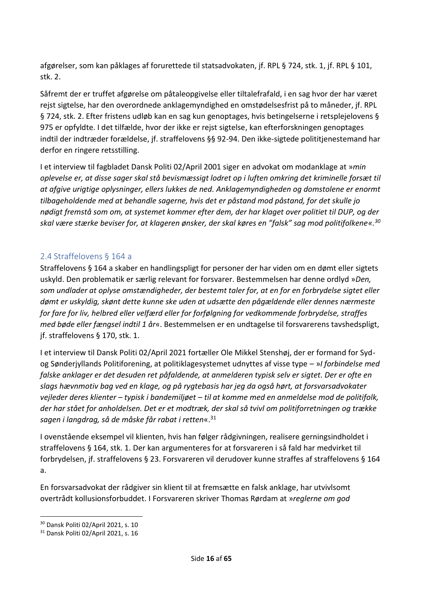afgørelser, som kan påklages af forurettede til statsadvokaten, jf. RPL § 724, stk. 1, jf. RPL § 101, stk. 2.

Såfremt der er truffet afgørelse om påtaleopgivelse eller tiltalefrafald, i en sag hvor der har været rejst sigtelse, har den overordnede anklagemyndighed en omstødelsesfrist på to måneder, jf. RPL § 724, stk. 2. Efter fristens udløb kan en sag kun genoptages, hvis betingelserne i retsplejelovens § 975 er opfyldte. I det tilfælde, hvor der ikke er rejst sigtelse, kan efterforskningen genoptages indtil der indtræder forældelse, jf. straffelovens §§ 92-94. Den ikke-sigtede polititjenestemand har derfor en ringere retsstilling.

I et interview til fagbladet Dansk Politi 02/April 2001 siger en advokat om modanklage at »*min oplevelse er, at disse sager skal stå bevismæssigt lodret op i luften omkring det kriminelle forsæt til at afgive urigtige oplysninger, ellers lukkes de ned. Anklagemyndigheden og domstolene er enormt tilbageholdende med at behandle sagerne, hvis det er påstand mod påstand, for det skulle jo nødigt fremstå som om, at systemet kommer efter dem, der har klaget over politiet til DUP, og der skal være stærke beviser for, at klageren ønsker, der skal køres en "falsk" sag mod politifolkene«.<sup>30</sup>*

#### <span id="page-15-0"></span>2.4 Straffelovens § 164 a

Straffelovens § 164 a skaber en handlingspligt for personer der har viden om en dømt eller sigtets uskyld. Den problematik er særlig relevant for forsvarer. Bestemmelsen har denne ordlyd »*Den, som undlader at oplyse omstændigheder, der bestemt taler for, at en for en forbrydelse sigtet eller dømt er uskyldig, skønt dette kunne ske uden at udsætte den pågældende eller dennes nærmeste for fare for liv, helbred eller velfærd eller for forfølgning for vedkommende forbrydelse, straffes med bøde eller fængsel indtil 1 år*«. Bestemmelsen er en undtagelse til forsvarerens tavshedspligt, jf. straffelovens § 170, stk. 1.

I et interview til Dansk Politi 02/April 2021 fortæller Ole Mikkel Stenshøj, der er formand for Sydog Sønderjyllands Politiforening, at politiklagesystemet udnyttes af visse type – »*I forbindelse med falske anklager er det desuden ret påfaldende, at anmelderen typisk selv er sigtet. Der er ofte en slags hævnmotiv bag ved en klage, og på rygtebasis har jeg da også hørt, at forsvarsadvokater vejleder deres klienter – typisk i bandemiljøet – til at komme med en anmeldelse mod de politifolk, der har stået for anholdelsen. Det er et modtræk, der skal så tvivl om politiforretningen og trække sagen i langdrag, så de måske får rabat i retten*«. 31

I ovenstående eksempel vil klienten, hvis han følger rådgivningen, realisere gerningsindholdet i straffelovens § 164, stk. 1. Der kan argumenteres for at forsvareren i så fald har medvirket til forbrydelsen, jf. straffelovens § 23. Forsvareren vil derudover kunne straffes af straffelovens § 164 a.

En forsvarsadvokat der rådgiver sin klient til at fremsætte en falsk anklage, har utvivlsomt overtrådt kollusionsforbuddet. I Forsvareren skriver Thomas Rørdam at »*reglerne om god* 

<sup>30</sup> Dansk Politi 02/April 2021, s. 10

<sup>31</sup> Dansk Politi 02/April 2021, s. 16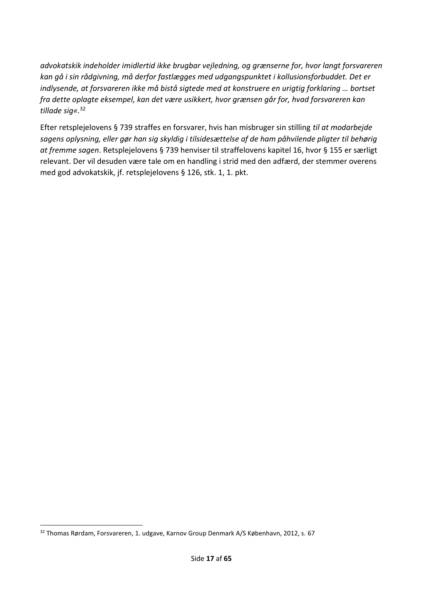*advokatskik indeholder imidlertid ikke brugbar vejledning, og grænserne for, hvor langt forsvareren kan gå i sin rådgivning, må derfor fastlægges med udgangspunktet i kollusionsforbuddet. Det er indlysende, at forsvareren ikke må bistå sigtede med at konstruere en urigtig forklaring … bortset fra dette oplagte eksempel, kan det være usikkert, hvor grænsen går for, hvad forsvareren kan tillade sig«.*<sup>32</sup>

Efter retsplejelovens § 739 straffes en forsvarer, hvis han misbruger sin stilling *til at modarbejde sagens oplysning, eller gør han sig skyldig i tilsidesættelse af de ham påhvilende pligter til behørig at fremme sagen*. Retsplejelovens § 739 henviser til straffelovens kapitel 16, hvor § 155 er særligt relevant. Der vil desuden være tale om en handling i strid med den adfærd, der stemmer overens med god advokatskik, jf. retsplejelovens § 126, stk. 1, 1. pkt.

<sup>32</sup> Thomas Rørdam, Forsvareren, 1. udgave, Karnov Group Denmark A/S København, 2012, s. 67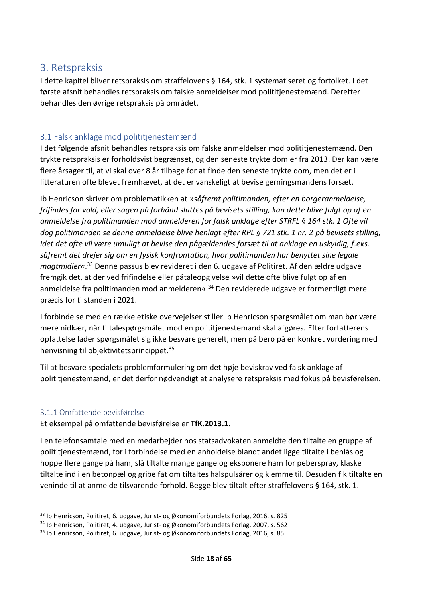# <span id="page-17-0"></span>3. Retspraksis

I dette kapitel bliver retspraksis om straffelovens § 164, stk. 1 systematiseret og fortolket. I det første afsnit behandles retspraksis om falske anmeldelser mod polititjenestemænd. Derefter behandles den øvrige retspraksis på området.

### <span id="page-17-1"></span>3.1 Falsk anklage mod polititjenestemænd

I det følgende afsnit behandles retspraksis om falske anmeldelser mod polititjenestemænd. Den trykte retspraksis er forholdsvist begrænset, og den seneste trykte dom er fra 2013. Der kan være flere årsager til, at vi skal over 8 år tilbage for at finde den seneste trykte dom, men det er i litteraturen ofte blevet fremhævet, at det er vanskeligt at bevise gerningsmandens forsæt.

Ib Henricson skriver om problematikken at »*såfremt politimanden, efter en borgeranmeldelse, frifindes for vold, eller sagen på forhånd sluttes på bevisets stilling, kan dette blive fulgt op af en anmeldelse fra politimanden mod anmelderen for falsk anklage efter STRFL § 164 stk. 1 Ofte vil dog politimanden se denne anmeldelse blive henlagt efter RPL § 721 stk. 1 nr. 2 på bevisets stilling, idet det ofte vil være umuligt at bevise den pågældendes forsæt til at anklage en uskyldig, f.eks. såfremt det drejer sig om en fysisk konfrontation, hvor politimanden har benyttet sine legale magtmidler«*. <sup>33</sup> Denne passus blev revideret i den 6. udgave af Politiret. Af den ældre udgave fremgik det, at der ved frifindelse eller påtaleopgivelse »vil dette ofte blive fulgt op af en anmeldelse fra politimanden mod anmelderen«. <sup>34</sup> Den reviderede udgave er formentligt mere præcis for tilstanden i 2021.

I forbindelse med en række etiske overvejelser stiller Ib Henricson spørgsmålet om man bør være mere nidkær, når tiltalespørgsmålet mod en polititjenestemand skal afgøres. Efter forfatterens opfattelse lader spørgsmålet sig ikke besvare generelt, men på bero på en konkret vurdering med henvisning til objektivitetsprincippet.<sup>35</sup>

Til at besvare specialets problemformulering om det høje beviskrav ved falsk anklage af polititjenestemænd, er det derfor nødvendigt at analysere retspraksis med fokus på bevisførelsen.

#### <span id="page-17-2"></span>3.1.1 Omfattende bevisførelse

Et eksempel på omfattende bevisførelse er **TfK.2013.1**.

I en telefonsamtale med en medarbejder hos statsadvokaten anmeldte den tiltalte en gruppe af polititjenestemænd, for i forbindelse med en anholdelse blandt andet ligge tiltalte i benlås og hoppe flere gange på ham, slå tiltalte mange gange og eksponere ham for peberspray, klaske tiltalte ind i en betonpæl og gribe fat om tiltaltes halspulsårer og klemme til. Desuden fik tiltalte en veninde til at anmelde tilsvarende forhold. Begge blev tiltalt efter straffelovens § 164, stk. 1.

<sup>33</sup> Ib Henricson, Politiret, 6. udgave, Jurist- og Økonomiforbundets Forlag, 2016, s. 825

<sup>34</sup> Ib Henricson, Politiret, 4. udgave, Jurist- og Økonomiforbundets Forlag, 2007, s. 562

<sup>35</sup> Ib Henricson, Politiret, 6. udgave, Jurist- og Økonomiforbundets Forlag, 2016, s. 85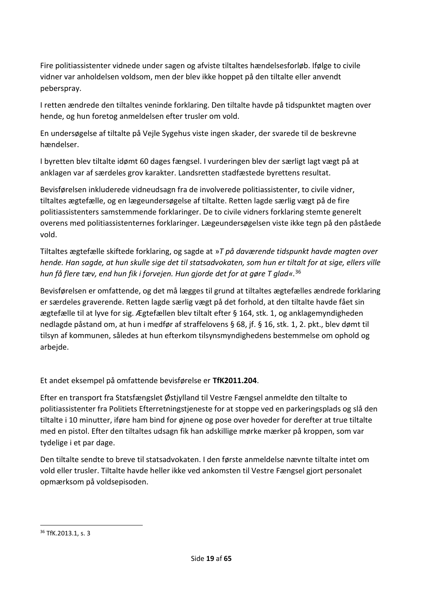Fire politiassistenter vidnede under sagen og afviste tiltaltes hændelsesforløb. Ifølge to civile vidner var anholdelsen voldsom, men der blev ikke hoppet på den tiltalte eller anvendt peberspray.

I retten ændrede den tiltaltes veninde forklaring. Den tiltalte havde på tidspunktet magten over hende, og hun foretog anmeldelsen efter trusler om vold.

En undersøgelse af tiltalte på Vejle Sygehus viste ingen skader, der svarede til de beskrevne hændelser.

I byretten blev tiltalte idømt 60 dages fængsel. I vurderingen blev der særligt lagt vægt på at anklagen var af særdeles grov karakter. Landsretten stadfæstede byrettens resultat.

Bevisførelsen inkluderede vidneudsagn fra de involverede politiassistenter, to civile vidner, tiltaltes ægtefælle, og en lægeundersøgelse af tiltalte. Retten lagde særlig vægt på de fire politiassistenters samstemmende forklaringer. De to civile vidners forklaring stemte generelt overens med politiassistenternes forklaringer. Lægeundersøgelsen viste ikke tegn på den påståede vold.

Tiltaltes ægtefælle skiftede forklaring, og sagde at »*T på daværende tidspunkt havde magten over hende. Han sagde, at hun skulle sige det til statsadvokaten, som hun er tiltalt for at sige, ellers ville hun få flere tæv, end hun fik i forvejen. Hun gjorde det for at gøre T glad«.*<sup>36</sup>

Bevisførelsen er omfattende, og det må lægges til grund at tiltaltes ægtefælles ændrede forklaring er særdeles graverende. Retten lagde særlig vægt på det forhold, at den tiltalte havde fået sin ægtefælle til at lyve for sig. Ægtefællen blev tiltalt efter § 164, stk. 1, og anklagemyndigheden nedlagde påstand om, at hun i medfør af straffelovens § 68, jf. § 16, stk. 1, 2. pkt., blev dømt til tilsyn af kommunen, således at hun efterkom tilsynsmyndighedens bestemmelse om ophold og arbejde.

Et andet eksempel på omfattende bevisførelse er **TfK2011.204**.

Efter en transport fra Statsfængslet Østjylland til Vestre Fængsel anmeldte den tiltalte to politiassistenter fra Politiets Efterretningstjeneste for at stoppe ved en parkeringsplads og slå den tiltalte i 10 minutter, iføre ham bind for øjnene og pose over hoveder for derefter at true tiltalte med en pistol. Efter den tiltaltes udsagn fik han adskillige mørke mærker på kroppen, som var tydelige i et par dage.

Den tiltalte sendte to breve til statsadvokaten. I den første anmeldelse nævnte tiltalte intet om vold eller trusler. Tiltalte havde heller ikke ved ankomsten til Vestre Fængsel gjort personalet opmærksom på voldsepisoden.

<sup>36</sup> TfK.2013.1, s. 3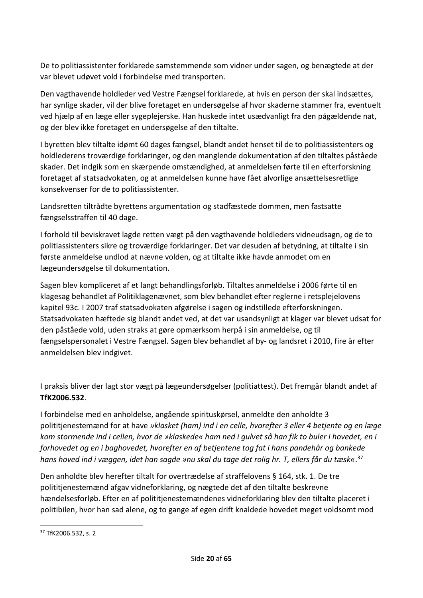De to politiassistenter forklarede samstemmende som vidner under sagen, og benægtede at der var blevet udøvet vold i forbindelse med transporten.

Den vagthavende holdleder ved Vestre Fængsel forklarede, at hvis en person der skal indsættes, har synlige skader, vil der blive foretaget en undersøgelse af hvor skaderne stammer fra, eventuelt ved hjælp af en læge eller sygeplejerske. Han huskede intet usædvanligt fra den pågældende nat, og der blev ikke foretaget en undersøgelse af den tiltalte.

I byretten blev tiltalte idømt 60 dages fængsel, blandt andet henset til de to politiassistenters og holdlederens troværdige forklaringer, og den manglende dokumentation af den tiltaltes påståede skader. Det indgik som en skærpende omstændighed, at anmeldelsen førte til en efterforskning foretaget af statsadvokaten, og at anmeldelsen kunne have fået alvorlige ansættelsesretlige konsekvenser for de to politiassistenter.

Landsretten tiltrådte byrettens argumentation og stadfæstede dommen, men fastsatte fængselsstraffen til 40 dage.

I forhold til beviskravet lagde retten vægt på den vagthavende holdleders vidneudsagn, og de to politiassistenters sikre og troværdige forklaringer. Det var desuden af betydning, at tiltalte i sin første anmeldelse undlod at nævne volden, og at tiltalte ikke havde anmodet om en lægeundersøgelse til dokumentation.

Sagen blev kompliceret af et langt behandlingsforløb. Tiltaltes anmeldelse i 2006 førte til en klagesag behandlet af Politiklagenævnet, som blev behandlet efter reglerne i retsplejelovens kapitel 93c. I 2007 traf statsadvokaten afgørelse i sagen og indstillede efterforskningen. Statsadvokaten hæftede sig blandt andet ved, at det var usandsynligt at klager var blevet udsat for den påståede vold, uden straks at gøre opmærksom herpå i sin anmeldelse, og til fængselspersonalet i Vestre Fængsel. Sagen blev behandlet af by- og landsret i 2010, fire år efter anmeldelsen blev indgivet.

I praksis bliver der lagt stor vægt på lægeundersøgelser (politiattest). Det fremgår blandt andet af **TfK2006.532**.

I forbindelse med en anholdelse, angående spirituskørsel, anmeldte den anholdte 3 polititjenestemænd for at have *»klasket (ham) ind i en celle, hvorefter 3 eller 4 betjente og en læge kom stormende ind i cellen, hvor de »klaskede« ham ned i gulvet så han fik to buler i hovedet, en i forhovedet og en i baghovedet, hvorefter en af betjentene tog fat i hans pandehår og bankede hans hoved ind i væggen, idet han sagde »nu skal du tage det rolig hr. T, ellers får du tæsk«*. 37

Den anholdte blev herefter tiltalt for overtrædelse af straffelovens § 164, stk. 1. De tre polititjenestemænd afgav vidneforklaring, og nægtede det af den tiltalte beskrevne hændelsesforløb. Efter en af polititjenestemændenes vidneforklaring blev den tiltalte placeret i politibilen, hvor han sad alene, og to gange af egen drift knaldede hovedet meget voldsomt mod

<sup>37</sup> TfK2006.532, s. 2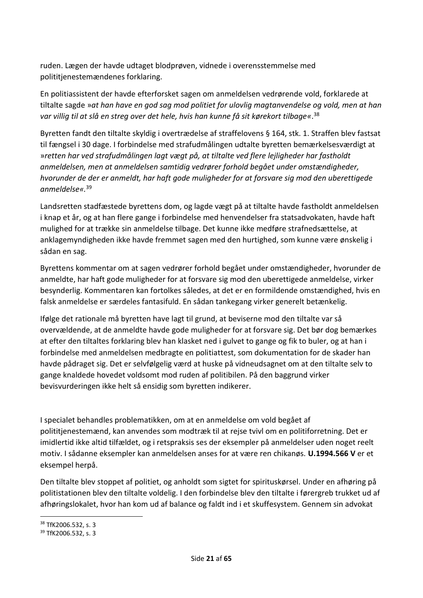ruden. Lægen der havde udtaget blodprøven, vidnede i overensstemmelse med polititjenestemændenes forklaring.

En politiassistent der havde efterforsket sagen om anmeldelsen vedrørende vold, forklarede at tiltalte sagde »*at han have en god sag mod politiet for ulovlig magtanvendelse og vold, men at han var villig til at slå en streg over det hele, hvis han kunne få sit kørekort tilbage«*. 38

Byretten fandt den tiltalte skyldig i overtrædelse af straffelovens § 164, stk. 1. Straffen blev fastsat til fængsel i 30 dage. I forbindelse med strafudmålingen udtalte byretten bemærkelsesværdigt at »*retten har ved strafudmålingen lagt vægt på, at tiltalte ved flere lejligheder har fastholdt anmeldelsen, men at anmeldelsen samtidig vedrører forhold begået under omstændigheder, hvorunder de der er anmeldt, har haft gode muligheder for at forsvare sig mod den uberettigede anmeldelse«.*<sup>39</sup>

Landsretten stadfæstede byrettens dom, og lagde vægt på at tiltalte havde fastholdt anmeldelsen i knap et år, og at han flere gange i forbindelse med henvendelser fra statsadvokaten, havde haft mulighed for at trække sin anmeldelse tilbage. Det kunne ikke medføre strafnedsættelse, at anklagemyndigheden ikke havde fremmet sagen med den hurtighed, som kunne være ønskelig i sådan en sag.

Byrettens kommentar om at sagen vedrører forhold begået under omstændigheder, hvorunder de anmeldte, har haft gode muligheder for at forsvare sig mod den uberettigede anmeldelse, virker besynderlig. Kommentaren kan fortolkes således, at det er en formildende omstændighed, hvis en falsk anmeldelse er særdeles fantasifuld. En sådan tankegang virker generelt betænkelig.

Ifølge det rationale må byretten have lagt til grund, at beviserne mod den tiltalte var så overvældende, at de anmeldte havde gode muligheder for at forsvare sig. Det bør dog bemærkes at efter den tiltaltes forklaring blev han klasket ned i gulvet to gange og fik to buler, og at han i forbindelse med anmeldelsen medbragte en politiattest, som dokumentation for de skader han havde pådraget sig. Det er selvfølgelig værd at huske på vidneudsagnet om at den tiltalte selv to gange knaldede hovedet voldsomt mod ruden af politibilen. På den baggrund virker bevisvurderingen ikke helt så ensidig som byretten indikerer.

I specialet behandles problematikken, om at en anmeldelse om vold begået af polititjenestemænd, kan anvendes som modtræk til at rejse tvivl om en politiforretning. Det er imidlertid ikke altid tilfældet, og i retspraksis ses der eksempler på anmeldelser uden noget reelt motiv. I sådanne eksempler kan anmeldelsen anses for at være ren chikanøs. **U.1994.566 V** er et eksempel herpå.

Den tiltalte blev stoppet af politiet, og anholdt som sigtet for spirituskørsel. Under en afhøring på politistationen blev den tiltalte voldelig. I den forbindelse blev den tiltalte i førergreb trukket ud af afhøringslokalet, hvor han kom ud af balance og faldt ind i et skuffesystem. Gennem sin advokat

<sup>38</sup> TfK2006.532, s. 3

<sup>39</sup> TfK2006.532, s. 3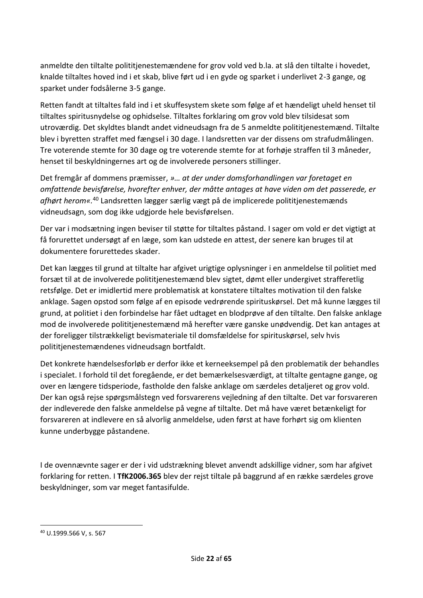anmeldte den tiltalte polititjenestemændene for grov vold ved b.la. at slå den tiltalte i hovedet, knalde tiltaltes hoved ind i et skab, blive ført ud i en gyde og sparket i underlivet 2-3 gange, og sparket under fodsålerne 3-5 gange.

Retten fandt at tiltaltes fald ind i et skuffesystem skete som følge af et hændeligt uheld henset til tiltaltes spiritusnydelse og ophidselse. Tiltaltes forklaring om grov vold blev tilsidesat som utroværdig. Det skyldtes blandt andet vidneudsagn fra de 5 anmeldte polititjenestemænd. Tiltalte blev i byretten straffet med fængsel i 30 dage. I landsretten var der dissens om strafudmålingen. Tre voterende stemte for 30 dage og tre voterende stemte for at forhøje straffen til 3 måneder, henset til beskyldningernes art og de involverede personers stillinger.

Det fremgår af dommens præmisser, *»… at der under domsforhandlingen var foretaget en omfattende bevisførelse, hvorefter enhver, der måtte antages at have viden om det passerede, er afhørt herom«.*<sup>40</sup> Landsretten lægger særlig vægt på de implicerede polititjenestemænds vidneudsagn, som dog ikke udgjorde hele bevisførelsen.

Der var i modsætning ingen beviser til støtte for tiltaltes påstand. I sager om vold er det vigtigt at få forurettet undersøgt af en læge, som kan udstede en attest, der senere kan bruges til at dokumentere forurettedes skader.

Det kan lægges til grund at tiltalte har afgivet urigtige oplysninger i en anmeldelse til politiet med forsæt til at de involverede polititjenestemænd blev sigtet, dømt eller undergivet strafferetlig retsfølge. Det er imidlertid mere problematisk at konstatere tiltaltes motivation til den falske anklage. Sagen opstod som følge af en episode vedrørende spirituskørsel. Det må kunne lægges til grund, at politiet i den forbindelse har fået udtaget en blodprøve af den tiltalte. Den falske anklage mod de involverede polititjenestemænd må herefter være ganske unødvendig. Det kan antages at der foreligger tilstrækkeligt bevismateriale til domsfældelse for spirituskørsel, selv hvis polititjenestemændenes vidneudsagn bortfaldt.

Det konkrete hændelsesforløb er derfor ikke et kerneeksempel på den problematik der behandles i specialet. I forhold til det foregående, er det bemærkelsesværdigt, at tiltalte gentagne gange, og over en længere tidsperiode, fastholde den falske anklage om særdeles detaljeret og grov vold. Der kan også rejse spørgsmålstegn ved forsvarerens vejledning af den tiltalte. Det var forsvareren der indleverede den falske anmeldelse på vegne af tiltalte. Det må have været betænkeligt for forsvareren at indlevere en så alvorlig anmeldelse, uden først at have forhørt sig om klienten kunne underbygge påstandene.

I de ovennævnte sager er der i vid udstrækning blevet anvendt adskillige vidner, som har afgivet forklaring for retten. I **TfK2006.365** blev der rejst tiltale på baggrund af en række særdeles grove beskyldninger, som var meget fantasifulde.

<sup>40</sup> U.1999.566 V, s. 567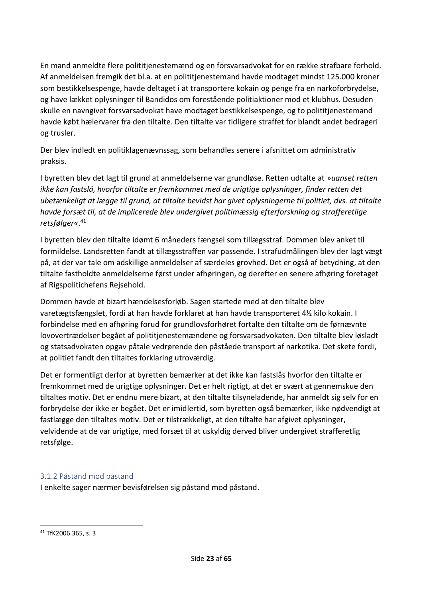En mand anmeldte flere polititjenestemænd og en forsvarsadvokat for en række strafbare forhold. Af anmeldelsen fremgik det bl.a. at en polititjenestemand havde modtaget mindst 125.000 kroner som bestikkelsespenge, havde deltaget i at transportere kokain og penge fra en narkoforbrydelse, og have lækket oplysninger til Bandidos om forestående politiaktioner mod et klubhus. Desuden skulle en navngivet forsvarsadvokat have modtaget bestikkelsespenge, og to polititjenestemand havde købt hælervarer fra den tiltalte. Den tiltalte var tidligere straffet for blandt andet bedrageri og trusler.

Der blev indledt en politiklagenævnssag, som behandles senere i afsnittet om administrativ praksis.

I byretten blev det lagt til grund at anmeldelserne var grundløse. Retten udtalte at »*uanset retten ikke kan fastslå, hvorfor tiltalte er fremkommet med de urigtige oplysninger, finder retten det ubetænkeligt at lægge til grund, at tiltalte bevidst har givet oplysningerne til politiet, dvs. at tiltalte havde forsæt til, at de implicerede blev undergivet politimæssig efterforskning og strafferetlige retsfølger«*. 41

I byretten blev den tiltalte idømt 6 måneders fængsel som tillægsstraf. Dommen blev anket til formildelse. Landsretten fandt at tillægsstraffen var passende. I strafudmålingen blev der lagt vægt på, at der var tale om adskillige anmeldelser af særdeles grovhed. Det er også af betydning, at den tiltalte fastholdte anmeldelserne først under afhøringen, og derefter en senere afhøring foretaget af Rigspolitichefens Rejsehold.

Dommen havde et bizart hændelsesforløb. Sagen startede med at den tiltalte blev varetægtsfængslet, fordi at han havde forklaret at han havde transporteret 4½ kilo kokain. I forbindelse med en afhøring forud for grundlovsforhøret fortalte den tiltalte om de førnævnte lovovertrædelser begået af polititjenestemændene og forsvarsadvokaten. Den tiltalte blev løsladt og statsadvokaten opgav påtale vedrørende den påståede transport af narkotika. Det skete fordi, at politiet fandt den tiltaltes forklaring utroværdig.

Det er formentligt derfor at byretten bemærker at det ikke kan fastslås hvorfor den tiltalte er fremkommet med de urigtige oplysninger. Det er helt rigtigt, at det er svært at gennemskue den tiltaltes motiv. Det er endnu mere bizart, at den tiltalte tilsyneladende, har anmeldt sig selv for en forbrydelse der ikke er begået. Det er imidlertid, som byretten også bemærker, ikke nødvendigt at fastlægge den tiltaltes motiv. Det er tilstrækkeligt, at den tiltalte har afgivet oplysninger, velvidende at de var urigtige, med forsæt til at uskyldig derved bliver undergivet strafferetlig retsfølge.

#### <span id="page-22-0"></span>3.1.2 Påstand mod påstand

I enkelte sager nærmer bevisførelsen sig påstand mod påstand.

<sup>41</sup> TfK2006.365, s. 3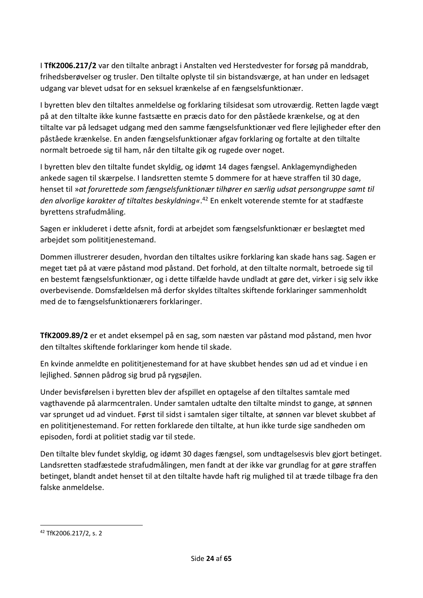I **TfK2006.217/2** var den tiltalte anbragt i Anstalten ved Herstedvester for forsøg på manddrab, frihedsberøvelser og trusler. Den tiltalte oplyste til sin bistandsværge, at han under en ledsaget udgang var blevet udsat for en seksuel krænkelse af en fængselsfunktionær.

I byretten blev den tiltaltes anmeldelse og forklaring tilsidesat som utroværdig. Retten lagde vægt på at den tiltalte ikke kunne fastsætte en præcis dato for den påståede krænkelse, og at den tiltalte var på ledsaget udgang med den samme fængselsfunktionær ved flere lejligheder efter den påståede krænkelse. En anden fængselsfunktionær afgav forklaring og fortalte at den tiltalte normalt betroede sig til ham, når den tiltalte gik og rugede over noget.

I byretten blev den tiltalte fundet skyldig, og idømt 14 dages fængsel. Anklagemyndigheden ankede sagen til skærpelse. I landsretten stemte 5 dommere for at hæve straffen til 30 dage, henset til »*at forurettede som fængselsfunktionær tilhører en særlig udsat persongruppe samt til den alvorlige karakter af tiltaltes beskyldning«*. <sup>42</sup> En enkelt voterende stemte for at stadfæste byrettens strafudmåling.

Sagen er inkluderet i dette afsnit, fordi at arbejdet som fængselsfunktionær er beslægtet med arbejdet som polititjenestemand.

Dommen illustrerer desuden, hvordan den tiltaltes usikre forklaring kan skade hans sag. Sagen er meget tæt på at være påstand mod påstand. Det forhold, at den tiltalte normalt, betroede sig til en bestemt fængselsfunktionær, og i dette tilfælde havde undladt at gøre det, virker i sig selv ikke overbevisende. Domsfældelsen må derfor skyldes tiltaltes skiftende forklaringer sammenholdt med de to fængselsfunktionærers forklaringer.

**TfK2009.89/2** er et andet eksempel på en sag, som næsten var påstand mod påstand, men hvor den tiltaltes skiftende forklaringer kom hende til skade.

En kvinde anmeldte en polititjenestemand for at have skubbet hendes søn ud ad et vindue i en lejlighed. Sønnen pådrog sig brud på rygsøjlen.

Under bevisførelsen i byretten blev der afspillet en optagelse af den tiltaltes samtale med vagthavende på alarmcentralen. Under samtalen udtalte den tiltalte mindst to gange, at sønnen var sprunget ud ad vinduet. Først til sidst i samtalen siger tiltalte, at sønnen var blevet skubbet af en polititjenestemand. For retten forklarede den tiltalte, at hun ikke turde sige sandheden om episoden, fordi at politiet stadig var til stede.

Den tiltalte blev fundet skyldig, og idømt 30 dages fængsel, som undtagelsesvis blev gjort betinget. Landsretten stadfæstede strafudmålingen, men fandt at der ikke var grundlag for at gøre straffen betinget, blandt andet henset til at den tiltalte havde haft rig mulighed til at træde tilbage fra den falske anmeldelse.

<sup>42</sup> TfK2006.217/2, s. 2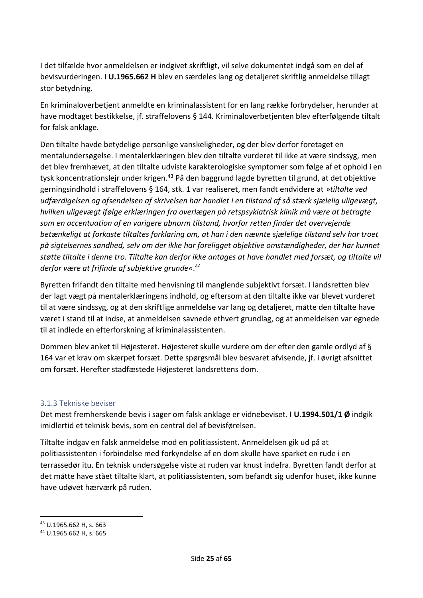I det tilfælde hvor anmeldelsen er indgivet skriftligt, vil selve dokumentet indgå som en del af bevisvurderingen. I **U.1965.662 H** blev en særdeles lang og detaljeret skriftlig anmeldelse tillagt stor betydning.

En kriminaloverbetjent anmeldte en kriminalassistent for en lang række forbrydelser, herunder at have modtaget bestikkelse, jf. straffelovens § 144. Kriminaloverbetjenten blev efterfølgende tiltalt for falsk anklage.

Den tiltalte havde betydelige personlige vanskeligheder, og der blev derfor foretaget en mentalundersøgelse. I mentalerklæringen blev den tiltalte vurderet til ikke at være sindssyg, men det blev fremhævet, at den tiltalte udviste karakterologiske symptomer som følge af et ophold i en tysk koncentrationslejr under krigen.<sup>43</sup> På den baggrund lagde byretten til grund, at det objektive gerningsindhold i straffelovens § 164, stk. 1 var realiseret, men fandt endvidere at »*tiltalte ved udfærdigelsen og afsendelsen af skrivelsen har handlet i en tilstand af så stærk sjælelig uligevægt, hvilken uligevægt ifølge erklæringen fra overlægen på retspsykiatrisk klinik må være at betragte som en accentuation af en varigere abnorm tilstand, hvorfor retten finder det overvejende betænkeligt at forkaste tiltaltes forklaring om, at han i den nævnte sjælelige tilstand selv har troet på sigtelsernes sandhed, selv om der ikke har foreligget objektive omstændigheder, der har kunnet støtte tiltalte i denne tro. Tiltalte kan derfor ikke antages at have handlet med forsæt, og tiltalte vil derfor være at frifinde af subjektive grunde«*. 44

Byretten frifandt den tiltalte med henvisning til manglende subjektivt forsæt. I landsretten blev der lagt vægt på mentalerklæringens indhold, og eftersom at den tiltalte ikke var blevet vurderet til at være sindssyg, og at den skriftlige anmeldelse var lang og detaljeret, måtte den tiltalte have været i stand til at indse, at anmeldelsen savnede ethvert grundlag, og at anmeldelsen var egnede til at indlede en efterforskning af kriminalassistenten.

Dommen blev anket til Højesteret. Højesteret skulle vurdere om der efter den gamle ordlyd af § 164 var et krav om skærpet forsæt. Dette spørgsmål blev besvaret afvisende, jf. i øvrigt afsnittet om forsæt. Herefter stadfæstede Højesteret landsrettens dom.

#### <span id="page-24-0"></span>3.1.3 Tekniske beviser

Det mest fremherskende bevis i sager om falsk anklage er vidnebeviset. I **U.1994.501/1 Ø** indgik imidlertid et teknisk bevis, som en central del af bevisførelsen.

Tiltalte indgav en falsk anmeldelse mod en politiassistent. Anmeldelsen gik ud på at politiassistenten i forbindelse med forkyndelse af en dom skulle have sparket en rude i en terrassedør itu. En teknisk undersøgelse viste at ruden var knust indefra. Byretten fandt derfor at det måtte have stået tiltalte klart, at politiassistenten, som befandt sig udenfor huset, ikke kunne have udøvet hærværk på ruden.

<sup>43</sup> U.1965.662 H, s. 663

<sup>44</sup> U.1965.662 H, s. 665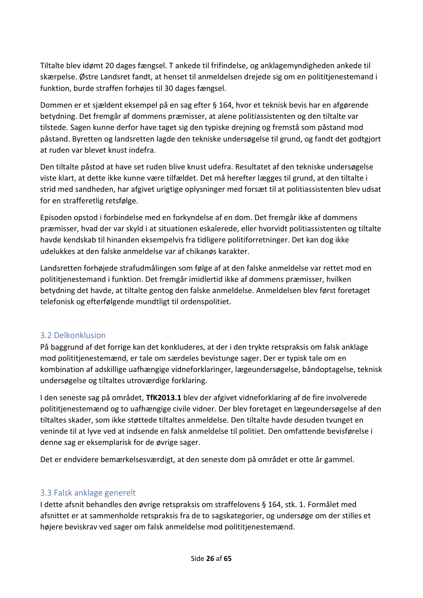Tiltalte blev idømt 20 dages fængsel. T ankede til frifindelse, og anklagemyndigheden ankede til skærpelse. Østre Landsret fandt, at henset til anmeldelsen drejede sig om en polititjenestemand i funktion, burde straffen forhøjes til 30 dages fængsel.

Dommen er et sjældent eksempel på en sag efter § 164, hvor et teknisk bevis har en afgørende betydning. Det fremgår af dommens præmisser, at alene politiassistenten og den tiltalte var tilstede. Sagen kunne derfor have taget sig den typiske drejning og fremstå som påstand mod påstand. Byretten og landsretten lagde den tekniske undersøgelse til grund, og fandt det godtgjort at ruden var blevet knust indefra.

Den tiltalte påstod at have set ruden blive knust udefra. Resultatet af den tekniske undersøgelse viste klart, at dette ikke kunne være tilfældet. Det må herefter lægges til grund, at den tiltalte i strid med sandheden, har afgivet urigtige oplysninger med forsæt til at politiassistenten blev udsat for en strafferetlig retsfølge.

Episoden opstod i forbindelse med en forkyndelse af en dom. Det fremgår ikke af dommens præmisser, hvad der var skyld i at situationen eskalerede, eller hvorvidt politiassistenten og tiltalte havde kendskab til hinanden eksempelvis fra tidligere politiforretninger. Det kan dog ikke udelukkes at den falske anmeldelse var af chikanøs karakter.

Landsretten forhøjede strafudmålingen som følge af at den falske anmeldelse var rettet mod en polititjenestemand i funktion. Det fremgår imidlertid ikke af dommens præmisser, hvilken betydning det havde, at tiltalte gentog den falske anmeldelse. Anmeldelsen blev først foretaget telefonisk og efterfølgende mundtligt til ordenspolitiet.

#### <span id="page-25-0"></span>3.2 Delkonklusion

På baggrund af det forrige kan det konkluderes, at der i den trykte retspraksis om falsk anklage mod polititjenestemænd, er tale om særdeles bevistunge sager. Der er typisk tale om en kombination af adskillige uafhængige vidneforklaringer, lægeundersøgelse, båndoptagelse, teknisk undersøgelse og tiltaltes utroværdige forklaring.

I den seneste sag på området, **TfK2013.1** blev der afgivet vidneforklaring af de fire involverede polititjenestemænd og to uafhængige civile vidner. Der blev foretaget en lægeundersøgelse af den tiltaltes skader, som ikke støttede tiltaltes anmeldelse. Den tiltalte havde desuden tvunget en veninde til at lyve ved at indsende en falsk anmeldelse til politiet. Den omfattende bevisførelse i denne sag er eksemplarisk for de øvrige sager.

Det er endvidere bemærkelsesværdigt, at den seneste dom på området er otte år gammel.

#### <span id="page-25-1"></span>3.3 Falsk anklage generelt

I dette afsnit behandles den øvrige retspraksis om straffelovens § 164, stk. 1. Formålet med afsnittet er at sammenholde retspraksis fra de to sagskategorier, og undersøge om der stilles et højere beviskrav ved sager om falsk anmeldelse mod polititjenestemænd.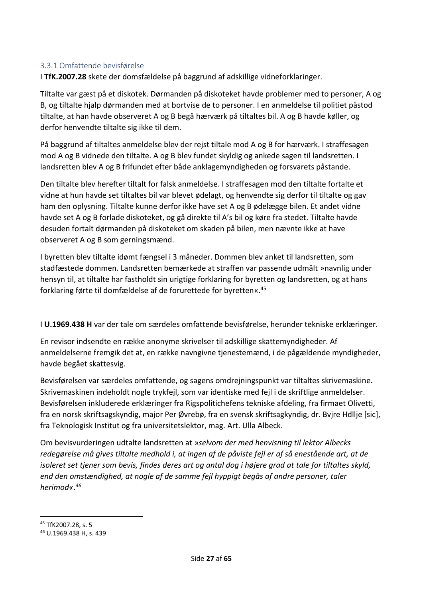#### <span id="page-26-0"></span>3.3.1 Omfattende bevisførelse

I **TfK.2007.28** skete der domsfældelse på baggrund af adskillige vidneforklaringer.

Tiltalte var gæst på et diskotek. Dørmanden på diskoteket havde problemer med to personer, A og B, og tiltalte hjalp dørmanden med at bortvise de to personer. I en anmeldelse til politiet påstod tiltalte, at han havde observeret A og B begå hærværk på tiltaltes bil. A og B havde køller, og derfor henvendte tiltalte sig ikke til dem.

På baggrund af tiltaltes anmeldelse blev der rejst tiltale mod A og B for hærværk. I straffesagen mod A og B vidnede den tiltalte. A og B blev fundet skyldig og ankede sagen til landsretten. I landsretten blev A og B frifundet efter både anklagemyndigheden og forsvarets påstande.

Den tiltalte blev herefter tiltalt for falsk anmeldelse. I straffesagen mod den tiltalte fortalte et vidne at hun havde set tiltaltes bil var blevet ødelagt, og henvendte sig derfor til tiltalte og gav ham den oplysning. Tiltalte kunne derfor ikke have set A og B ødelægge bilen. Et andet vidne havde set A og B forlade diskoteket, og gå direkte til A's bil og køre fra stedet. Tiltalte havde desuden fortalt dørmanden på diskoteket om skaden på bilen, men nævnte ikke at have observeret A og B som gerningsmænd.

I byretten blev tiltalte idømt fængsel i 3 måneder. Dommen blev anket til landsretten, som stadfæstede dommen. Landsretten bemærkede at straffen var passende udmålt »navnlig under hensyn til, at tiltalte har fastholdt sin urigtige forklaring for byretten og landsretten, og at hans forklaring førte til domfældelse af de forurettede for byretten«.<sup>45</sup>

I **U.1969.438 H** var der tale om særdeles omfattende bevisførelse, herunder tekniske erklæringer.

En revisor indsendte en række anonyme skrivelser til adskillige skattemyndigheder. Af anmeldelserne fremgik det at, en række navngivne tjenestemænd, i de pågældende myndigheder, havde begået skattesvig.

Bevisførelsen var særdeles omfattende, og sagens omdrejningspunkt var tiltaltes skrivemaskine. Skrivemaskinen indeholdt nogle trykfejl, som var identiske med fejl i de skriftlige anmeldelser. Bevisførelsen inkluderede erklæringer fra Rigspolitichefens tekniske afdeling, fra firmaet Olivetti, fra en norsk skriftsagskyndig, major Per Øvrebø, fra en svensk skriftsagkyndig, dr. Bvjre Hdllje [sic], fra Teknologisk Institut og fra universitetslektor, mag. Art. Ulla Albeck.

Om bevisvurderingen udtalte landsretten at »*selvom der med henvisning til lektor Albecks redegørelse må gives tiltalte medhold i, at ingen af de påviste fejl er af så enestående art, at de isoleret set tjener som bevis, findes deres art og antal dog i højere grad at tale for tiltaltes skyld, end den omstændighed, at nogle af de samme fejl hyppigt begås af andre personer, taler herimod«*. *46*

<sup>45</sup> TfK2007.28, s. 5

<sup>46</sup> U.1969.438 H, s. 439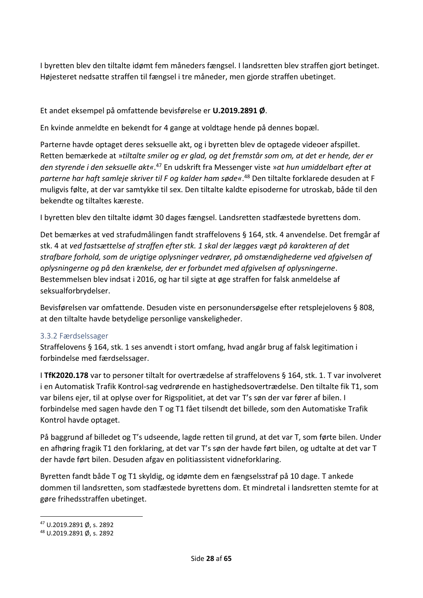I byretten blev den tiltalte idømt fem måneders fængsel. I landsretten blev straffen gjort betinget. Højesteret nedsatte straffen til fængsel i tre måneder, men gjorde straffen ubetinget.

#### Et andet eksempel på omfattende bevisførelse er **U.2019.2891 Ø**.

En kvinde anmeldte en bekendt for 4 gange at voldtage hende på dennes bopæl.

Parterne havde optaget deres seksuelle akt, og i byretten blev de optagede videoer afspillet. Retten bemærkede at »*tiltalte smiler og er glad, og det fremstår som om, at det er hende, der er den styrende i den seksuelle akt«*. <sup>47</sup> En udskrift fra Messenger viste »*at hun umiddelbart efter at parterne har haft samleje skriver til F og kalder ham søde«*. <sup>48</sup> Den tiltalte forklarede desuden at F muligvis følte, at der var samtykke til sex. Den tiltalte kaldte episoderne for utroskab, både til den bekendte og tiltaltes kæreste.

I byretten blev den tiltalte idømt 30 dages fængsel. Landsretten stadfæstede byrettens dom.

Det bemærkes at ved strafudmålingen fandt straffelovens § 164, stk. 4 anvendelse. Det fremgår af stk. 4 at *ved fastsættelse af straffen efter stk. 1 skal der lægges vægt på karakteren af det strafbare forhold, som de urigtige oplysninger vedrører, på omstændighederne ved afgivelsen af oplysningerne og på den krænkelse, der er forbundet med afgivelsen af oplysningerne*. Bestemmelsen blev indsat i 2016, og har til sigte at øge straffen for falsk anmeldelse af seksualforbrydelser.

Bevisførelsen var omfattende. Desuden viste en personundersøgelse efter retsplejelovens § 808, at den tiltalte havde betydelige personlige vanskeligheder.

#### <span id="page-27-0"></span>3.3.2 Færdselssager

Straffelovens § 164, stk. 1 ses anvendt i stort omfang, hvad angår brug af falsk legitimation i forbindelse med færdselssager.

I **TfK2020.178** var to personer tiltalt for overtrædelse af straffelovens § 164, stk. 1. T var involveret i en Automatisk Trafik Kontrol-sag vedrørende en hastighedsovertrædelse. Den tiltalte fik T1, som var bilens ejer, til at oplyse over for Rigspolitiet, at det var T's søn der var fører af bilen. I forbindelse med sagen havde den T og T1 fået tilsendt det billede, som den Automatiske Trafik Kontrol havde optaget.

På baggrund af billedet og T's udseende, lagde retten til grund, at det var T, som førte bilen. Under en afhøring fragik T1 den forklaring, at det var T's søn der havde ført bilen, og udtalte at det var T der havde ført bilen. Desuden afgav en politiassistent vidneforklaring.

Byretten fandt både T og T1 skyldig, og idømte dem en fængselsstraf på 10 dage. T ankede dommen til landsretten, som stadfæstede byrettens dom. Et mindretal i landsretten stemte for at gøre frihedsstraffen ubetinget.

<sup>47</sup> U.2019.2891 Ø, s. 2892

<sup>48</sup> U.2019.2891 Ø, s. 2892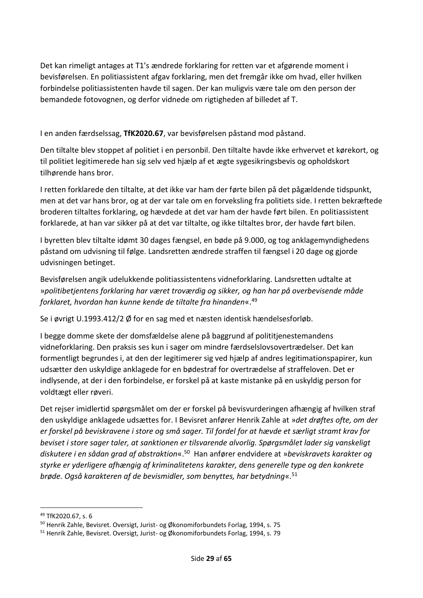Det kan rimeligt antages at T1's ændrede forklaring for retten var et afgørende moment i bevisførelsen. En politiassistent afgav forklaring, men det fremgår ikke om hvad, eller hvilken forbindelse politiassistenten havde til sagen. Der kan muligvis være tale om den person der bemandede fotovognen, og derfor vidnede om rigtigheden af billedet af T.

I en anden færdselssag, **TfK2020.67**, var bevisførelsen påstand mod påstand.

Den tiltalte blev stoppet af politiet i en personbil. Den tiltalte havde ikke erhvervet et kørekort, og til politiet legitimerede han sig selv ved hjælp af et ægte sygesikringsbevis og opholdskort tilhørende hans bror.

I retten forklarede den tiltalte, at det ikke var ham der førte bilen på det pågældende tidspunkt, men at det var hans bror, og at der var tale om en forveksling fra politiets side. I retten bekræftede broderen tiltaltes forklaring, og hævdede at det var ham der havde ført bilen. En politiassistent forklarede, at han var sikker på at det var tiltalte, og ikke tiltaltes bror, der havde ført bilen.

I byretten blev tiltalte idømt 30 dages fængsel, en bøde på 9.000, og tog anklagemyndighedens påstand om udvisning til følge. Landsretten ændrede straffen til fængsel i 20 dage og gjorde udvisningen betinget.

Bevisførelsen angik udelukkende politiassistentens vidneforklaring. Landsretten udtalte at »*politibetjentens forklaring har været troværdig og sikker, og han har på overbevisende måde forklaret, hvordan han kunne kende de tiltalte fra hinanden*«.<sup>49</sup>

Se i øvrigt U.1993.412/2 Ø for en sag med et næsten identisk hændelsesforløb.

I begge domme skete der domsfældelse alene på baggrund af polititjenestemandens vidneforklaring. Den praksis ses kun i sager om mindre færdselslovsovertrædelser. Det kan formentligt begrundes i, at den der legitimerer sig ved hjælp af andres legitimationspapirer, kun udsætter den uskyldige anklagede for en bødestraf for overtrædelse af straffeloven. Det er indlysende, at der i den forbindelse, er forskel på at kaste mistanke på en uskyldig person for voldtægt eller røveri.

Det rejser imidlertid spørgsmålet om der er forskel på bevisvurderingen afhængig af hvilken straf den uskyldige anklagede udsættes for. I Bevisret anfører Henrik Zahle at »*det drøftes ofte, om der er forskel på beviskravene i store og små sager. Til fordel for at hævde et særligt stramt krav for beviset i store sager taler, at sanktionen er tilsvarende alvorlig. Spørgsmålet lader sig vanskeligt diskutere i en sådan grad af abstraktion*«. <sup>50</sup> Han anfører endvidere at »*beviskravets karakter og styrke er yderligere afhængig af kriminalitetens karakter, dens generelle type og den konkrete brøde. Også karakteren af de bevismidler, som benyttes, har betydning*«. 51

<sup>49</sup> TfK2020.67, s. 6

<sup>50</sup> Henrik Zahle, Bevisret. Oversigt, Jurist- og Økonomiforbundets Forlag, 1994, s. 75

<sup>51</sup> Henrik Zahle, Bevisret. Oversigt, Jurist- og Økonomiforbundets Forlag, 1994, s. 79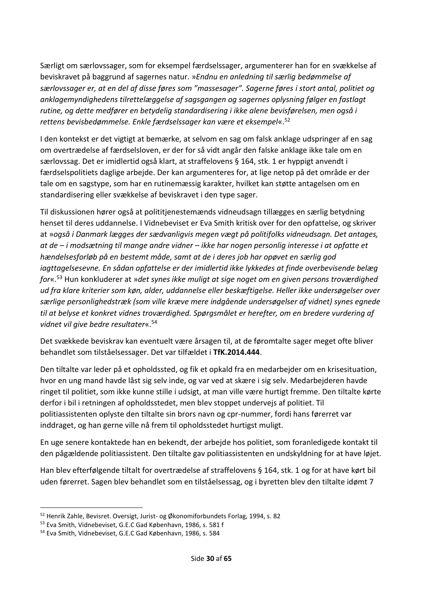Særligt om særlovssager, som for eksempel færdselssager, argumenterer han for en svækkelse af beviskravet på baggrund af sagernes natur. »*Endnu en anledning til særlig bedømmelse af*  særlovssager er, at en del af disse føres som "massesager". Sagerne føres i stort antal, politiet og *anklagemyndighedens tilrettelæggelse af sagsgangen og sagernes oplysning følger en fastlagt rutine, og dette medfører en betydelig standardisering i ikke alene bevisførelsen, men også i rettens bevisbedømmelse. Enkle færdselssager kan være et eksempel*«. 52

I den kontekst er det vigtigt at bemærke, at selvom en sag om falsk anklage udspringer af en sag om overtrædelse af færdselsloven, er der for så vidt angår den falske anklage ikke tale om en særlovssag. Det er imidlertid også klart, at straffelovens § 164, stk. 1 er hyppigt anvendt i færdselspolitiets daglige arbejde. Der kan argumenteres for, at lige netop på det område er der tale om en sagstype, som har en rutinemæssig karakter, hvilket kan støtte antagelsen om en standardisering eller svækkelse af beviskravet i den type sager.

Til diskussionen hører også at polititjenestemænds vidneudsagn tillægges en særlig betydning henset til deres uddannelse. I Vidnebeviset er Eva Smith kritisk over for den opfattelse, og skriver at »*også i Danmark lægges der sædvanligvis megen vægt på politifolks vidneudsagn. Det antages, at de – i modsætning til mange andre vidner – ikke har nogen personlig interesse i at opfatte et hændelsesforløb på en bestemt måde, samt at de i deres job har opøvet en særlig god iagttagelsesevne. En sådan opfattelse er der imidlertid ikke lykkedes at finde overbevisende belæg for*«. <sup>53</sup> Hun konkluderer at »*det synes ikke muligt at sige noget om en given persons troværdighed ud fra klare kriterier som køn, alder, uddannelse eller beskæftigelse. Heller ikke undersøgelser over særlige personlighedstræk (som ville kræve mere indgående undersøgelser af vidnet) synes egnede til at belyse et konkret vidnes troværdighed. Spørgsmålet er herefter, om en bredere vurdering af vidnet vil give bedre resultater*«. 54

Det svækkede beviskrav kan eventuelt være årsagen til, at de føromtalte sager meget ofte bliver behandlet som tilståelsessager. Det var tilfældet i **TfK.2014.444**.

Den tiltalte var leder på et opholdssted, og fik et opkald fra en medarbejder om en krisesituation, hvor en ung mand havde låst sig selv inde, og var ved at skære i sig selv. Medarbejderen havde ringet til politiet, som ikke kunne stille i udsigt, at man ville være hurtigt fremme. Den tiltalte kørte derfor i bil i retningen af opholdsstedet, men blev stoppet undervejs af politiet. Til politiassistenten oplyste den tiltalte sin brors navn og cpr-nummer, fordi hans førerret var inddraget, og han gerne ville nå frem til opholdsstedet hurtigst muligt.

En uge senere kontaktede han en bekendt, der arbejde hos politiet, som foranledigede kontakt til den pågældende politiassistent. Den tiltalte gav politiassistenten en undskyldning for at have løjet.

Han blev efterfølgende tiltalt for overtrædelse af straffelovens § 164, stk. 1 og for at have kørt bil uden førerret. Sagen blev behandlet som en tilståelsessag, og i byretten blev den tiltalte idømt 7

<sup>52</sup> Henrik Zahle, Bevisret. Oversigt, Jurist- og Økonomiforbundets Forlag, 1994, s. 82

<sup>53</sup> Eva Smith, Vidnebeviset, G.E.C Gad København, 1986, s. 581 f

<sup>54</sup> Eva Smith, Vidnebeviset, G.E.C Gad København, 1986, s. 584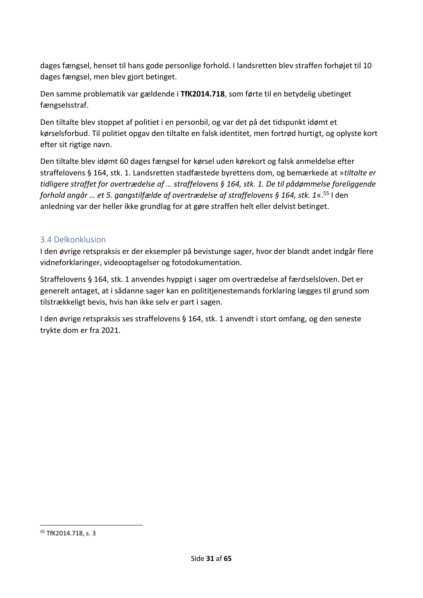dages fængsel, henset til hans gode personlige forhold. I landsretten blev straffen forhøjet til 10 dages fængsel, men blev gjort betinget.

Den samme problematik var gældende i **TfK2014.718**, som førte til en betydelig ubetinget fængselsstraf.

Den tiltalte blev stoppet af politiet i en personbil, og var det på det tidspunkt idømt et kørselsforbud. Til politiet opgav den tiltalte en falsk identitet, men fortrød hurtigt, og oplyste kort efter sit rigtige navn.

Den tiltalte blev idømt 60 dages fængsel for kørsel uden kørekort og falsk anmeldelse efter straffelovens § 164, stk. 1. Landsretten stadfæstede byrettens dom, og bemærkede at »*tiltalte er tidligere straffet for overtrædelse af … straffelovens § 164, stk. 1. De til pådømmelse foreliggende forhold angår … et 5. gangstilfælde af overtrædelse af straffelovens § 164, stk. 1*«.<sup>55</sup> I den anledning var der heller ikke grundlag for at gøre straffen helt eller delvist betinget.

### <span id="page-30-0"></span>3.4 Delkonklusion

I den øvrige retspraksis er der eksempler på bevistunge sager, hvor der blandt andet indgår flere vidneforklaringer, videooptagelser og fotodokumentation.

Straffelovens § 164, stk. 1 anvendes hyppigt i sager om overtrædelse af færdselsloven. Det er generelt antaget, at i sådanne sager kan en polititjenestemands forklaring lægges til grund som tilstrækkeligt bevis, hvis han ikke selv er part i sagen.

I den øvrige retspraksis ses straffelovens § 164, stk. 1 anvendt i stort omfang, og den seneste trykte dom er fra 2021.

<sup>55</sup> TfK2014.718, s. 3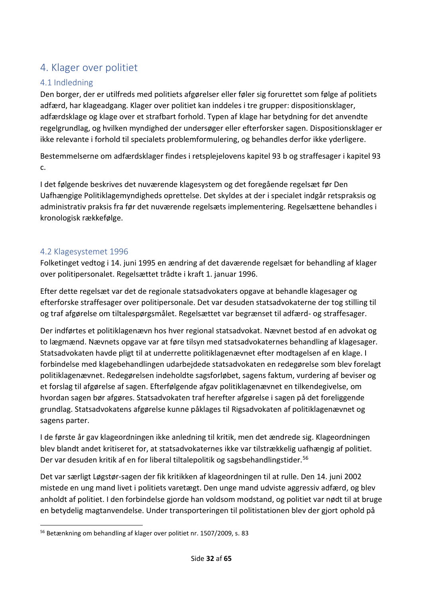# <span id="page-31-0"></span>4. Klager over politiet

# <span id="page-31-1"></span>4.1 Indledning

Den borger, der er utilfreds med politiets afgørelser eller føler sig forurettet som følge af politiets adfærd, har klageadgang. Klager over politiet kan inddeles i tre grupper: dispositionsklager, adfærdsklage og klage over et strafbart forhold. Typen af klage har betydning for det anvendte regelgrundlag, og hvilken myndighed der undersøger eller efterforsker sagen. Dispositionsklager er ikke relevante i forhold til specialets problemformulering, og behandles derfor ikke yderligere.

Bestemmelserne om adfærdsklager findes i retsplejelovens kapitel 93 b og straffesager i kapitel 93 c.

I det følgende beskrives det nuværende klagesystem og det foregående regelsæt før Den Uafhængige Politiklagemyndigheds oprettelse. Det skyldes at der i specialet indgår retspraksis og administrativ praksis fra før det nuværende regelsæts implementering. Regelsættene behandles i kronologisk rækkefølge.

### <span id="page-31-2"></span>4.2 Klagesystemet 1996

Folketinget vedtog i 14. juni 1995 en ændring af det daværende regelsæt for behandling af klager over politipersonalet. Regelsættet trådte i kraft 1. januar 1996.

Efter dette regelsæt var det de regionale statsadvokaters opgave at behandle klagesager og efterforske straffesager over politipersonale. Det var desuden statsadvokaterne der tog stilling til og traf afgørelse om tiltalespørgsmålet. Regelsættet var begrænset til adfærd- og straffesager.

Der indførtes et politiklagenævn hos hver regional statsadvokat. Nævnet bestod af en advokat og to lægmænd. Nævnets opgave var at føre tilsyn med statsadvokaternes behandling af klagesager. Statsadvokaten havde pligt til at underrette politiklagenævnet efter modtagelsen af en klage. I forbindelse med klagebehandlingen udarbejdede statsadvokaten en redegørelse som blev forelagt politiklagenævnet. Redegørelsen indeholdte sagsforløbet, sagens faktum, vurdering af beviser og et forslag til afgørelse af sagen. Efterfølgende afgav politiklagenævnet en tilkendegivelse, om hvordan sagen bør afgøres. Statsadvokaten traf herefter afgørelse i sagen på det foreliggende grundlag. Statsadvokatens afgørelse kunne påklages til Rigsadvokaten af politiklagenævnet og sagens parter.

I de første år gav klageordningen ikke anledning til kritik, men det ændrede sig. Klageordningen blev blandt andet kritiseret for, at statsadvokaternes ikke var tilstrækkelig uafhængig af politiet. Der var desuden kritik af en for liberal tiltalepolitik og sagsbehandlingstider.<sup>56</sup>

Det var særligt Løgstør-sagen der fik kritikken af klageordningen til at rulle. Den 14. juni 2002 mistede en ung mand livet i politiets varetægt. Den unge mand udviste aggressiv adfærd, og blev anholdt af politiet. I den forbindelse gjorde han voldsom modstand, og politiet var nødt til at bruge en betydelig magtanvendelse. Under transporteringen til politistationen blev der gjort ophold på

<sup>56</sup> Betænkning om behandling af klager over politiet nr. 1507/2009, s. 83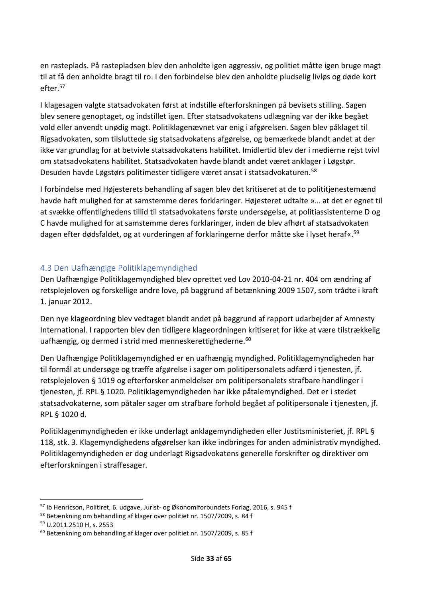en rasteplads. På rastepladsen blev den anholdte igen aggressiv, og politiet måtte igen bruge magt til at få den anholdte bragt til ro. I den forbindelse blev den anholdte pludselig livløs og døde kort efter.<sup>57</sup>

I klagesagen valgte statsadvokaten først at indstille efterforskningen på bevisets stilling. Sagen blev senere genoptaget, og indstillet igen. Efter statsadvokatens udlægning var der ikke begået vold eller anvendt unødig magt. Politiklagenævnet var enig i afgørelsen. Sagen blev påklaget til Rigsadvokaten, som tilsluttede sig statsadvokatens afgørelse, og bemærkede blandt andet at der ikke var grundlag for at betvivle statsadvokatens habilitet. Imidlertid blev der i medierne rejst tvivl om statsadvokatens habilitet. Statsadvokaten havde blandt andet været anklager i Løgstør. Desuden havde Løgstørs politimester tidligere været ansat i statsadvokaturen.<sup>58</sup>

I forbindelse med Højesterets behandling af sagen blev det kritiseret at de to polititjenestemænd havde haft mulighed for at samstemme deres forklaringer. Højesteret udtalte »… at det er egnet til at svække offentlighedens tillid til statsadvokatens første undersøgelse, at politiassistenterne D og C havde mulighed for at samstemme deres forklaringer, inden de blev afhørt af statsadvokaten dagen efter dødsfaldet, og at vurderingen af forklaringerne derfor måtte ske i lyset heraf«.<sup>59</sup>

#### <span id="page-32-0"></span>4.3 Den Uafhængige Politiklagemyndighed

Den Uafhængige Politiklagemyndighed blev oprettet ved Lov 2010-04-21 nr. 404 om ændring af retsplejeloven og forskellige andre love, på baggrund af betænkning 2009 1507, som trådte i kraft 1. januar 2012.

Den nye klageordning blev vedtaget blandt andet på baggrund af rapport udarbejder af Amnesty International. I rapporten blev den tidligere klageordningen kritiseret for ikke at være tilstrækkelig uafhængig, og dermed i strid med menneskerettighederne.<sup>60</sup>

Den Uafhængige Politiklagemyndighed er en uafhængig myndighed. Politiklagemyndigheden har til formål at undersøge og træffe afgørelse i sager om politipersonalets adfærd i tjenesten, jf. retsplejeloven § 1019 og efterforsker anmeldelser om politipersonalets strafbare handlinger i tjenesten, jf. RPL § 1020. Politiklagemyndigheden har ikke påtalemyndighed. Det er i stedet statsadvokaterne, som påtaler sager om strafbare forhold begået af politipersonale i tjenesten, jf. RPL § 1020 d.

Politiklagenmyndigheden er ikke underlagt anklagemyndigheden eller Justitsministeriet, jf. RPL § 118, stk. 3. Klagemyndighedens afgørelser kan ikke indbringes for anden administrativ myndighed. Politiklagemyndigheden er dog underlagt Rigsadvokatens generelle forskrifter og direktiver om efterforskningen i straffesager.

<sup>57</sup> Ib Henricson, Politiret, 6. udgave, Jurist- og Økonomiforbundets Forlag, 2016, s. 945 f

<sup>58</sup> Betænkning om behandling af klager over politiet nr. 1507/2009, s. 84 f

<sup>59</sup> U.2011.2510 H, s. 2553

<sup>60</sup> Betænkning om behandling af klager over politiet nr. 1507/2009, s. 85 f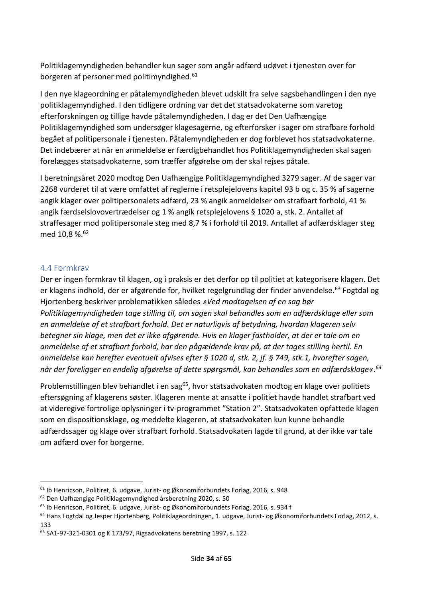Politiklagemyndigheden behandler kun sager som angår adfærd udøvet i tjenesten over for borgeren af personer med politimyndighed.<sup>61</sup>

I den nye klageordning er påtalemyndigheden blevet udskilt fra selve sagsbehandlingen i den nye politiklagemyndighed. I den tidligere ordning var det det statsadvokaterne som varetog efterforskningen og tillige havde påtalemyndigheden. I dag er det Den Uafhængige Politiklagemyndighed som undersøger klagesagerne, og efterforsker i sager om strafbare forhold begået af politipersonale i tjenesten. Påtalemyndigheden er dog forblevet hos statsadvokaterne. Det indebærer at når en anmeldelse er færdigbehandlet hos Politiklagemyndigheden skal sagen forelægges statsadvokaterne, som træffer afgørelse om der skal rejses påtale.

I beretningsåret 2020 modtog Den Uafhængige Politiklagemyndighed 3279 sager. Af de sager var 2268 vurderet til at være omfattet af reglerne i retsplejelovens kapitel 93 b og c. 35 % af sagerne angik klager over politipersonalets adfærd, 23 % angik anmeldelser om strafbart forhold, 41 % angik færdselslovovertrædelser og 1 % angik retsplejelovens § 1020 a, stk. 2. Antallet af straffesager mod politipersonale steg med 8,7 % i forhold til 2019. Antallet af adfærdsklager steg med 10,8 %.<sup>62</sup>

#### <span id="page-33-0"></span>4.4 Formkrav

Der er ingen formkrav til klagen, og i praksis er det derfor op til politiet at kategorisere klagen. Det er klagens indhold, der er afgørende for, hvilket regelgrundlag der finder anvendelse.<sup>63</sup> Fogtdal og Hjortenberg beskriver problematikken således *»Ved modtagelsen af en sag bør Politiklagemyndigheden tage stilling til, om sagen skal behandles som en adfærdsklage eller som en anmeldelse af et strafbart forhold. Det er naturligvis af betydning, hvordan klageren selv betegner sin klage, men det er ikke afgørende. Hvis en klager fastholder, at der er tale om en anmeldelse af et strafbart forhold, har den pågældende krav på, at der tages stilling hertil. En anmeldelse kan herefter eventuelt afvises efter § 1020 d, stk. 2, jf. § 749, stk.1, hvorefter sagen, når der foreligger en endelig afgørelse af dette spørgsmål, kan behandles som en adfærdsklage«*. *64*

Problemstillingen blev behandlet i en sag<sup>65</sup>, hvor statsadvokaten modtog en klage over politiets eftersøgning af klagerens søster. Klageren mente at ansatte i politiet havde handlet strafbart ved at videregive fortrolige oplysninger i tv-programmet "Station 2". Statsadvokaten opfattede klagen som en dispositionsklage, og meddelte klageren, at statsadvokaten kun kunne behandle adfærdssager og klage over strafbart forhold. Statsadvokaten lagde til grund, at der ikke var tale om adfærd over for borgerne.

<sup>61</sup> Ib Henricson, Politiret, 6. udgave, Jurist- og Økonomiforbundets Forlag, 2016, s. 948

<sup>62</sup> Den Uafhængige Politiklagemyndighed årsberetning 2020, s. 50

<sup>63</sup> Ib Henricson, Politiret, 6. udgave, Jurist- og Økonomiforbundets Forlag, 2016, s. 934 f

<sup>&</sup>lt;sup>64</sup> Hans Fogtdal og Jesper Hjortenberg, Politiklageordningen, 1. udgave, Jurist- og Økonomiforbundets Forlag, 2012, s. 133

<sup>65</sup> SA1-97-321-0301 og K 173/97, Rigsadvokatens beretning 1997, s. 122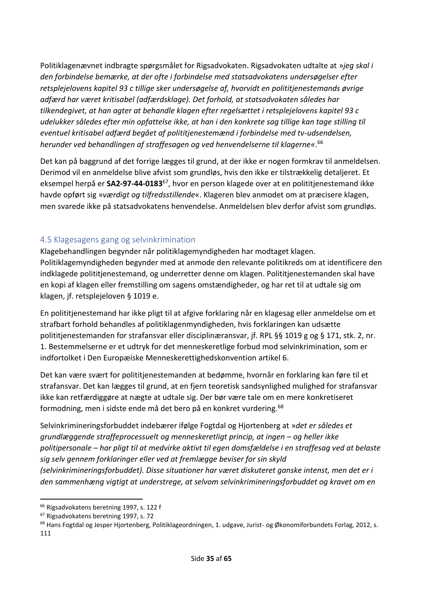Politiklagenævnet indbragte spørgsmålet for Rigsadvokaten. Rigsadvokaten udtalte at »*jeg skal i den forbindelse bemærke, at der ofte i forbindelse med statsadvokatens undersøgelser efter retsplejelovens kapitel 93 c tillige sker undersøgelse af, hvorvidt en polititjenestemands øvrige adfærd har været kritisabel (adfærdsklage). Det forhold, at statsadvokaten således har tilkendegivet, at han agter at behandle klagen efter regelsættet i retsplejelovens kapitel 93 c udelukker således efter min opfattelse ikke, at han i den konkrete sag tillige kan tage stilling til eventuel kritisabel adfærd begået af polititjenestemænd i forbindelse med tv-udsendelsen, herunder ved behandlingen af straffesagen og ved henvendelserne til klagerne«*. 66

Det kan på baggrund af det forrige lægges til grund, at der ikke er nogen formkrav til anmeldelsen. Derimod vil en anmeldelse blive afvist som grundløs, hvis den ikke er tilstrækkelig detaljeret. Et eksempel herpå er **SA2-97-44-0183**<sup>67</sup>, hvor en person klagede over at en polititjenestemand ikke havde opført sig »*værdigt og tilfredsstillende*«. Klageren blev anmodet om at præcisere klagen, men svarede ikke på statsadvokatens henvendelse. Anmeldelsen blev derfor afvist som grundløs.

### <span id="page-34-0"></span>4.5 Klagesagens gang og selvinkrimination

Klagebehandlingen begynder når politiklagemyndigheden har modtaget klagen. Politiklagemyndigheden begynder med at anmode den relevante politikreds om at identificere den indklagede polititjenestemand, og underretter denne om klagen. Polititjenestemanden skal have en kopi af klagen eller fremstilling om sagens omstændigheder, og har ret til at udtale sig om klagen, jf. retsplejeloven § 1019 e.

En polititjenestemand har ikke pligt til at afgive forklaring når en klagesag eller anmeldelse om et strafbart forhold behandles af politiklagenmyndigheden, hvis forklaringen kan udsætte polititjenestemanden for strafansvar eller disciplinæransvar, jf. RPL §§ 1019 g og § 171, stk. 2, nr. 1. Bestemmelserne er et udtryk for det menneskeretlige forbud mod selvinkrimination, som er indfortolket i Den Europæiske Menneskerettighedskonvention artikel 6.

Det kan være svært for polititjenestemanden at bedømme, hvornår en forklaring kan føre til et strafansvar. Det kan lægges til grund, at en fjern teoretisk sandsynlighed mulighed for strafansvar ikke kan retfærdiggøre at nægte at udtale sig. Der bør være tale om en mere konkretiseret formodning, men i sidste ende må det bero på en konkret vurdering.<sup>68</sup>

Selvinkrimineringsforbuddet indebærer ifølge Fogtdal og Hjortenberg at »*det er således et grundlæggende straffeprocessuelt og menneskeretligt princip, at ingen – og heller ikke politipersonale – har pligt til at medvirke aktivt til egen domsfældelse i en straffesag ved at belaste sig selv gennem forklaringer eller ved at fremlægge beviser for sin skyld* 

*(selvinkrimineringsforbuddet). Disse situationer har været diskuteret ganske intenst, men det er i den sammenhæng vigtigt at understrege, at selvom selvinkrimineringsforbuddet og kravet om en* 

<sup>&</sup>lt;sup>66</sup> Rigsadvokatens beretning 1997, s. 122 f

<sup>67</sup> Rigsadvokatens beretning 1997, s. 72

<sup>&</sup>lt;sup>68</sup> Hans Fogtdal og Jesper Hjortenberg, Politiklageordningen, 1. udgave, Jurist- og Økonomiforbundets Forlag, 2012, s. 111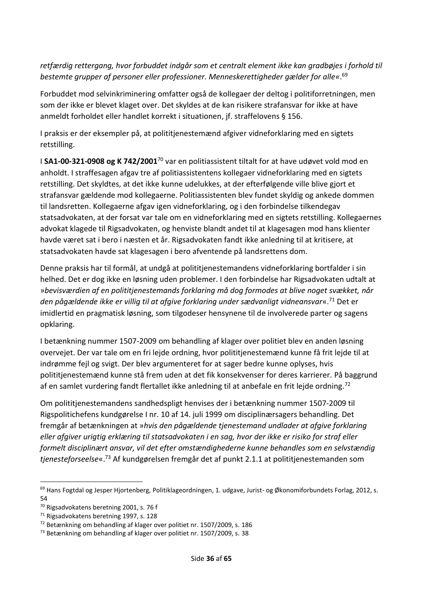### *retfærdig rettergang, hvor forbuddet indgår som et centralt element ikke kan gradbøjes i forhold til bestemte grupper af personer eller professioner. Menneskerettigheder gælder for alle«*. 69

Forbuddet mod selvinkriminering omfatter også de kollegaer der deltog i politiforretningen, men som der ikke er blevet klaget over. Det skyldes at de kan risikere strafansvar for ikke at have anmeldt forholdet eller handlet korrekt i situationen, jf. straffelovens § 156.

I praksis er der eksempler på, at polititjenestemænd afgiver vidneforklaring med en sigtets retstilling.

I **SA1-00-321-0908 og K 742/2001**<sup>70</sup> var en politiassistent tiltalt for at have udøvet vold mod en anholdt. I straffesagen afgav tre af politiassistentens kollegaer vidneforklaring med en sigtets retstilling. Det skyldtes, at det ikke kunne udelukkes, at der efterfølgende ville blive gjort et strafansvar gældende mod kollegaerne. Politiassistenten blev fundet skyldig og ankede dommen til landsretten. Kollegaerne afgav igen vidneforklaring, og i den forbindelse tilkendegav statsadvokaten, at der forsat var tale om en vidneforklaring med en sigtets retstilling. Kollegaernes advokat klagede til Rigsadvokaten, og henviste blandt andet til at klagesagen mod hans klienter havde været sat i bero i næsten et år. Rigsadvokaten fandt ikke anledning til at kritisere, at statsadvokaten havde sat klagesagen i bero afventende på landsrettens dom.

Denne praksis har til formål, at undgå at polititjenestemandens vidneforklaring bortfalder i sin helhed. Det er dog ikke en løsning uden problemer. I den forbindelse har Rigsadvokaten udtalt at »*bevisværdien af en polititjenestemands forklaring må dog formodes at blive noget svækket, når den pågældende ikke er villig til at afgive forklaring under sædvanligt vidneansvar*«.<sup>71</sup> Det er imidlertid en pragmatisk løsning, som tilgodeser hensynene til de involverede parter og sagens opklaring.

I betænkning nummer 1507-2009 om behandling af klager over politiet blev en anden løsning overvejet. Der var tale om en fri lejde ordning, hvor polititjenestemænd kunne få frit lejde til at indrømme fejl og svigt. Der blev argumenteret for at sager bedre kunne oplyses, hvis polititjenestemænd kunne stå frem uden at det fik konsekvenser for deres karrierer. På baggrund af en samlet vurdering fandt flertallet ikke anledning til at anbefale en frit lejde ordning.<sup>72</sup>

Om polititjenestemandens sandhedspligt henvises der i betænkning nummer 1507-2009 til Rigspolitichefens kundgørelse I nr. 10 af 14. juli 1999 om disciplinærsagers behandling. Det fremgår af betænkningen at »*hvis den pågældende tjenestemand undlader at afgive forklaring eller afgiver urigtig erklæring til statsadvokaten i en sag, hvor der ikke er risiko for straf eller formelt disciplinært ansvar, vil det efter omstændighederne kunne behandles som en selvstændig tjenesteforseelse*«.<sup>73</sup> Af kundgørelsen fremgår det af punkt 2.1.1 at polititjenestemanden som

<sup>&</sup>lt;sup>69</sup> Hans Fogtdal og Jesper Hjortenberg, Politiklageordningen, 1. udgave, Jurist- og Økonomiforbundets Forlag, 2012, s. 54

<sup>70</sup> Rigsadvokatens beretning 2001, s. 76 f

<sup>71</sup> Rigsadvokatens beretning 1997, s. 128

<sup>72</sup> Betænkning om behandling af klager over politiet nr. 1507/2009, s. 186

<sup>73</sup> Betænkning om behandling af klager over politiet nr. 1507/2009, s. 38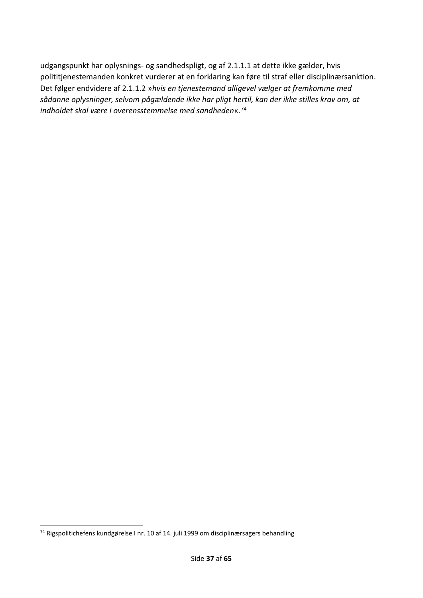udgangspunkt har oplysnings- og sandhedspligt, og af 2.1.1.1 at dette ikke gælder, hvis polititjenestemanden konkret vurderer at en forklaring kan føre til straf eller disciplinærsanktion. Det følger endvidere af 2.1.1.2 »*hvis en tjenestemand alligevel vælger at fremkomme med sådanne oplysninger, selvom pågældende ikke har pligt hertil, kan der ikke stilles krav om, at indholdet skal være i overensstemmelse med sandheden*«.<sup>74</sup>

<sup>74</sup> Rigspolitichefens kundgørelse I nr. 10 af 14. juli 1999 om disciplinærsagers behandling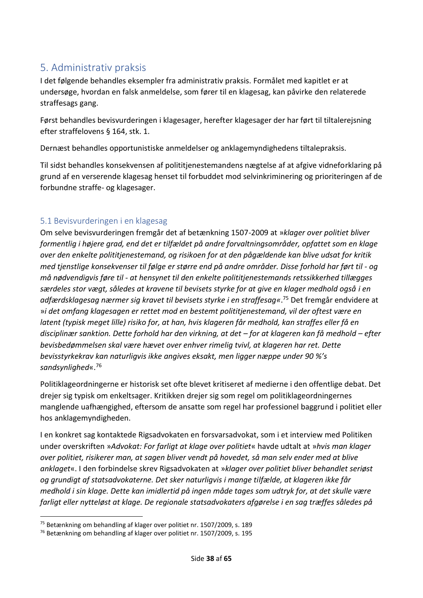# <span id="page-37-0"></span>5. Administrativ praksis

I det følgende behandles eksempler fra administrativ praksis. Formålet med kapitlet er at undersøge, hvordan en falsk anmeldelse, som fører til en klagesag, kan påvirke den relaterede straffesags gang.

Først behandles bevisvurderingen i klagesager, herefter klagesager der har ført til tiltalerejsning efter straffelovens § 164, stk. 1.

Dernæst behandles opportunistiske anmeldelser og anklagemyndighedens tiltalepraksis.

Til sidst behandles konsekvensen af polititjenestemandens nægtelse af at afgive vidneforklaring på grund af en verserende klagesag henset til forbuddet mod selvinkriminering og prioriteringen af de forbundne straffe- og klagesager.

### <span id="page-37-1"></span>5.1 Bevisvurderingen i en klagesag

Om selve bevisvurderingen fremgår det af betænkning 1507-2009 at »*klager over politiet bliver formentlig i højere grad, end det er tilfældet på andre forvaltningsområder, opfattet som en klage over den enkelte polititjenestemand, og risikoen for at den pågældende kan blive udsat for kritik med tjenstlige konsekvenser til følge er større end på andre områder. Disse forhold har ført til - og må nødvendigvis føre til - at hensynet til den enkelte polititjenestemands retssikkerhed tillægges særdeles stor vægt, således at kravene til bevisets styrke for at give en klager medhold også i en adfærdsklagesag nærmer sig kravet til bevisets styrke i en straffesag«*. <sup>75</sup> Det fremgår endvidere at »*i det omfang klagesagen er rettet mod en bestemt polititjenestemand, vil der oftest være en latent (typisk meget lille) risiko for, at han, hvis klageren får medhold, kan straffes eller få en disciplinær sanktion. Dette forhold har den virkning, at det – for at klageren kan få medhold – efter bevisbedømmelsen skal være hævet over enhver rimelig tvivl, at klageren har ret. Dette bevisstyrkekrav kan naturligvis ikke angives eksakt, men ligger næppe under 90 %'s sandsynlighed*«.<sup>76</sup>

Politiklageordningerne er historisk set ofte blevet kritiseret af medierne i den offentlige debat. Det drejer sig typisk om enkeltsager. Kritikken drejer sig som regel om politiklageordningernes manglende uafhængighed, eftersom de ansatte som regel har professionel baggrund i politiet eller hos anklagemyndigheden.

I en konkret sag kontaktede Rigsadvokaten en forsvarsadvokat, som i et interview med Politiken under overskriften »*Advokat: For farligt at klage over politiet*« havde udtalt at »*hvis man klager over politiet, risikerer man, at sagen bliver vendt på hovedet, så man selv ender med at blive anklaget*«. I den forbindelse skrev Rigsadvokaten at »*klager over politiet bliver behandlet seriøst og grundigt af statsadvokaterne. Det sker naturligvis i mange tilfælde, at klageren ikke får medhold i sin klage. Dette kan imidlertid på ingen måde tages som udtryk for, at det skulle være farligt eller nytteløst at klage. De regionale statsadvokaters afgørelse i en sag træffes således på* 

<sup>75</sup> Betænkning om behandling af klager over politiet nr. 1507/2009, s. 189

<sup>76</sup> Betænkning om behandling af klager over politiet nr. 1507/2009, s. 195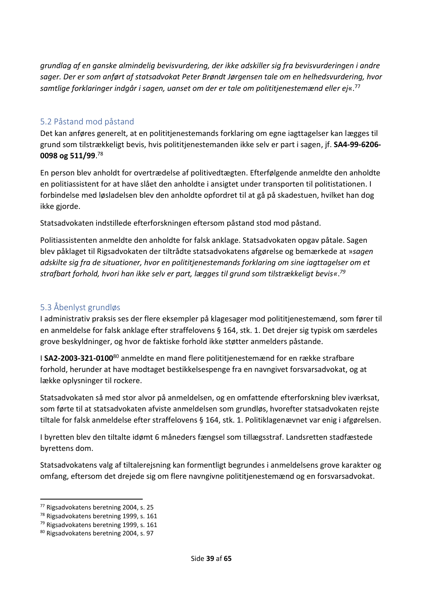*grundlag af en ganske almindelig bevisvurdering, der ikke adskiller sig fra bevisvurderingen i andre sager. Der er som anført af statsadvokat Peter Brøndt Jørgensen tale om en helhedsvurdering, hvor samtlige forklaringer indgår i sagen, uanset om der er tale om polititjenestemænd eller ej*«. 77

### <span id="page-38-0"></span>5.2 Påstand mod påstand

Det kan anføres generelt, at en polititjenestemands forklaring om egne iagttagelser kan lægges til grund som tilstrækkeligt bevis, hvis polititjenestemanden ikke selv er part i sagen, jf. **SA4-99-6206- 0098 og 511/99**. 78

En person blev anholdt for overtrædelse af politivedtægten. Efterfølgende anmeldte den anholdte en politiassistent for at have slået den anholdte i ansigtet under transporten til politistationen. I forbindelse med løsladelsen blev den anholdte opfordret til at gå på skadestuen, hvilket han dog ikke gjorde.

Statsadvokaten indstillede efterforskningen eftersom påstand stod mod påstand.

Politiassistenten anmeldte den anholdte for falsk anklage. Statsadvokaten opgav påtale. Sagen blev påklaget til Rigsadvokaten der tiltrådte statsadvokatens afgørelse og bemærkede at »*sagen adskilte sig fra de situationer, hvor en polititjenestemands forklaring om sine iagttagelser om et strafbart forhold, hvori han ikke selv er part, lægges til grund som tilstrækkeligt bevis«*. *79*

# <span id="page-38-1"></span>5.3 Åbenlyst grundløs

I administrativ praksis ses der flere eksempler på klagesager mod polititjenestemænd, som fører til en anmeldelse for falsk anklage efter straffelovens § 164, stk. 1. Det drejer sig typisk om særdeles grove beskyldninger, og hvor de faktiske forhold ikke støtter anmelders påstande.

I **SA2-2003-321-0100**<sup>80</sup> anmeldte en mand flere polititjenestemænd for en række strafbare forhold, herunder at have modtaget bestikkelsespenge fra en navngivet forsvarsadvokat, og at lække oplysninger til rockere.

Statsadvokaten så med stor alvor på anmeldelsen, og en omfattende efterforskning blev iværksat, som førte til at statsadvokaten afviste anmeldelsen som grundløs, hvorefter statsadvokaten rejste tiltale for falsk anmeldelse efter straffelovens § 164, stk. 1. Politiklagenævnet var enig i afgørelsen.

I byretten blev den tiltalte idømt 6 måneders fængsel som tillægsstraf. Landsretten stadfæstede byrettens dom.

Statsadvokatens valg af tiltalerejsning kan formentligt begrundes i anmeldelsens grove karakter og omfang, eftersom det drejede sig om flere navngivne polititjenestemænd og en forsvarsadvokat.

<sup>77</sup> Rigsadvokatens beretning 2004, s. 25

<sup>78</sup> Rigsadvokatens beretning 1999, s. 161

<sup>79</sup> Rigsadvokatens beretning 1999, s. 161

<sup>80</sup> Rigsadvokatens beretning 2004, s. 97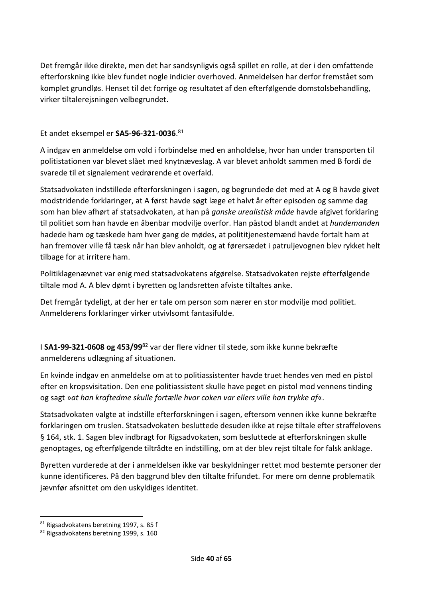Det fremgår ikke direkte, men det har sandsynligvis også spillet en rolle, at der i den omfattende efterforskning ikke blev fundet nogle indicier overhoved. Anmeldelsen har derfor fremstået som komplet grundløs. Henset til det forrige og resultatet af den efterfølgende domstolsbehandling, virker tiltalerejsningen velbegrundet.

### Et andet eksempel er **SA5-96-321-0036**. 81

A indgav en anmeldelse om vold i forbindelse med en anholdelse, hvor han under transporten til politistationen var blevet slået med knytnæveslag. A var blevet anholdt sammen med B fordi de svarede til et signalement vedrørende et overfald.

Statsadvokaten indstillede efterforskningen i sagen, og begrundede det med at A og B havde givet modstridende forklaringer, at A først havde søgt læge et halvt år efter episoden og samme dag som han blev afhørt af statsadvokaten, at han på *ganske urealistisk måde* havde afgivet forklaring til politiet som han havde en åbenbar modvilje overfor. Han påstod blandt andet at *hundemanden* hadede ham og tæskede ham hver gang de mødes, at polititjenestemænd havde fortalt ham at han fremover ville få tæsk når han blev anholdt, og at førersædet i patruljevognen blev rykket helt tilbage for at irritere ham.

Politiklagenævnet var enig med statsadvokatens afgørelse. Statsadvokaten rejste efterfølgende tiltale mod A. A blev dømt i byretten og landsretten afviste tiltaltes anke.

Det fremgår tydeligt, at der her er tale om person som nærer en stor modvilje mod politiet. Anmelderens forklaringer virker utvivlsomt fantasifulde.

I **SA1-99-321-0608 og 453/99**<sup>82</sup> var der flere vidner til stede, som ikke kunne bekræfte anmelderens udlægning af situationen.

En kvinde indgav en anmeldelse om at to politiassistenter havde truet hendes ven med en pistol efter en kropsvisitation. Den ene politiassistent skulle have peget en pistol mod vennens tinding og sagt »*at han kraftedme skulle fortælle hvor coken var ellers ville han trykke af*«.

Statsadvokaten valgte at indstille efterforskningen i sagen, eftersom vennen ikke kunne bekræfte forklaringen om truslen. Statsadvokaten besluttede desuden ikke at rejse tiltale efter straffelovens § 164, stk. 1. Sagen blev indbragt for Rigsadvokaten, som besluttede at efterforskningen skulle genoptages, og efterfølgende tiltrådte en indstilling, om at der blev rejst tiltale for falsk anklage.

Byretten vurderede at der i anmeldelsen ikke var beskyldninger rettet mod bestemte personer der kunne identificeres. På den baggrund blev den tiltalte frifundet. For mere om denne problematik jævnfør afsnittet om den uskyldiges identitet.

<sup>81</sup> Rigsadvokatens beretning 1997, s. 85 f

<sup>82</sup> Rigsadvokatens beretning 1999, s. 160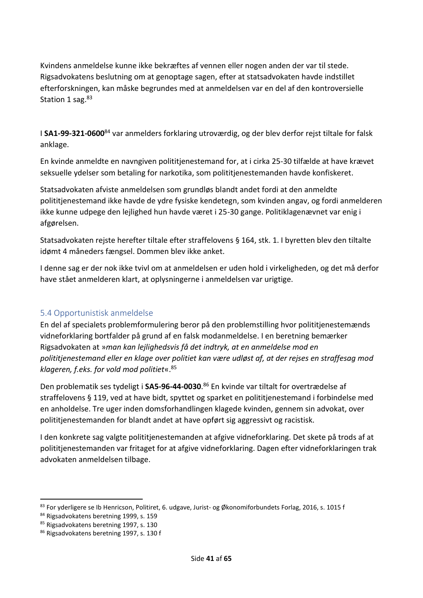Kvindens anmeldelse kunne ikke bekræftes af vennen eller nogen anden der var til stede. Rigsadvokatens beslutning om at genoptage sagen, efter at statsadvokaten havde indstillet efterforskningen, kan måske begrundes med at anmeldelsen var en del af den kontroversielle Station 1 sag.<sup>83</sup>

I **SA1-99-321-0600**<sup>84</sup> var anmelders forklaring utroværdig, og der blev derfor rejst tiltale for falsk anklage.

En kvinde anmeldte en navngiven polititjenestemand for, at i cirka 25-30 tilfælde at have krævet seksuelle ydelser som betaling for narkotika, som polititjenestemanden havde konfiskeret.

Statsadvokaten afviste anmeldelsen som grundløs blandt andet fordi at den anmeldte polititjenestemand ikke havde de ydre fysiske kendetegn, som kvinden angav, og fordi anmelderen ikke kunne udpege den lejlighed hun havde været i 25-30 gange. Politiklagenævnet var enig i afgørelsen.

Statsadvokaten rejste herefter tiltale efter straffelovens § 164, stk. 1. I byretten blev den tiltalte idømt 4 måneders fængsel. Dommen blev ikke anket.

I denne sag er der nok ikke tvivl om at anmeldelsen er uden hold i virkeligheden, og det må derfor have stået anmelderen klart, at oplysningerne i anmeldelsen var urigtige.

# <span id="page-40-0"></span>5.4 Opportunistisk anmeldelse

En del af specialets problemformulering beror på den problemstilling hvor polititjenestemænds vidneforklaring bortfalder på grund af en falsk modanmeldelse. I en beretning bemærker Rigsadvokaten at »*man kan lejlighedsvis få det indtryk, at en anmeldelse mod en polititjenestemand eller en klage over politiet kan være udløst af, at der rejses en straffesag mod klageren, f.eks. for vold mod politiet*«.<sup>85</sup>

Den problematik ses tydeligt i **SA5-96-44-0030**. <sup>86</sup> En kvinde var tiltalt for overtrædelse af straffelovens § 119, ved at have bidt, spyttet og sparket en polititjenestemand i forbindelse med en anholdelse. Tre uger inden domsforhandlingen klagede kvinden, gennem sin advokat, over polititjenestemanden for blandt andet at have opført sig aggressivt og racistisk.

I den konkrete sag valgte polititjenestemanden at afgive vidneforklaring. Det skete på trods af at polititjenestemanden var fritaget for at afgive vidneforklaring. Dagen efter vidneforklaringen trak advokaten anmeldelsen tilbage.

<sup>83</sup> For yderligere se Ib Henricson, Politiret, 6. udgave, Jurist- og Økonomiforbundets Forlag, 2016, s. 1015 f

<sup>84</sup> Rigsadvokatens beretning 1999, s. 159

<sup>85</sup> Rigsadvokatens beretning 1997, s. 130

<sup>86</sup> Rigsadvokatens beretning 1997, s. 130 f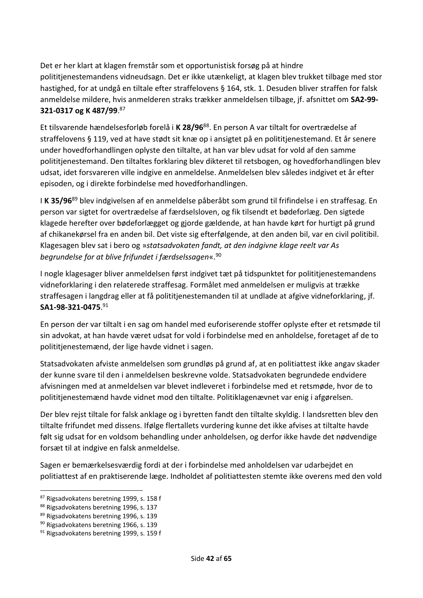Det er her klart at klagen fremstår som et opportunistisk forsøg på at hindre polititjenestemandens vidneudsagn. Det er ikke utænkeligt, at klagen blev trukket tilbage med stor hastighed, for at undgå en tiltale efter straffelovens § 164, stk. 1. Desuden bliver straffen for falsk anmeldelse mildere, hvis anmelderen straks trækker anmeldelsen tilbage, jf. afsnittet om **SA2-99- 321-0317 og K 487/99**. 87

Et tilsvarende hændelsesforløb forelå i **K 28/96**<sup>88</sup>. En person A var tiltalt for overtrædelse af straffelovens § 119, ved at have stødt sit knæ op i ansigtet på en polititjenestemand. Et år senere under hovedforhandlingen oplyste den tiltalte, at han var blev udsat for vold af den samme polititjenestemand. Den tiltaltes forklaring blev dikteret til retsbogen, og hovedforhandlingen blev udsat, idet forsvareren ville indgive en anmeldelse. Anmeldelsen blev således indgivet et år efter episoden, og i direkte forbindelse med hovedforhandlingen.

I **K 35/96**<sup>89</sup> blev indgivelsen af en anmeldelse påberåbt som grund til frifindelse i en straffesag. En person var sigtet for overtrædelse af færdselsloven, og fik tilsendt et bødeforlæg. Den sigtede klagede herefter over bødeforlægget og gjorde gældende, at han havde kørt for hurtigt på grund af chikanekørsel fra en anden bil. Det viste sig efterfølgende, at den anden bil, var en civil politibil. Klagesagen blev sat i bero og »*statsadvokaten fandt, at den indgivne klage reelt var As begrundelse for at blive frifundet i færdselssagen*«.<sup>90</sup>

I nogle klagesager bliver anmeldelsen først indgivet tæt på tidspunktet for polititjenestemandens vidneforklaring i den relaterede straffesag. Formålet med anmeldelsen er muligvis at trække straffesagen i langdrag eller at få polititjenestemanden til at undlade at afgive vidneforklaring, jf. **SA1-98-321-0475**. 91

En person der var tiltalt i en sag om handel med euforiserende stoffer oplyste efter et retsmøde til sin advokat, at han havde været udsat for vold i forbindelse med en anholdelse, foretaget af de to polititjenestemænd, der lige havde vidnet i sagen.

Statsadvokaten afviste anmeldelsen som grundløs på grund af, at en politiattest ikke angav skader der kunne svare til den i anmeldelsen beskrevne volde. Statsadvokaten begrundede endvidere afvisningen med at anmeldelsen var blevet indleveret i forbindelse med et retsmøde, hvor de to polititjenestemænd havde vidnet mod den tiltalte. Politiklagenævnet var enig i afgørelsen.

Der blev rejst tiltale for falsk anklage og i byretten fandt den tiltalte skyldig. I landsretten blev den tiltalte frifundet med dissens. Ifølge flertallets vurdering kunne det ikke afvises at tiltalte havde følt sig udsat for en voldsom behandling under anholdelsen, og derfor ikke havde det nødvendige forsæt til at indgive en falsk anmeldelse.

Sagen er bemærkelsesværdig fordi at der i forbindelse med anholdelsen var udarbejdet en politiattest af en praktiserende læge. Indholdet af politiattesten stemte ikke overens med den vold

<sup>87</sup> Rigsadvokatens beretning 1999, s. 158 f

<sup>88</sup> Rigsadvokatens beretning 1996, s. 137

<sup>89</sup> Rigsadvokatens beretning 1996, s. 139

<sup>90</sup> Rigsadvokatens beretning 1966, s. 139

<sup>&</sup>lt;sup>91</sup> Rigsadvokatens beretning 1999, s. 159 f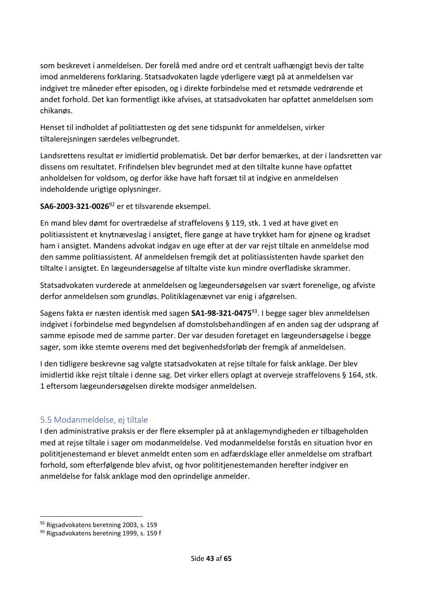som beskrevet i anmeldelsen. Der forelå med andre ord et centralt uafhængigt bevis der talte imod anmelderens forklaring. Statsadvokaten lagde yderligere vægt på at anmeldelsen var indgivet tre måneder efter episoden, og i direkte forbindelse med et retsmøde vedrørende et andet forhold. Det kan formentligt ikke afvises, at statsadvokaten har opfattet anmeldelsen som chikanøs.

Henset til indholdet af politiattesten og det sene tidspunkt for anmeldelsen, virker tiltalerejsningen særdeles velbegrundet.

Landsrettens resultat er imidlertid problematisk. Det bør derfor bemærkes, at der i landsretten var dissens om resultatet. Frifindelsen blev begrundet med at den tiltalte kunne have opfattet anholdelsen for voldsom, og derfor ikke have haft forsæt til at indgive en anmeldelsen indeholdende urigtige oplysninger.

**SA6-2003-321-0026**<sup>92</sup> er et tilsvarende eksempel.

En mand blev dømt for overtrædelse af straffelovens § 119, stk. 1 ved at have givet en politiassistent et knytnæveslag i ansigtet, flere gange at have trykket ham for øjnene og kradset ham i ansigtet. Mandens advokat indgav en uge efter at der var rejst tiltale en anmeldelse mod den samme politiassistent. Af anmeldelsen fremgik det at politiassistenten havde sparket den tiltalte i ansigtet. En lægeundersøgelse af tiltalte viste kun mindre overfladiske skrammer.

Statsadvokaten vurderede at anmeldelsen og lægeundersøgelsen var svært forenelige, og afviste derfor anmeldelsen som grundløs. Politiklagenævnet var enig i afgørelsen.

Sagens fakta er næsten identisk med sagen **SA1-98-321-0475**<sup>93</sup>. I begge sager blev anmeldelsen indgivet i forbindelse med begyndelsen af domstolsbehandlingen af en anden sag der udsprang af samme episode med de samme parter. Der var desuden foretaget en lægeundersøgelse i begge sager, som ikke stemte overens med det begivenhedsforløb der fremgik af anmeldelsen.

I den tidligere beskrevne sag valgte statsadvokaten at rejse tiltale for falsk anklage. Der blev imidlertid ikke rejst tiltale i denne sag. Det virker ellers oplagt at overveje straffelovens § 164, stk. 1 eftersom lægeundersøgelsen direkte modsiger anmeldelsen.

#### <span id="page-42-0"></span>5.5 Modanmeldelse, ej tiltale

I den administrative praksis er der flere eksempler på at anklagemyndigheden er tilbageholden med at rejse tiltale i sager om modanmeldelse. Ved modanmeldelse forstås en situation hvor en polititjenestemand er blevet anmeldt enten som en adfærdsklage eller anmeldelse om strafbart forhold, som efterfølgende blev afvist, og hvor polititjenestemanden herefter indgiver en anmeldelse for falsk anklage mod den oprindelige anmelder.

<sup>92</sup> Rigsadvokatens beretning 2003, s. 159

<sup>93</sup> Rigsadvokatens beretning 1999, s. 159 f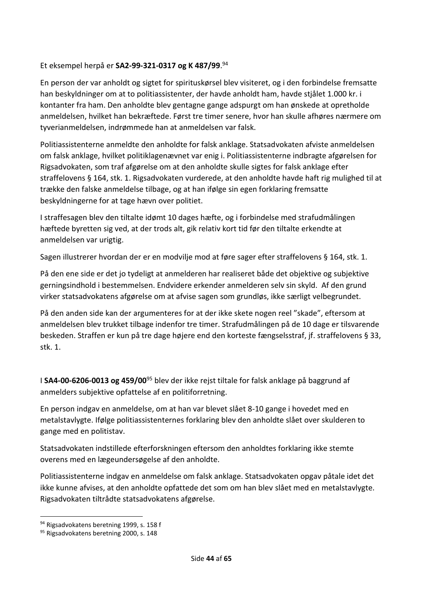#### Et eksempel herpå er **SA2-99-321-0317 og K 487/99**. 94

En person der var anholdt og sigtet for spirituskørsel blev visiteret, og i den forbindelse fremsatte han beskyldninger om at to politiassistenter, der havde anholdt ham, havde stjålet 1.000 kr. i kontanter fra ham. Den anholdte blev gentagne gange adspurgt om han ønskede at opretholde anmeldelsen, hvilket han bekræftede. Først tre timer senere, hvor han skulle afhøres nærmere om tyverianmeldelsen, indrømmede han at anmeldelsen var falsk.

Politiassistenterne anmeldte den anholdte for falsk anklage. Statsadvokaten afviste anmeldelsen om falsk anklage, hvilket politiklagenævnet var enig i. Politiassistenterne indbragte afgørelsen for Rigsadvokaten, som traf afgørelse om at den anholdte skulle sigtes for falsk anklage efter straffelovens § 164, stk. 1. Rigsadvokaten vurderede, at den anholdte havde haft rig mulighed til at trække den falske anmeldelse tilbage, og at han ifølge sin egen forklaring fremsatte beskyldningerne for at tage hævn over politiet.

I straffesagen blev den tiltalte idømt 10 dages hæfte, og i forbindelse med strafudmålingen hæftede byretten sig ved, at der trods alt, gik relativ kort tid før den tiltalte erkendte at anmeldelsen var urigtig.

Sagen illustrerer hvordan der er en modvilje mod at føre sager efter straffelovens § 164, stk. 1.

På den ene side er det jo tydeligt at anmelderen har realiseret både det objektive og subjektive gerningsindhold i bestemmelsen. Endvidere erkender anmelderen selv sin skyld. Af den grund virker statsadvokatens afgørelse om at afvise sagen som grundløs, ikke særligt velbegrundet.

På den anden side kan der argumenteres for at der ikke skete nogen reel "skade", eftersom at anmeldelsen blev trukket tilbage indenfor tre timer. Strafudmålingen på de 10 dage er tilsvarende beskeden. Straffen er kun på tre dage højere end den korteste fængselsstraf, jf. straffelovens § 33, stk. 1.

I **SA4-00-6206-0013 og 459/00**<sup>95</sup> blev der ikke rejst tiltale for falsk anklage på baggrund af anmelders subjektive opfattelse af en politiforretning.

En person indgav en anmeldelse, om at han var blevet slået 8-10 gange i hovedet med en metalstavlygte. Ifølge politiassistenternes forklaring blev den anholdte slået over skulderen to gange med en politistav.

Statsadvokaten indstillede efterforskningen eftersom den anholdtes forklaring ikke stemte overens med en lægeundersøgelse af den anholdte.

Politiassistenterne indgav en anmeldelse om falsk anklage. Statsadvokaten opgav påtale idet det ikke kunne afvises, at den anholdte opfattede det som om han blev slået med en metalstavlygte. Rigsadvokaten tiltrådte statsadvokatens afgørelse.

<sup>94</sup> Rigsadvokatens beretning 1999, s. 158 f

<sup>95</sup> Rigsadvokatens beretning 2000, s. 148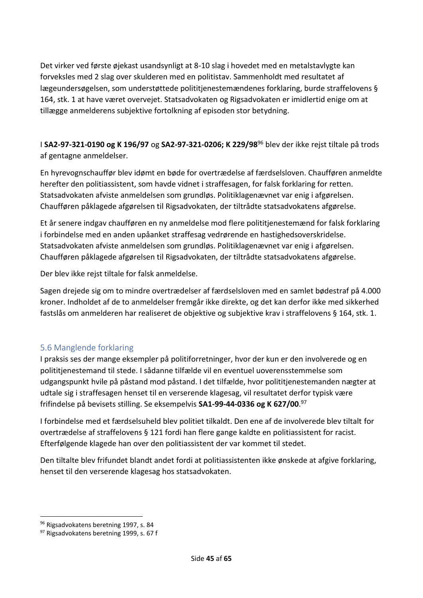Det virker ved første øjekast usandsynligt at 8-10 slag i hovedet med en metalstavlygte kan forveksles med 2 slag over skulderen med en politistav. Sammenholdt med resultatet af lægeundersøgelsen, som understøttede polititjenestemændenes forklaring, burde straffelovens § 164, stk. 1 at have været overvejet. Statsadvokaten og Rigsadvokaten er imidlertid enige om at tillægge anmelderens subjektive fortolkning af episoden stor betydning.

I **SA2-97-321-0190 og K 196/97** og **SA2-97-321-0206; K 229/98**<sup>96</sup> blev der ikke rejst tiltale på trods af gentagne anmeldelser.

En hyrevognschauffør blev idømt en bøde for overtrædelse af færdselsloven. Chaufføren anmeldte herefter den politiassistent, som havde vidnet i straffesagen, for falsk forklaring for retten. Statsadvokaten afviste anmeldelsen som grundløs. Politiklagenævnet var enig i afgørelsen. Chaufføren påklagede afgørelsen til Rigsadvokaten, der tiltrådte statsadvokatens afgørelse.

Et år senere indgav chaufføren en ny anmeldelse mod flere polititjenestemænd for falsk forklaring i forbindelse med en anden upåanket straffesag vedrørende en hastighedsoverskridelse. Statsadvokaten afviste anmeldelsen som grundløs. Politiklagenævnet var enig i afgørelsen. Chaufføren påklagede afgørelsen til Rigsadvokaten, der tiltrådte statsadvokatens afgørelse.

Der blev ikke rejst tiltale for falsk anmeldelse.

Sagen drejede sig om to mindre overtrædelser af færdselsloven med en samlet bødestraf på 4.000 kroner. Indholdet af de to anmeldelser fremgår ikke direkte, og det kan derfor ikke med sikkerhed fastslås om anmelderen har realiseret de objektive og subjektive krav i straffelovens § 164, stk. 1.

# <span id="page-44-0"></span>5.6 Manglende forklaring

I praksis ses der mange eksempler på politiforretninger, hvor der kun er den involverede og en polititjenestemand til stede. I sådanne tilfælde vil en eventuel uoverensstemmelse som udgangspunkt hvile på påstand mod påstand. I det tilfælde, hvor polititjenestemanden nægter at udtale sig i straffesagen henset til en verserende klagesag, vil resultatet derfor typisk være frifindelse på bevisets stilling. Se eksempelvis **SA1-99-44-0336 og K 627/00**. 97

I forbindelse med et færdselsuheld blev politiet tilkaldt. Den ene af de involverede blev tiltalt for overtrædelse af straffelovens § 121 fordi han flere gange kaldte en politiassistent for racist. Efterfølgende klagede han over den politiassistent der var kommet til stedet.

Den tiltalte blev frifundet blandt andet fordi at politiassistenten ikke ønskede at afgive forklaring, henset til den verserende klagesag hos statsadvokaten.

<sup>96</sup> Rigsadvokatens beretning 1997, s. 84

<sup>97</sup> Rigsadvokatens beretning 1999, s. 67 f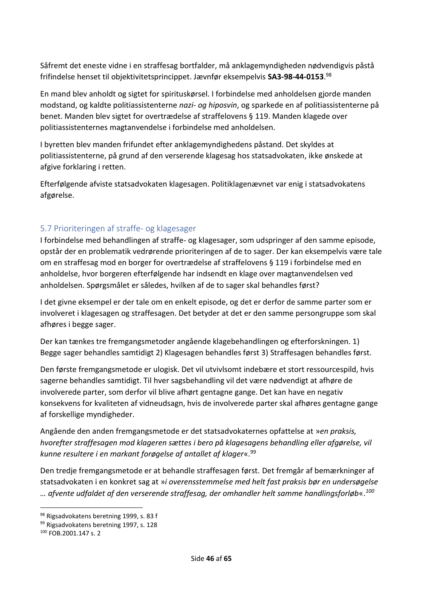Såfremt det eneste vidne i en straffesag bortfalder, må anklagemyndigheden nødvendigvis påstå frifindelse henset til objektivitetsprincippet. Jævnfør eksempelvis **SA3-98-44-0153**. 98

En mand blev anholdt og sigtet for spirituskørsel. I forbindelse med anholdelsen gjorde manden modstand, og kaldte politiassistenterne *nazi- og hiposvin*, og sparkede en af politiassistenterne på benet. Manden blev sigtet for overtrædelse af straffelovens § 119. Manden klagede over politiassistenternes magtanvendelse i forbindelse med anholdelsen.

I byretten blev manden frifundet efter anklagemyndighedens påstand. Det skyldes at politiassistenterne, på grund af den verserende klagesag hos statsadvokaten, ikke ønskede at afgive forklaring i retten.

Efterfølgende afviste statsadvokaten klagesagen. Politiklagenævnet var enig i statsadvokatens afgørelse.

# <span id="page-45-0"></span>5.7 Prioriteringen af straffe- og klagesager

I forbindelse med behandlingen af straffe- og klagesager, som udspringer af den samme episode, opstår der en problematik vedrørende prioriteringen af de to sager. Der kan eksempelvis være tale om en straffesag mod en borger for overtrædelse af straffelovens § 119 i forbindelse med en anholdelse, hvor borgeren efterfølgende har indsendt en klage over magtanvendelsen ved anholdelsen. Spørgsmålet er således, hvilken af de to sager skal behandles først?

I det givne eksempel er der tale om en enkelt episode, og det er derfor de samme parter som er involveret i klagesagen og straffesagen. Det betyder at det er den samme persongruppe som skal afhøres i begge sager.

Der kan tænkes tre fremgangsmetoder angående klagebehandlingen og efterforskningen. 1) Begge sager behandles samtidigt 2) Klagesagen behandles først 3) Straffesagen behandles først.

Den første fremgangsmetode er ulogisk. Det vil utvivlsomt indebære et stort ressourcespild, hvis sagerne behandles samtidigt. Til hver sagsbehandling vil det være nødvendigt at afhøre de involverede parter, som derfor vil blive afhørt gentagne gange. Det kan have en negativ konsekvens for kvaliteten af vidneudsagn, hvis de involverede parter skal afhøres gentagne gange af forskellige myndigheder.

Angående den anden fremgangsmetode er det statsadvokaternes opfattelse at »*en praksis, hvorefter straffesagen mod klageren sættes i bero på klagesagens behandling eller afgørelse, vil kunne resultere i en markant forøgelse af antallet af klager*«.<sup>99</sup>

Den tredje fremgangsmetode er at behandle straffesagen først. Det fremgår af bemærkninger af statsadvokaten i en konkret sag at »*i overensstemmelse med helt fast praksis bør en undersøgelse … afvente udfaldet af den verserende straffesag, der omhandler helt samme handlingsforløb*«.*<sup>100</sup>*

<sup>98</sup> Rigsadvokatens beretning 1999, s. 83 f

<sup>99</sup> Rigsadvokatens beretning 1997, s. 128

<sup>100</sup> FOB.2001.147 s. 2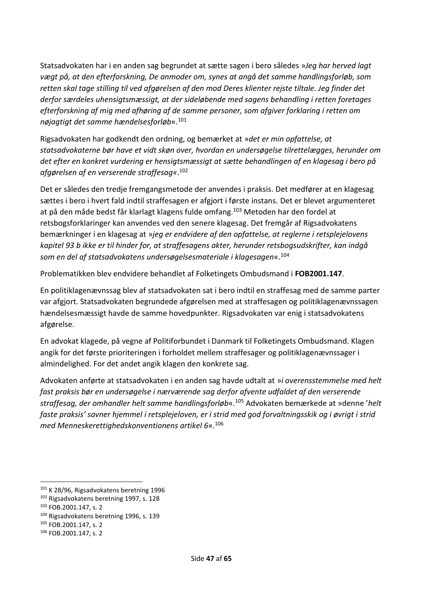Statsadvokaten har i en anden sag begrundet at sætte sagen i bero således »*Jeg har herved lagt vægt på, at den efterforskning, De anmoder om, synes at angå det samme handlingsforløb, som retten skal tage stilling til ved afgørelsen af den mod Deres klienter rejste tiltale. Jeg finder det derfor særdeles uhensigtsmæssigt, at der sideløbende med sagens behandling i retten foretages efterforskning af mig med afhøring af de samme personer, som afgiver forklaring i retten om nøjagtigt det samme hændelsesforløb*«.<sup>101</sup>

Rigsadvokaten har godkendt den ordning, og bemærket at »*det er min opfattelse, at statsadvokaterne bør have et vidt skøn over, hvordan en undersøgelse tilrettelægges, herunder om det efter en konkret vurdering er hensigtsmæssigt at sætte behandlingen af en klagesag i bero på afgørelsen af en verserende straffesag«*. 102

Det er således den tredje fremgangsmetode der anvendes i praksis. Det medfører at en klagesag sættes i bero i hvert fald indtil straffesagen er afgjort i første instans. Det er blevet argumenteret at på den måde bedst får klarlagt klagens fulde omfang.<sup>103</sup> Metoden har den fordel at retsbogsforklaringer kan anvendes ved den senere klagesag. Det fremgår af Rigsadvokatens bemærkninger i en klagesag at »*jeg er endvidere af den opfattelse, at reglerne i retsplejelovens kapitel 93 b ikke er til hinder for, at straffesagens akter, herunder retsbogsudskrifter, kan indgå som en del af statsadvokatens undersøgelsesmateriale i klagesagen*«.<sup>104</sup>

Problematikken blev endvidere behandlet af Folketingets Ombudsmand i **FOB2001.147**.

En politiklagenævnssag blev af statsadvokaten sat i bero indtil en straffesag med de samme parter var afgjort. Statsadvokaten begrundede afgørelsen med at straffesagen og politiklagenævnssagen hændelsesmæssigt havde de samme hovedpunkter. Rigsadvokaten var enig i statsadvokatens afgørelse.

En advokat klagede, på vegne af Politiforbundet i Danmark til Folketingets Ombudsmand. Klagen angik for det første prioriteringen i forholdet mellem straffesager og politiklagenævnssager i almindelighed. For det andet angik klagen den konkrete sag.

Advokaten anførte at statsadvokaten i en anden sag havde udtalt at »*i overensstemmelse med helt fast praksis bør en undersøgelse i nærværende sag derfor afvente udfaldet af den verserende straffesag, der omhandler helt samme handlingsforløb*«.<sup>105</sup> Advokaten bemærkede at »denne '*helt faste praksis' savner hjemmel i retsplejeloven, er i strid med god forvaltningsskik og i øvrigt i strid med Menneskerettighedskonventionens artikel 6*«.<sup>106</sup>

<sup>101</sup> K 28/96, Rigsadvokatens beretning 1996

<sup>&</sup>lt;sup>102</sup> Rigsadvokatens beretning 1997, s. 128

<sup>103</sup> FOB.2001.147, s. 2

<sup>104</sup> Rigsadvokatens beretning 1996, s. 139

<sup>105</sup> FOB.2001.147, s. 2

<sup>106</sup> FOB.2001.147, s. 2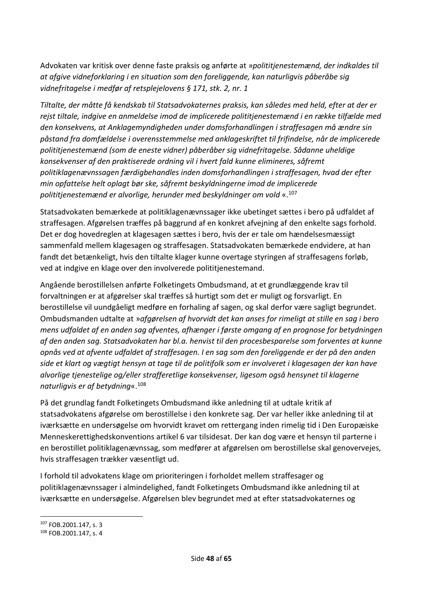Advokaten var kritisk over denne faste praksis og anførte at »*polititjenestemænd, der indkaldes til at afgive vidneforklaring i en situation som den foreliggende, kan naturligvis påberåbe sig vidnefritagelse i medfør af retsplejelovens § 171, stk. 2, nr. 1*

*Tiltalte, der måtte få kendskab til Statsadvokaternes praksis, kan således med held, efter at der er rejst tiltale, indgive en anmeldelse imod de implicerede polititjenestemænd i en række tilfælde med den konsekvens, at Anklagemyndigheden under domsforhandlingen i straffesagen må ændre sin påstand fra domfældelse i overensstemmelse med anklageskriftet til frifindelse, når de implicerede polititjenestemænd (som de eneste vidner) påberåber sig vidnefritagelse. Sådanne uheldige konsekvenser af den praktiserede ordning vil i hvert fald kunne elimineres, såfremt politiklagenævnssagen færdigbehandles inden domsforhandlingen i straffesagen, hvad der efter min opfattelse helt oplagt bør ske, såfremt beskyldningerne imod de implicerede polititjenestemænd er alvorlige, herunder med beskyldninger om vold* «.<sup>107</sup>

Statsadvokaten bemærkede at politiklagenævnssager ikke ubetinget sættes i bero på udfaldet af straffesagen. Afgørelsen træffes på baggrund af en konkret afvejning af den enkelte sags forhold. Det er dog hovedreglen at klagesagen sættes i bero, hvis der er tale om hændelsesmæssigt sammenfald mellem klagesagen og straffesagen. Statsadvokaten bemærkede endvidere, at han fandt det betænkeligt, hvis den tiltalte klager kunne overtage styringen af straffesagens forløb, ved at indgive en klage over den involverede polititjenestemand.

Angående berostillelsen anførte Folketingets Ombudsmand, at et grundlæggende krav til forvaltningen er at afgørelser skal træffes så hurtigt som det er muligt og forsvarligt. En berostillelse vil uundgåeligt medføre en forhaling af sagen, og skal derfor være sagligt begrundet. Ombudsmanden udtalte at »*afgørelsen af hvorvidt det kan anses for rimeligt at stille en sag i bero mens udfaldet af en anden sag afventes, afhænger i første omgang af en prognose for betydningen af den anden sag. Statsadvokaten har bl.a. henvist til den procesbesparelse som forventes at kunne opnås ved at afvente udfaldet af straffesagen. I en sag som den foreliggende er der på den anden side et klart og vægtigt hensyn at tage til de politifolk som er involveret i klagesagen der kan have alvorlige tjenestelige og/eller strafferetlige konsekvenser, ligesom også hensynet til klagerne naturligvis er af betydning*«. 108

På det grundlag fandt Folketingets Ombudsmand ikke anledning til at udtale kritik af statsadvokatens afgørelse om berostillelse i den konkrete sag. Der var heller ikke anledning til at iværksætte en undersøgelse om hvorvidt kravet om rettergang inden rimelig tid i Den Europæiske Menneskerettighedskonventions artikel 6 var tilsidesat. Der kan dog være et hensyn til parterne i en berostillet politiklagenævnssag, som medfører at afgørelsen om berostillelse skal genovervejes, hvis straffesagen trækker væsentligt ud.

I forhold til advokatens klage om prioriteringen i forholdet mellem straffesager og politiklagenævnssager i almindelighed, fandt Folketingets Ombudsmand ikke anledning til at iværksætte en undersøgelse. Afgørelsen blev begrundet med at efter statsadvokaternes og

<sup>107</sup> FOB.2001.147, s. 3

<sup>108</sup> FOB.2001.147, s. 4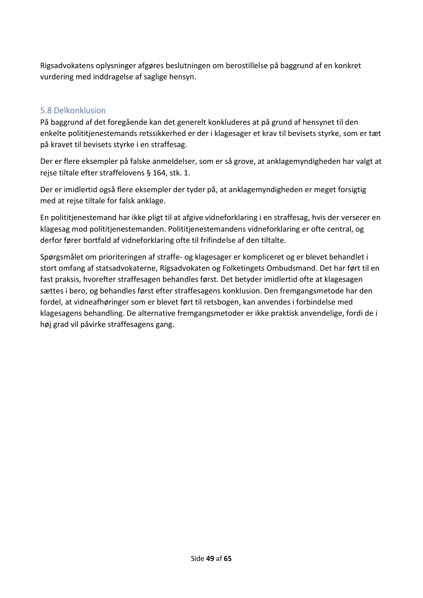Rigsadvokatens oplysninger afgøres beslutningen om berostillelse på baggrund af en konkret vurdering med inddragelse af saglige hensyn.

### <span id="page-48-0"></span>5.8 Delkonklusion

På baggrund af det foregående kan det generelt konkluderes at på grund af hensynet til den enkelte polititjenestemands retssikkerhed er der i klagesager et krav til bevisets styrke, som er tæt på kravet til bevisets styrke i en straffesag.

Der er flere eksempler på falske anmeldelser, som er så grove, at anklagemyndigheden har valgt at rejse tiltale efter straffelovens § 164, stk. 1.

Der er imidlertid også flere eksempler der tyder på, at anklagemyndigheden er meget forsigtig med at reise tiltale for falsk anklage.

En polititjenestemand har ikke pligt til at afgive vidneforklaring i en straffesag, hvis der verserer en klagesag mod polititjenestemanden. Polititjenestemandens vidneforklaring er ofte central, og derfor fører bortfald af vidneforklaring ofte til frifindelse af den tiltalte.

Spørgsmålet om prioriteringen af straffe- og klagesager er kompliceret og er blevet behandlet i stort omfang af statsadvokaterne, Rigsadvokaten og Folketingets Ombudsmand. Det har ført til en fast praksis, hvorefter straffesagen behandles først. Det betyder imidlertid ofte at klagesagen sættes i bero, og behandles først efter straffesagens konklusion. Den fremgangsmetode har den fordel, at vidneafhøringer som er blevet ført til retsbogen, kan anvendes i forbindelse med klagesagens behandling. De alternative fremgangsmetoder er ikke praktisk anvendelige, fordi de i høj grad vil påvirke straffesagens gang.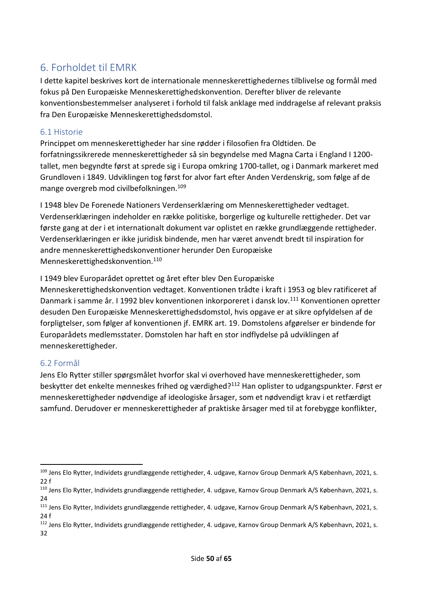# <span id="page-49-0"></span>6. Forholdet til EMRK

I dette kapitel beskrives kort de internationale menneskerettighedernes tilblivelse og formål med fokus på Den Europæiske Menneskerettighedskonvention. Derefter bliver de relevante konventionsbestemmelser analyseret i forhold til falsk anklage med inddragelse af relevant praksis fra Den Europæiske Menneskerettighedsdomstol.

#### <span id="page-49-1"></span>6.1 Historie

Princippet om menneskerettigheder har sine rødder i filosofien fra Oldtiden. De forfatningssikrerede menneskerettigheder så sin begyndelse med Magna Carta i England I 1200 tallet, men begyndte først at sprede sig i Europa omkring 1700-tallet, og i Danmark markeret med Grundloven i 1849. Udviklingen tog først for alvor fart efter Anden Verdenskrig, som følge af de mange overgreb mod civilbefolkningen.<sup>109</sup>

I 1948 blev De Forenede Nationers Verdenserklæring om Menneskerettigheder vedtaget. Verdenserklæringen indeholder en række politiske, borgerlige og kulturelle rettigheder. Det var første gang at der i et internationalt dokument var oplistet en række grundlæggende rettigheder. Verdenserklæringen er ikke juridisk bindende, men har været anvendt bredt til inspiration for andre menneskerettighedskonventioner herunder Den Europæiske Menneskerettighedskonvention.<sup>110</sup>

I 1949 blev Europarådet oprettet og året efter blev Den Europæiske

Menneskerettighedskonvention vedtaget. Konventionen trådte i kraft i 1953 og blev ratificeret af Danmark i samme år. I 1992 blev konventionen inkorporeret i dansk lov.<sup>111</sup> Konventionen opretter desuden Den Europæiske Menneskerettighedsdomstol, hvis opgave er at sikre opfyldelsen af de forpligtelser, som følger af konventionen jf. EMRK art. 19. Domstolens afgørelser er bindende for Europarådets medlemsstater. Domstolen har haft en stor indflydelse på udviklingen af menneskerettigheder.

#### <span id="page-49-2"></span>6.2 Formål

Jens Elo Rytter stiller spørgsmålet hvorfor skal vi overhoved have menneskerettigheder, som beskytter det enkelte menneskes frihed og værdighed?<sup>112</sup> Han oplister to udgangspunkter. Først er menneskerettigheder nødvendige af ideologiske årsager, som et nødvendigt krav i et retfærdigt samfund. Derudover er menneskerettigheder af praktiske årsager med til at forebygge konflikter,

<sup>109</sup> Jens Elo Rytter, Individets grundlæggende rettigheder, 4. udgave, Karnov Group Denmark A/S København, 2021, s. 22 f

<sup>110</sup> Jens Elo Rytter, Individets grundlæggende rettigheder, 4. udgave, Karnov Group Denmark A/S København, 2021, s. 24

<sup>&</sup>lt;sup>111</sup> Jens Elo Rytter, Individets grundlæggende rettigheder, 4. udgave, Karnov Group Denmark A/S København, 2021, s. 24 f

<sup>&</sup>lt;sup>112</sup> Jens Elo Rytter, Individets grundlæggende rettigheder, 4. udgave, Karnov Group Denmark A/S København, 2021, s. 32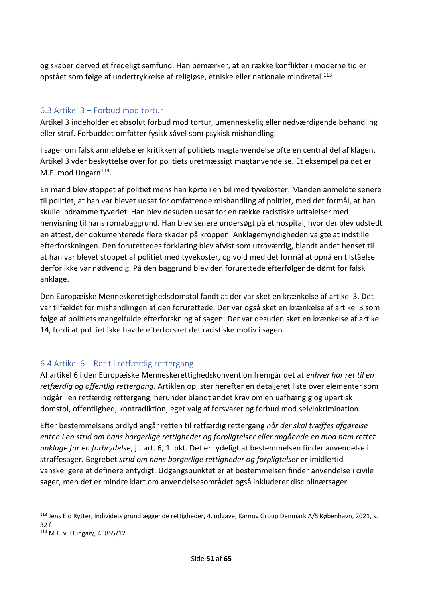og skaber derved et fredeligt samfund. Han bemærker, at en række konflikter i moderne tid er opstået som følge af undertrykkelse af religiøse, etniske eller nationale mindretal.<sup>113</sup>

# <span id="page-50-0"></span>6.3 Artikel 3 – Forbud mod tortur

Artikel 3 indeholder et absolut forbud mod tortur, umenneskelig eller nedværdigende behandling eller straf. Forbuddet omfatter fysisk såvel som psykisk mishandling.

I sager om falsk anmeldelse er kritikken af politiets magtanvendelse ofte en central del af klagen. Artikel 3 yder beskyttelse over for politiets uretmæssigt magtanvendelse. Et eksempel på det er M.F. mod Ungarn<sup>114</sup>.

En mand blev stoppet af politiet mens han kørte i en bil med tyvekoster. Manden anmeldte senere til politiet, at han var blevet udsat for omfattende mishandling af politiet, med det formål, at han skulle indrømme tyveriet. Han blev desuden udsat for en række racistiske udtalelser med henvisning til hans romabaggrund. Han blev senere undersøgt på et hospital, hvor der blev udstedt en attest, der dokumenterede flere skader på kroppen. Anklagemyndigheden valgte at indstille efterforskningen. Den forurettedes forklaring blev afvist som utroværdig, blandt andet henset til at han var blevet stoppet af politiet med tyvekoster, og vold med det formål at opnå en tilståelse derfor ikke var nødvendig. På den baggrund blev den forurettede efterfølgende dømt for falsk anklage.

Den Europæiske Menneskerettighedsdomstol fandt at der var sket en krænkelse af artikel 3. Det var tilfældet for mishandlingen af den forurettede. Der var også sket en krænkelse af artikel 3 som følge af politiets mangelfulde efterforskning af sagen. Der var desuden sket en krænkelse af artikel 14, fordi at politiet ikke havde efterforsket det racistiske motiv i sagen.

# <span id="page-50-1"></span>6.4 Artikel 6 – Ret til retfærdig rettergang

Af artikel 6 i den Europæiske Menneskerettighedskonvention fremgår det at *enhver har ret til en retfærdig og offentlig rettergang*. Artiklen oplister herefter en detaljeret liste over elementer som indgår i en retfærdig rettergang, herunder blandt andet krav om en uafhængig og upartisk domstol, offentlighed, kontradiktion, eget valg af forsvarer og forbud mod selvinkrimination.

Efter bestemmelsens ordlyd angår retten til retfærdig rettergang *når der skal træffes afgørelse enten i en strid om hans borgerlige rettigheder og forpligtelser eller angående en mod ham rettet anklage for en forbrydelse*, jf. art. 6, 1. pkt. Det er tydeligt at bestemmelsen finder anvendelse i straffesager. Begrebet *strid om hans borgerlige rettigheder og forpligtelser* er imidlertid vanskeligere at definere entydigt. Udgangspunktet er at bestemmelsen finder anvendelse i civile sager, men det er mindre klart om anvendelsesområdet også inkluderer disciplinærsager.

<sup>113</sup> Jens Elo Rytter, Individets grundlæggende rettigheder, 4. udgave, Karnov Group Denmark A/S København, 2021, s. 32 f

<sup>114</sup> M.F. v. Hungary, 45855/12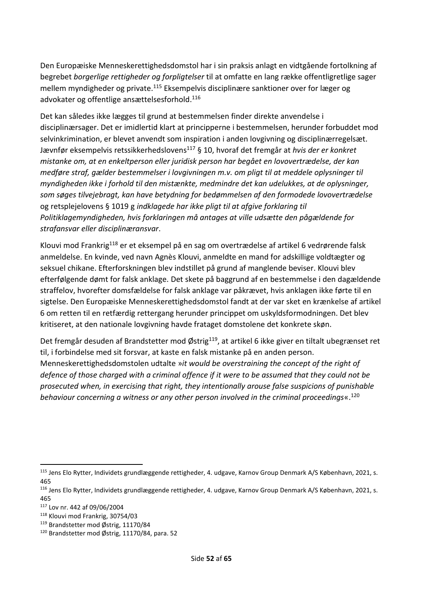Den Europæiske Menneskerettighedsdomstol har i sin praksis anlagt en vidtgående fortolkning af begrebet *borgerlige rettigheder og forpligtelser* til at omfatte en lang række offentligretlige sager mellem myndigheder og private.<sup>115</sup> Eksempelvis disciplinære sanktioner over for læger og advokater og offentlige ansættelsesforhold. 116

Det kan således ikke lægges til grund at bestemmelsen finder direkte anvendelse i disciplinærsager. Det er imidlertid klart at principperne i bestemmelsen, herunder forbuddet mod selvinkrimination, er blevet anvendt som inspiration i anden lovgivning og disciplinærregelsæt. Jævnfør eksempelvis retssikkerhedslovens<sup>117</sup> § 10, hvoraf det fremgår at *hvis der er konkret mistanke om, at en enkeltperson eller juridisk person har begået en lovovertrædelse, der kan medføre straf, gælder bestemmelser i lovgivningen m.v. om pligt til at meddele oplysninger til myndigheden ikke i forhold til den mistænkte, medmindre det kan udelukkes, at de oplysninger, som søges tilvejebragt, kan have betydning for bedømmelsen af den formodede lovovertrædelse* og retsplejelovens § 1019 g *indklagede har ikke pligt til at afgive forklaring til Politiklagemyndigheden, hvis forklaringen må antages at ville udsætte den pågældende for strafansvar eller disciplinæransvar*.

Klouvi mod Frankrig<sup>118</sup> er et eksempel på en sag om overtrædelse af artikel 6 vedrørende falsk anmeldelse. En kvinde, ved navn Agnès Klouvi, anmeldte en mand for adskillige voldtægter og seksuel chikane. Efterforskningen blev indstillet på grund af manglende beviser. Klouvi blev efterfølgende dømt for falsk anklage. Det skete på baggrund af en bestemmelse i den dagældende straffelov, hvorefter domsfældelse for falsk anklage var påkrævet, hvis anklagen ikke førte til en sigtelse. Den Europæiske Menneskerettighedsdomstol fandt at der var sket en krænkelse af artikel 6 om retten til en retfærdig rettergang herunder princippet om uskyldsformodningen. Det blev kritiseret, at den nationale lovgivning havde frataget domstolene det konkrete skøn.

Det fremgår desuden af Brandstetter mod Østrig<sup>119</sup>, at artikel 6 ikke giver en tiltalt ubegrænset ret til, i forbindelse med sit forsvar, at kaste en falsk mistanke på en anden person. Menneskerettighedsdomstolen udtalte »*it would be overstraining the concept of the right of defence of those charged with a criminal offence if it were to be assumed that they could not be prosecuted when, in exercising that right, they intentionally arouse false suspicions of punishable behaviour concerning a witness or any other person involved in the criminal proceedings*«.<sup>120</sup>

<sup>115</sup> Jens Elo Rytter, Individets grundlæggende rettigheder, 4. udgave, Karnov Group Denmark A/S København, 2021, s. 465

<sup>116</sup> Jens Elo Rytter, Individets grundlæggende rettigheder, 4. udgave, Karnov Group Denmark A/S København, 2021, s. 465

<sup>117</sup> Lov nr. 442 af 09/06/2004

<sup>118</sup> Klouvi mod Frankrig, 30754/03

<sup>119</sup> Brandstetter mod Østrig, 11170/84

<sup>120</sup> Brandstetter mod Østrig, 11170/84, para. 52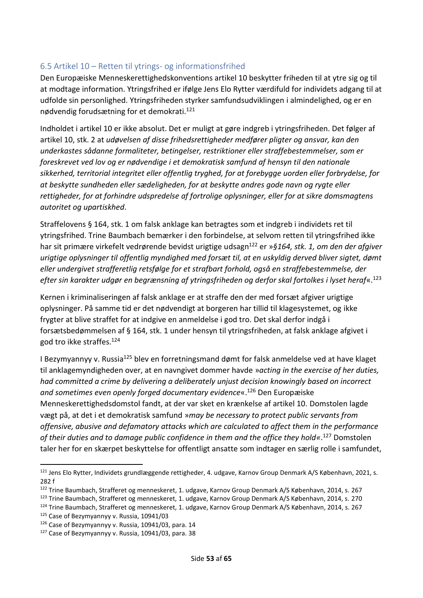#### <span id="page-52-0"></span>6.5 Artikel 10 – Retten til ytrings- og informationsfrihed

Den Europæiske Menneskerettighedskonventions artikel 10 beskytter friheden til at ytre sig og til at modtage information. Ytringsfrihed er ifølge Jens Elo Rytter værdifuld for individets adgang til at udfolde sin personlighed. Ytringsfriheden styrker samfundsudviklingen i almindelighed, og er en nødvendig forudsætning for et demokrati.<sup>121</sup>

Indholdet i artikel 10 er ikke absolut. Det er muligt at gøre indgreb i ytringsfriheden. Det følger af artikel 10, stk. 2 at *udøvelsen af disse frihedsrettigheder medfører pligter og ansvar, kan den underkastes sådanne formaliteter, betingelser, restriktioner eller straffebestemmelser, som er foreskrevet ved lov og er nødvendige i et demokratisk samfund af hensyn til den nationale sikkerhed, territorial integritet eller offentlig tryghed, for at forebygge uorden eller forbrydelse, for at beskytte sundheden eller sædeligheden, for at beskytte andres gode navn og rygte eller rettigheder, for at forhindre udspredelse af fortrolige oplysninger, eller for at sikre domsmagtens autoritet og upartiskhed*.

Straffelovens § 164, stk. 1 om falsk anklage kan betragtes som et indgreb i individets ret til ytringsfrihed. Trine Baumbach bemærker i den forbindelse, at selvom retten til ytringsfrihed ikke har sit primære virkefelt vedrørende bevidst urigtige udsagn<sup>122</sup> er »*§164, stk. 1, om den der afgiver urigtige oplysninger til offentlig myndighed med forsæt til, at en uskyldig derved bliver sigtet, dømt eller undergivet strafferetlig retsfølge for et strafbart forhold, også en straffebestemmelse, der efter sin karakter udgør en begrænsning af ytringsfriheden og derfor skal fortolkes i lyset heraf*«. 123

Kernen i kriminaliseringen af falsk anklage er at straffe den der med forsæt afgiver urigtige oplysninger. På samme tid er det nødvendigt at borgeren har tillid til klagesystemet, og ikke frygter at blive straffet for at indgive en anmeldelse i god tro. Det skal derfor indgå i forsætsbedømmelsen af § 164, stk. 1 under hensyn til ytringsfriheden, at falsk anklage afgivet i god tro ikke straffes.<sup>124</sup>

I Bezymyannyy v. Russia<sup>125</sup> blev en forretningsmand dømt for falsk anmeldelse ved at have klaget til anklagemyndigheden over, at en navngivet dommer havde »*acting in the exercise of her duties, had committed a crime by delivering a deliberately unjust decision knowingly based on incorrect and sometimes even openly forged documentary evidence*«.<sup>126</sup> Den Europæiske Menneskerettighedsdomstol fandt, at der var sket en krænkelse af artikel 10. Domstolen lagde vægt på, at det i et demokratisk samfund »*may be necessary to protect public servants from offensive, abusive and defamatory attacks which are calculated to affect them in the performance of their duties and to damage public confidence in them and the office they hold«*. <sup>127</sup> Domstolen taler her for en skærpet beskyttelse for offentligt ansatte som indtager en særlig rolle i samfundet,

<sup>123</sup> Trine Baumbach, Strafferet og menneskeret, 1. udgave, Karnov Group Denmark A/S København, 2014, s. 270

<sup>&</sup>lt;sup>121</sup> Jens Elo Rytter, Individets grundlæggende rettigheder, 4. udgave, Karnov Group Denmark A/S København, 2021, s. 282 f

<sup>122</sup> Trine Baumbach, Strafferet og menneskeret, 1. udgave, Karnov Group Denmark A/S København, 2014, s. 267

<sup>124</sup> Trine Baumbach, Strafferet og menneskeret, 1. udgave, Karnov Group Denmark A/S København, 2014, s. 267

<sup>&</sup>lt;sup>125</sup> Case of Bezymyannyy v. Russia, 10941/03

<sup>126</sup> Case of Bezymyannyy v. Russia, 10941/03, para. 14

<sup>127</sup> Case of Bezymyannyy v. Russia, 10941/03, para. 38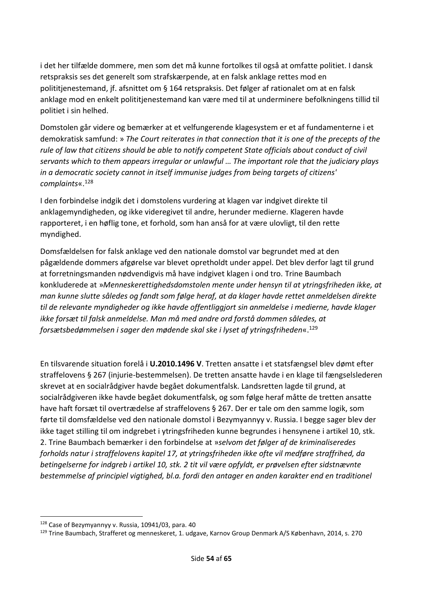i det her tilfælde dommere, men som det må kunne fortolkes til også at omfatte politiet. I dansk retspraksis ses det generelt som strafskærpende, at en falsk anklage rettes mod en polititjenestemand, jf. afsnittet om § 164 retspraksis. Det følger af rationalet om at en falsk anklage mod en enkelt polititjenestemand kan være med til at underminere befolkningens tillid til politiet i sin helhed.

Domstolen går videre og bemærker at et velfungerende klagesystem er et af fundamenterne i et demokratisk samfund: » *The Court reiterates in that connection that it is one of the precepts of the rule of law that citizens should be able to notify competent State officials about conduct of civil servants which to them appears irregular or unlawful … The important role that the judiciary plays in a democratic society cannot in itself immunise judges from being targets of citizens' complaints*«.<sup>128</sup>

I den forbindelse indgik det i domstolens vurdering at klagen var indgivet direkte til anklagemyndigheden, og ikke videregivet til andre, herunder medierne. Klageren havde rapporteret, i en høflig tone, et forhold, som han anså for at være ulovligt, til den rette myndighed.

Domsfældelsen for falsk anklage ved den nationale domstol var begrundet med at den pågældende dommers afgørelse var blevet opretholdt under appel. Det blev derfor lagt til grund at forretningsmanden nødvendigvis må have indgivet klagen i ond tro. Trine Baumbach konkluderede at »*Menneskerettighedsdomstolen mente under hensyn til at ytringsfriheden ikke, at man kunne slutte således og fandt som følge heraf, at da klager havde rettet anmeldelsen direkte til de relevante myndigheder og ikke havde offentliggjort sin anmeldelse i medierne, havde klager ikke forsæt til falsk anmeldelse. Man må med andre ord forstå dommen således, at forsætsbedømmelsen i sager den mødende skal ske i lyset af ytringsfriheden*«. 129

En tilsvarende situation forelå i **U.2010.1496 V**. Tretten ansatte i et statsfængsel blev dømt efter straffelovens § 267 (injurie-bestemmelsen). De tretten ansatte havde i en klage til fængselslederen skrevet at en socialrådgiver havde begået dokumentfalsk. Landsretten lagde til grund, at socialrådgiveren ikke havde begået dokumentfalsk, og som følge heraf måtte de tretten ansatte have haft forsæt til overtrædelse af straffelovens § 267. Der er tale om den samme logik, som førte til domsfældelse ved den nationale domstol i Bezymyannyy v. Russia. I begge sager blev der ikke taget stilling til om indgrebet i ytringsfriheden kunne begrundes i hensynene i artikel 10, stk. 2. Trine Baumbach bemærker i den forbindelse at »*selvom det følger af de kriminaliseredes forholds natur i straffelovens kapitel 17, at ytringsfriheden ikke ofte vil medføre straffrihed, da betingelserne for indgreb i artikel 10, stk. 2 tit vil være opfyldt, er prøvelsen efter sidstnævnte bestemmelse af principiel vigtighed, bl.a. fordi den antager en anden karakter end en traditionel* 

<sup>128</sup> Case of Bezymyannyy v. Russia, 10941/03, para. 40

<sup>129</sup> Trine Baumbach, Strafferet og menneskeret, 1. udgave, Karnov Group Denmark A/S København, 2014, s. 270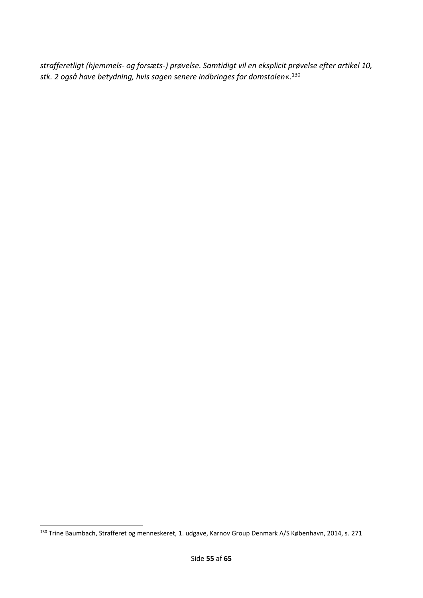*strafferetligt (hjemmels- og forsæts-) prøvelse. Samtidigt vil en eksplicit prøvelse efter artikel 10, stk. 2 også have betydning, hvis sagen senere indbringes for domstolen*«.<sup>130</sup>

<sup>130</sup> Trine Baumbach, Strafferet og menneskeret, 1. udgave, Karnov Group Denmark A/S København, 2014, s. 271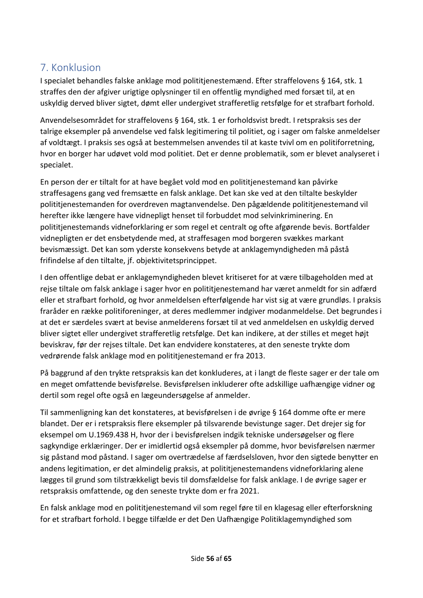# <span id="page-55-0"></span>7. Konklusion

I specialet behandles falske anklage mod polititjenestemænd. Efter straffelovens § 164, stk. 1 straffes den der afgiver urigtige oplysninger til en offentlig myndighed med forsæt til, at en uskyldig derved bliver sigtet, dømt eller undergivet strafferetlig retsfølge for et strafbart forhold.

Anvendelsesområdet for straffelovens § 164, stk. 1 er forholdsvist bredt. I retspraksis ses der talrige eksempler på anvendelse ved falsk legitimering til politiet, og i sager om falske anmeldelser af voldtægt. I praksis ses også at bestemmelsen anvendes til at kaste tvivl om en politiforretning, hvor en borger har udøvet vold mod politiet. Det er denne problematik, som er blevet analyseret i specialet.

En person der er tiltalt for at have begået vold mod en polititjenestemand kan påvirke straffesagens gang ved fremsætte en falsk anklage. Det kan ske ved at den tiltalte beskylder polititjenestemanden for overdreven magtanvendelse. Den pågældende polititjenestemand vil herefter ikke længere have vidnepligt henset til forbuddet mod selvinkriminering. En polititjenestemands vidneforklaring er som regel et centralt og ofte afgørende bevis. Bortfalder vidnepligten er det ensbetydende med, at straffesagen mod borgeren svækkes markant bevismæssigt. Det kan som yderste konsekvens betyde at anklagemyndigheden må påstå frifindelse af den tiltalte, jf. objektivitetsprincippet.

I den offentlige debat er anklagemyndigheden blevet kritiseret for at være tilbageholden med at rejse tiltale om falsk anklage i sager hvor en polititjenestemand har været anmeldt for sin adfærd eller et strafbart forhold, og hvor anmeldelsen efterfølgende har vist sig at være grundløs. I praksis fraråder en række politiforeninger, at deres medlemmer indgiver modanmeldelse. Det begrundes i at det er særdeles svært at bevise anmelderens forsæt til at ved anmeldelsen en uskyldig derved bliver sigtet eller undergivet strafferetlig retsfølge. Det kan indikere, at der stilles et meget højt beviskrav, før der rejses tiltale. Det kan endvidere konstateres, at den seneste trykte dom vedrørende falsk anklage mod en polititjenestemand er fra 2013.

På baggrund af den trykte retspraksis kan det konkluderes, at i langt de fleste sager er der tale om en meget omfattende bevisførelse. Bevisførelsen inkluderer ofte adskillige uafhængige vidner og dertil som regel ofte også en lægeundersøgelse af anmelder.

Til sammenligning kan det konstateres, at bevisførelsen i de øvrige § 164 domme ofte er mere blandet. Der er i retspraksis flere eksempler på tilsvarende bevistunge sager. Det drejer sig for eksempel om U.1969.438 H, hvor der i bevisførelsen indgik tekniske undersøgelser og flere sagkyndige erklæringer. Der er imidlertid også eksempler på domme, hvor bevisførelsen nærmer sig påstand mod påstand. I sager om overtrædelse af færdselsloven, hvor den sigtede benytter en andens legitimation, er det almindelig praksis, at polititjenestemandens vidneforklaring alene lægges til grund som tilstrækkeligt bevis til domsfældelse for falsk anklage. I de øvrige sager er retspraksis omfattende, og den seneste trykte dom er fra 2021.

En falsk anklage mod en polititjenestemand vil som regel føre til en klagesag eller efterforskning for et strafbart forhold. I begge tilfælde er det Den Uafhængige Politiklagemyndighed som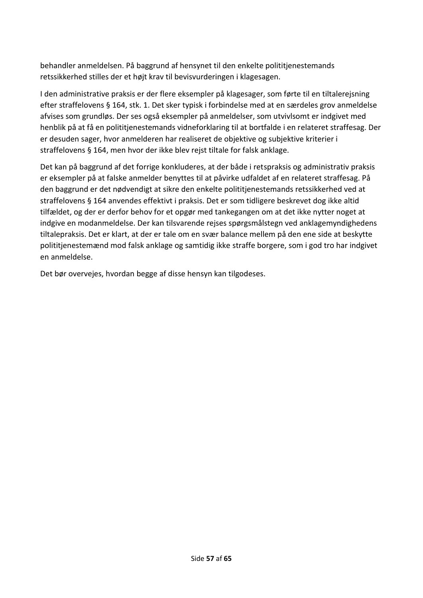behandler anmeldelsen. På baggrund af hensynet til den enkelte polititjenestemands retssikkerhed stilles der et højt krav til bevisvurderingen i klagesagen.

I den administrative praksis er der flere eksempler på klagesager, som førte til en tiltalerejsning efter straffelovens § 164, stk. 1. Det sker typisk i forbindelse med at en særdeles grov anmeldelse afvises som grundløs. Der ses også eksempler på anmeldelser, som utvivlsomt er indgivet med henblik på at få en polititjenestemands vidneforklaring til at bortfalde i en relateret straffesag. Der er desuden sager, hvor anmelderen har realiseret de objektive og subjektive kriterier i straffelovens § 164, men hvor der ikke blev rejst tiltale for falsk anklage.

Det kan på baggrund af det forrige konkluderes, at der både i retspraksis og administrativ praksis er eksempler på at falske anmelder benyttes til at påvirke udfaldet af en relateret straffesag. På den baggrund er det nødvendigt at sikre den enkelte polititjenestemands retssikkerhed ved at straffelovens § 164 anvendes effektivt i praksis. Det er som tidligere beskrevet dog ikke altid tilfældet, og der er derfor behov for et opgør med tankegangen om at det ikke nytter noget at indgive en modanmeldelse. Der kan tilsvarende rejses spørgsmålstegn ved anklagemyndighedens tiltalepraksis. Det er klart, at der er tale om en svær balance mellem på den ene side at beskytte polititjenestemænd mod falsk anklage og samtidig ikke straffe borgere, som i god tro har indgivet en anmeldelse.

Det bør overvejes, hvordan begge af disse hensyn kan tilgodeses.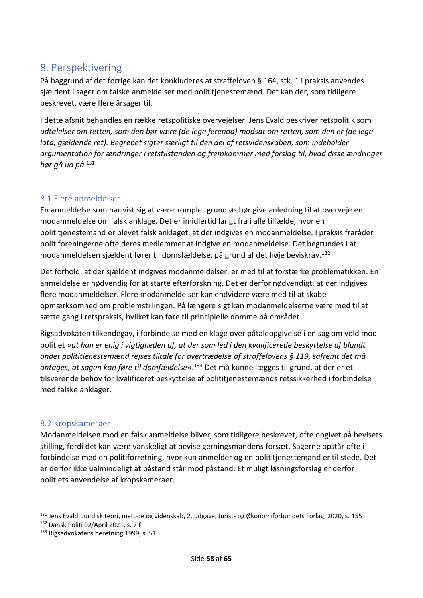# <span id="page-57-0"></span>8. Perspektivering

På baggrund af det forrige kan det konkluderes at straffeloven § 164, stk. 1 i praksis anvendes sjældent i sager om falske anmeldelser mod polititjenestemænd. Det kan der, som tidligere beskrevet, være flere årsager til.

I dette afsnit behandles en række retspolitiske overvejelser. Jens Evald beskriver retspolitik som *udtalelser om retten, som den bør være (de lege ferenda) modsat om retten, som den er (de lege lata, gældende ret). Begrebet sigter særligt til den del af retsvidenskaben, som indeholder argumentation for ændringer i retstilstanden og fremkommer med forslag til, hvad disse ændringer bør gå ud på*. 131

#### <span id="page-57-1"></span>8.1 Flere anmeldelser

En anmeldelse som har vist sig at være komplet grundløs bør give anledning til at overveje en modanmeldelse om falsk anklage. Det er imidlertid langt fra i alle tilfælde, hvor en polititjenestemand er blevet falsk anklaget, at der indgives en modanmeldelse. I praksis fraråder politiforeningerne ofte deres medlemmer at indgive en modanmeldelse. Det begrundes i at modanmeldelsen sjældent fører til domsfældelse, på grund af det høje beviskrav.<sup>132</sup>

Det forhold, at der sjældent indgives modanmeldelser, er med til at forstærke problematikken. En anmeldelse er nødvendig for at starte efterforskning. Det er derfor nødvendigt, at der indgives flere modanmeldelser. Flere modanmeldelser kan endvidere være med til at skabe opmærksomhed om problemstillingen. På længere sigt kan modanmeldelserne være med til at sætte gang i retspraksis, hvilket kan føre til principielle domme på området.

Rigsadvokaten tilkendegav, i forbindelse med en klage over påtaleopgivelse i en sag om vold mod politiet »*at han er enig i vigtigheden af, at der som led i den kvalificerede beskyttelse af blandt andet polititjenestemænd rejses tiltale for overtrædelse af straffelovens § 119, såfremt det må antages, at sagen kan føre til domfældelse*«.<sup>133</sup> Det må kunne lægges til grund, at der er et tilsvarende behov for kvalificeret beskyttelse af polititjenestemænds retssikkerhed i forbindelse med falske anklager.

#### <span id="page-57-2"></span>8.2 Kropskameraer

Modanmeldelsen mod en falsk anmeldelse bliver, som tidligere beskrevet, ofte opgivet på bevisets stilling, fordi det kan være vanskeligt at bevise gerningsmandens forsæt. Sagerne opstår ofte i forbindelse med en politiforretning, hvor kun anmelder og en polititjenestemand er til stede. Det er derfor ikke ualmindeligt at påstand står mod påstand. Et muligt løsningsforslag er derfor politiets anvendelse af kropskameraer.

<sup>131</sup> Jens Evald, Juridisk teori, metode og videnskab, 2. udgave, Jurist- og Økonomiforbundets Forlag, 2020, s. 155

<sup>132</sup> Dansk Politi 02/April 2021, s. 7 f

<sup>133</sup> Rigsadvokatens beretning 1999, s. 51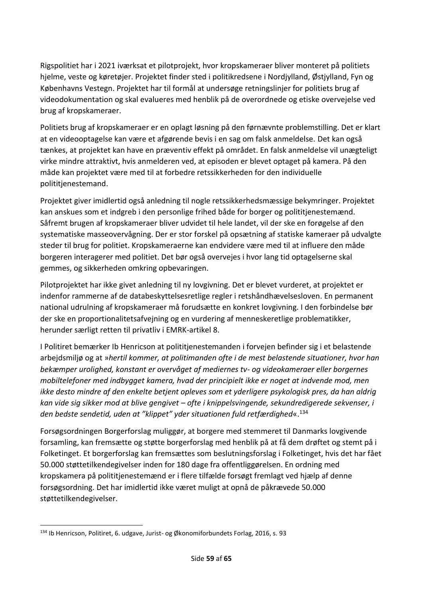Rigspolitiet har i 2021 iværksat et pilotprojekt, hvor kropskameraer bliver monteret på politiets hjelme, veste og køretøjer. Projektet finder sted i politikredsene i Nordjylland, Østjylland, Fyn og Københavns Vestegn. Projektet har til formål at undersøge retningslinjer for politiets brug af videodokumentation og skal evalueres med henblik på de overordnede og etiske overvejelse ved brug af kropskameraer.

Politiets brug af kropskameraer er en oplagt løsning på den førnævnte problemstilling. Det er klart at en videooptagelse kan være et afgørende bevis i en sag om falsk anmeldelse. Det kan også tænkes, at projektet kan have en præventiv effekt på området. En falsk anmeldelse vil unægteligt virke mindre attraktivt, hvis anmelderen ved, at episoden er blevet optaget på kamera. På den måde kan projektet være med til at forbedre retssikkerheden for den individuelle polititienestemand.

Projektet giver imidlertid også anledning til nogle retssikkerhedsmæssige bekymringer. Projektet kan anskues som et indgreb i den personlige frihed både for borger og polititjenestemænd. Såfremt brugen af kropskameraer bliver udvidet til hele landet, vil der ske en forøgelse af den systematiske masseovervågning. Der er stor forskel på opsætning af statiske kameraer på udvalgte steder til brug for politiet. Kropskameraerne kan endvidere være med til at influere den måde borgeren interagerer med politiet. Det bør også overvejes i hvor lang tid optagelserne skal gemmes, og sikkerheden omkring opbevaringen.

Pilotprojektet har ikke givet anledning til ny lovgivning. Det er blevet vurderet, at projektet er indenfor rammerne af de databeskyttelsesretlige regler i retshåndhævelsesloven. En permanent national udrulning af kropskameraer må forudsætte en konkret lovgivning. I den forbindelse bør der ske en proportionalitetsafvejning og en vurdering af menneskeretlige problematikker, herunder særligt retten til privatliv i EMRK-artikel 8.

I Politiret bemærker Ib Henricson at polititjenestemanden i forvejen befinder sig i et belastende arbejdsmiljø og at »*hertil kommer, at politimanden ofte i de mest belastende situationer, hvor han bekæmper urolighed, konstant er overvåget af mediernes tv- og videokameraer eller borgernes mobiltelefoner med indbygget kamera, hvad der principielt ikke er noget at indvende mod, men ikke desto mindre af den enkelte betjent opleves som et yderligere psykologisk pres, da han aldrig kan vide sig sikker mod at blive gengivet – ofte i knippelsvingende, sekundredigerede sekvenser, i den bedste sendetid, uden at "klippet" yder situationen fuld retfærdighed*«.<sup>134</sup>

Forsøgsordningen Borgerforslag muliggør, at borgere med stemmeret til Danmarks lovgivende forsamling, kan fremsætte og støtte borgerforslag med henblik på at få dem drøftet og stemt på i Folketinget. Et borgerforslag kan fremsættes som beslutningsforslag i Folketinget, hvis det har fået 50.000 støttetilkendegivelser inden for 180 dage fra offentliggørelsen. En ordning med kropskamera på polititjenestemænd er i flere tilfælde forsøgt fremlagt ved hjælp af denne forsøgsordning. Det har imidlertid ikke været muligt at opnå de påkrævede 50.000 støttetilkendegivelser.

<sup>134</sup> Ib Henricson, Politiret, 6. udgave, Jurist- og Økonomiforbundets Forlag, 2016, s. 93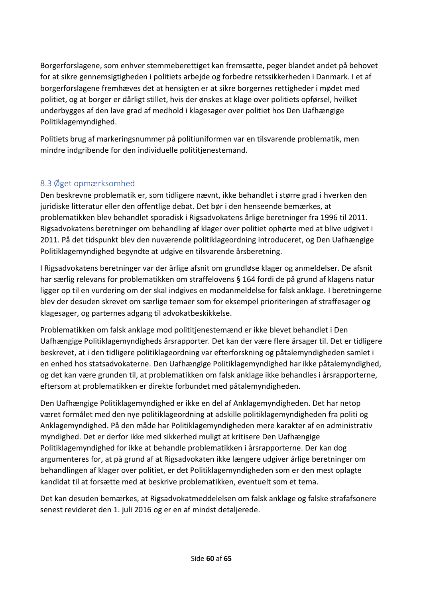Borgerforslagene, som enhver stemmeberettiget kan fremsætte, peger blandet andet på behovet for at sikre gennemsigtigheden i politiets arbejde og forbedre retssikkerheden i Danmark. I et af borgerforslagene fremhæves det at hensigten er at sikre borgernes rettigheder i mødet med politiet, og at borger er dårligt stillet, hvis der ønskes at klage over politiets opførsel, hvilket underbygges af den lave grad af medhold i klagesager over politiet hos Den Uafhængige Politiklagemyndighed.

Politiets brug af markeringsnummer på politiuniformen var en tilsvarende problematik, men mindre indgribende for den individuelle polititjenestemand.

# <span id="page-59-0"></span>8.3 Øget opmærksomhed

Den beskrevne problematik er, som tidligere nævnt, ikke behandlet i større grad i hverken den juridiske litteratur eller den offentlige debat. Det bør i den henseende bemærkes, at problematikken blev behandlet sporadisk i Rigsadvokatens årlige beretninger fra 1996 til 2011. Rigsadvokatens beretninger om behandling af klager over politiet ophørte med at blive udgivet i 2011. På det tidspunkt blev den nuværende politiklageordning introduceret, og Den Uafhængige Politiklagemyndighed begyndte at udgive en tilsvarende årsberetning.

I Rigsadvokatens beretninger var der årlige afsnit om grundløse klager og anmeldelser. De afsnit har særlig relevans for problematikken om straffelovens § 164 fordi de på grund af klagens natur ligger op til en vurdering om der skal indgives en modanmeldelse for falsk anklage. I beretningerne blev der desuden skrevet om særlige temaer som for eksempel prioriteringen af straffesager og klagesager, og parternes adgang til advokatbeskikkelse.

Problematikken om falsk anklage mod polititjenestemænd er ikke blevet behandlet i Den Uafhængige Politiklagemyndigheds årsrapporter. Det kan der være flere årsager til. Det er tidligere beskrevet, at i den tidligere politiklageordning var efterforskning og påtalemyndigheden samlet i en enhed hos statsadvokaterne. Den Uafhængige Politiklagemyndighed har ikke påtalemyndighed, og det kan være grunden til, at problematikken om falsk anklage ikke behandles i årsrapporterne, eftersom at problematikken er direkte forbundet med påtalemyndigheden.

Den Uafhængige Politiklagemyndighed er ikke en del af Anklagemyndigheden. Det har netop været formålet med den nye politiklageordning at adskille politiklagemyndigheden fra politi og Anklagemyndighed. På den måde har Politiklagemyndigheden mere karakter af en administrativ myndighed. Det er derfor ikke med sikkerhed muligt at kritisere Den Uafhængige Politiklagemyndighed for ikke at behandle problematikken i årsrapporterne. Der kan dog argumenteres for, at på grund af at Rigsadvokaten ikke længere udgiver årlige beretninger om behandlingen af klager over politiet, er det Politiklagemyndigheden som er den mest oplagte kandidat til at forsætte med at beskrive problematikken, eventuelt som et tema.

Det kan desuden bemærkes, at Rigsadvokatmeddelelsen om falsk anklage og falske strafafsonere senest revideret den 1. juli 2016 og er en af mindst detaljerede.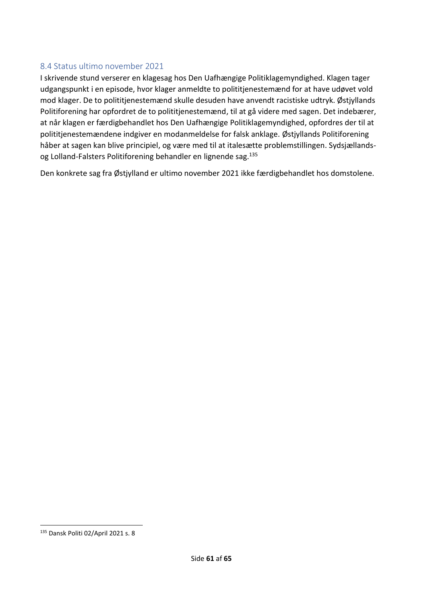#### <span id="page-60-0"></span>8.4 Status ultimo november 2021

I skrivende stund verserer en klagesag hos Den Uafhængige Politiklagemyndighed. Klagen tager udgangspunkt i en episode, hvor klager anmeldte to polititjenestemænd for at have udøvet vold mod klager. De to polititjenestemænd skulle desuden have anvendt racistiske udtryk. Østjyllands Politiforening har opfordret de to polititjenestemænd, til at gå videre med sagen. Det indebærer, at når klagen er færdigbehandlet hos Den Uafhængige Politiklagemyndighed, opfordres der til at polititjenestemændene indgiver en modanmeldelse for falsk anklage. Østjyllands Politiforening håber at sagen kan blive principiel, og være med til at italesætte problemstillingen. Sydsjællandsog Lolland-Falsters Politiforening behandler en lignende sag.<sup>135</sup>

Den konkrete sag fra Østjylland er ultimo november 2021 ikke færdigbehandlet hos domstolene.

<sup>135</sup> Dansk Politi 02/April 2021 s. 8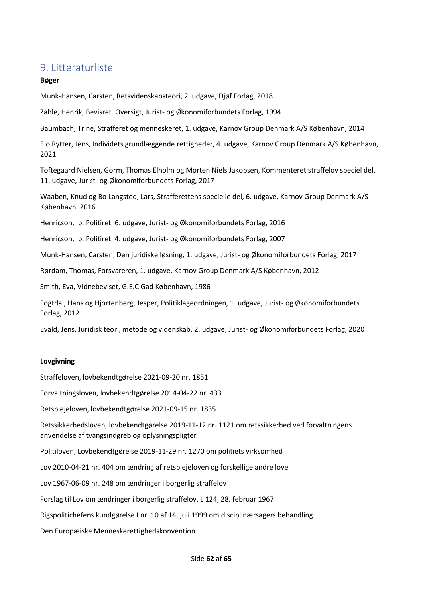# <span id="page-61-0"></span>9. Litteraturliste

#### **Bøger**

Munk-Hansen, Carsten, Retsvidenskabsteori, 2. udgave, Djøf Forlag, 2018

Zahle, Henrik, Bevisret. Oversigt, Jurist- og Økonomiforbundets Forlag, 1994

Baumbach, Trine, Strafferet og menneskeret, 1. udgave, Karnov Group Denmark A/S København, 2014

Elo Rytter, Jens, Individets grundlæggende rettigheder, 4. udgave, Karnov Group Denmark A/S København, 2021

Toftegaard Nielsen, Gorm, Thomas Elholm og Morten Niels Jakobsen, Kommenteret straffelov speciel del, 11. udgave, Jurist- og Økonomiforbundets Forlag, 2017

Waaben, Knud og Bo Langsted, Lars, Strafferettens specielle del, 6. udgave, Karnov Group Denmark A/S København, 2016

Henricson, Ib, Politiret, 6. udgave, Jurist- og Økonomiforbundets Forlag, 2016

Henricson, Ib, Politiret, 4. udgave, Jurist- og Økonomiforbundets Forlag, 2007

Munk-Hansen, Carsten, Den juridiske løsning, 1. udgave, Jurist- og Økonomiforbundets Forlag, 2017

Rørdam, Thomas, Forsvareren, 1. udgave, Karnov Group Denmark A/S København, 2012

Smith, Eva, Vidnebeviset, G.E.C Gad København, 1986

Fogtdal, Hans og Hjortenberg, Jesper, Politiklageordningen, 1. udgave, Jurist- og Økonomiforbundets Forlag, 2012

Evald, Jens, Juridisk teori, metode og videnskab, 2. udgave, Jurist- og Økonomiforbundets Forlag, 2020

#### **Lovgivning**

Straffeloven, lovbekendtgørelse 2021-09-20 nr. 1851

Forvaltningsloven, lovbekendtgørelse 2014-04-22 nr. 433

Retsplejeloven, lovbekendtgørelse 2021-09-15 nr. 1835

Retssikkerhedsloven, lovbekendtgørelse 2019-11-12 nr. 1121 om retssikkerhed ved forvaltningens anvendelse af tvangsindgreb og oplysningspligter

Politiloven, Lovbekendtgørelse 2019-11-29 nr. 1270 om politiets virksomhed

Lov 2010-04-21 nr. 404 om ændring af retsplejeloven og forskellige andre love

Lov 1967-06-09 nr. 248 om ændringer i borgerlig straffelov

Forslag til Lov om ændringer i borgerlig straffelov, L 124, 28. februar 1967

Rigspolitichefens kundgørelse I nr. 10 af 14. juli 1999 om disciplinærsagers behandling

Den Europæiske Menneskerettighedskonvention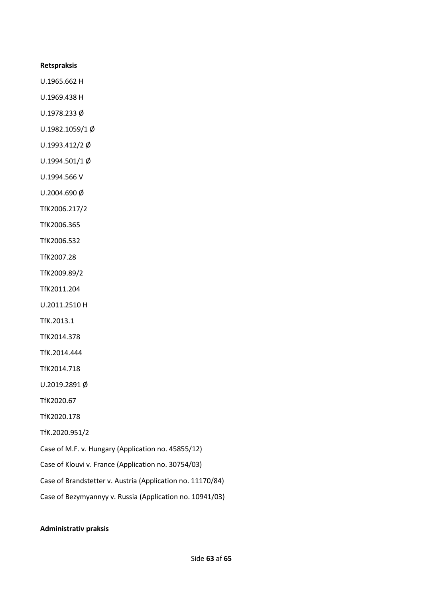#### **Retspraksis**

U.1965.662 H

U.1969.438 H

U.1978.233 Ø

U.1982.1059/1 Ø

U.1993.412/2 Ø

U.1994.501/1 Ø

U.1994.566 V

U.2004.690 Ø

TfK2006.217/2

TfK2006.365

TfK2006.532

TfK2007.28

TfK2009.89/2

TfK2011.204

U.2011.2510 H

TfK.2013.1

TfK2014.378

TfK.2014.444

TfK2014.718

U.2019.2891 Ø

TfK2020.67

TfK2020.178

TfK.2020.951/2

Case of M.F. v. Hungary (Application no. 45855/12)

Case of Klouvi v. France (Application no. 30754/03)

Case of Brandstetter v. Austria (Application no. 11170/84)

Case of Bezymyannyy v. Russia (Application no. 10941/03)

#### **Administrativ praksis**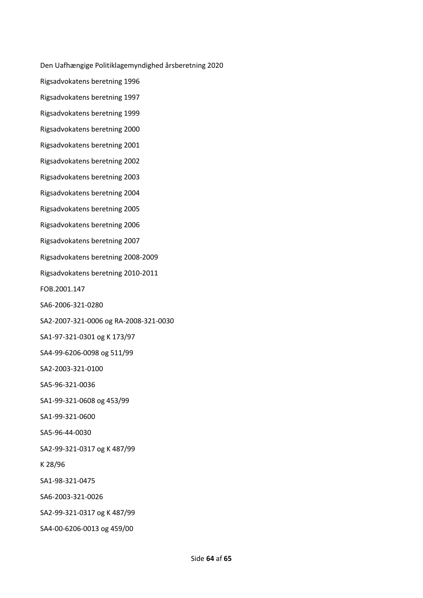Den Uafhængige Politiklagemyndighed årsberetning 2020

Rigsadvokatens beretning 1996

Rigsadvokatens beretning 1997

Rigsadvokatens beretning 1999

Rigsadvokatens beretning 2000

Rigsadvokatens beretning 2001

Rigsadvokatens beretning 2002

Rigsadvokatens beretning 2003

Rigsadvokatens beretning 2004

Rigsadvokatens beretning 2005

Rigsadvokatens beretning 2006

Rigsadvokatens beretning 2007

Rigsadvokatens beretning 2008-2009

Rigsadvokatens beretning 2010-2011

FOB.2001.147

SA6-2006-321-0280

SA2-2007-321-0006 og RA-2008-321-0030

SA1-97-321-0301 og K 173/97

SA4-99-6206-0098 og 511/99

SA2-2003-321-0100

SA5-96-321-0036

SA1-99-321-0608 og 453/99

SA1-99-321-0600

SA5-96-44-0030

SA2-99-321-0317 og K 487/99

K 28/96

SA1-98-321-0475

SA6-2003-321-0026

SA2-99-321-0317 og K 487/99

SA4-00-6206-0013 og 459/00